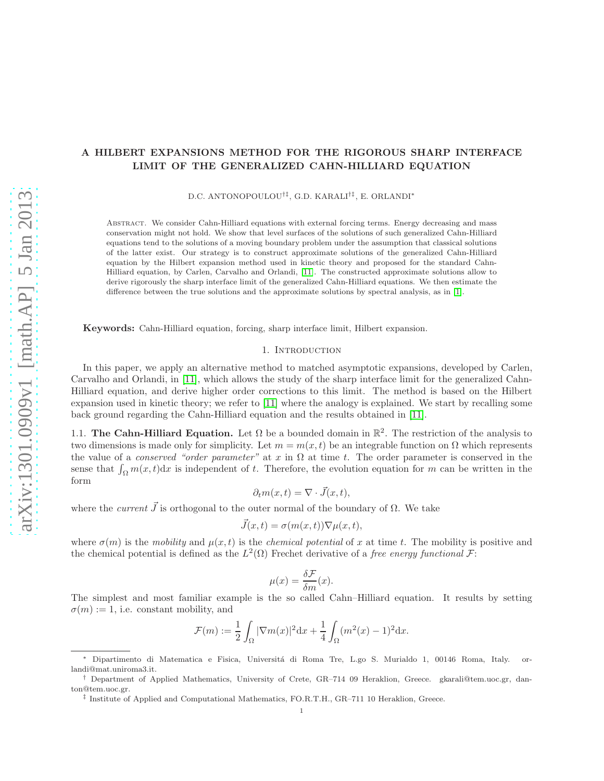# A HILBERT EXPANSIONS METHOD FOR THE RIGOROUS SHARP INTERFACE LIMIT OF THE GENERALIZED CAHN-HILLIARD EQUATION

D.C. ANTONOPOULOU†‡, G.D. KARALI†‡, E. ORLANDI<sup>∗</sup>

Abstract. We consider Cahn-Hilliard equations with external forcing terms. Energy decreasing and mass conservation might not hold. We show that level surfaces of the solutions of such generalized Cahn-Hilliard equations tend to the solutions of a moving boundary problem under the assumption that classical solutions of the latter exist. Our strategy is to construct approximate solutions of the generalized Cahn-Hilliard equation by the Hilbert expansion method used in kinetic theory and proposed for the standard Cahn-Hilliard equation, by Carlen, Carvalho and Orlandi, [\[11\]](#page-30-0). The constructed approximate solutions allow to derive rigorously the sharp interface limit of the generalized Cahn-Hilliard equations. We then estimate the difference between the true solutions and the approximate solutions by spectral analysis, as in [\[1\]](#page-30-1).

Keywords: Cahn-Hilliard equation, forcing, sharp interface limit, Hilbert expansion.

### 1. INTRODUCTION

In this paper, we apply an alternative method to matched asymptotic expansions, developed by Carlen, Carvalho and Orlandi, in [\[11\]](#page-30-0), which allows the study of the sharp interface limit for the generalized Cahn-Hilliard equation, and derive higher order corrections to this limit. The method is based on the Hilbert expansion used in kinetic theory; we refer to [\[11\]](#page-30-0) where the analogy is explained. We start by recalling some back ground regarding the Cahn-Hilliard equation and the results obtained in [\[11\]](#page-30-0).

1.1. The Cahn-Hilliard Equation. Let  $\Omega$  be a bounded domain in  $\mathbb{R}^2$ . The restriction of the analysis to two dimensions is made only for simplicity. Let  $m = m(x, t)$  be an integrable function on  $\Omega$  which represents the value of a *conserved "order parameter"* at x in  $\Omega$  at time t. The order parameter is conserved in the sense that  $\int_{\Omega} m(x, t) dx$  is independent of t. Therefore, the evolution equation for m can be written in the form

$$
\partial_t m(x,t) = \nabla \cdot \vec{J}(x,t),
$$

where the *current*  $\vec{J}$  is orthogonal to the outer normal of the boundary of  $\Omega$ . We take

$$
\vec{J}(x,t) = \sigma(m(x,t))\nabla\mu(x,t),
$$

where  $\sigma(m)$  is the mobility and  $\mu(x, t)$  is the *chemical potential* of x at time t. The mobility is positive and the chemical potential is defined as the  $L^2(\Omega)$  Frechet derivative of a *free energy functional*  $\mathcal{F}$ :

$$
\mu(x) = \frac{\delta \mathcal{F}}{\delta m}(x).
$$

The simplest and most familiar example is the so called Cahn–Hilliard equation. It results by setting  $\sigma(m) := 1$ , i.e. constant mobility, and

$$
\mathcal{F}(m) := \frac{1}{2} \int_{\Omega} |\nabla m(x)|^2 \mathrm{d}x + \frac{1}{4} \int_{\Omega} (m^2(x) - 1)^2 \mathrm{d}x.
$$

<sup>∗</sup> Dipartimento di Matematica e Fisica, Universit´a di Roma Tre, L.go S. Murialdo 1, 00146 Roma, Italy. orlandi@mat.uniroma3.it.

<sup>†</sup> Department of Applied Mathematics, University of Crete, GR–714 09 Heraklion, Greece. gkarali@tem.uoc.gr, danton@tem.uoc.gr.

<sup>‡</sup> Institute of Applied and Computational Mathematics, FO.R.T.H., GR–711 10 Heraklion, Greece.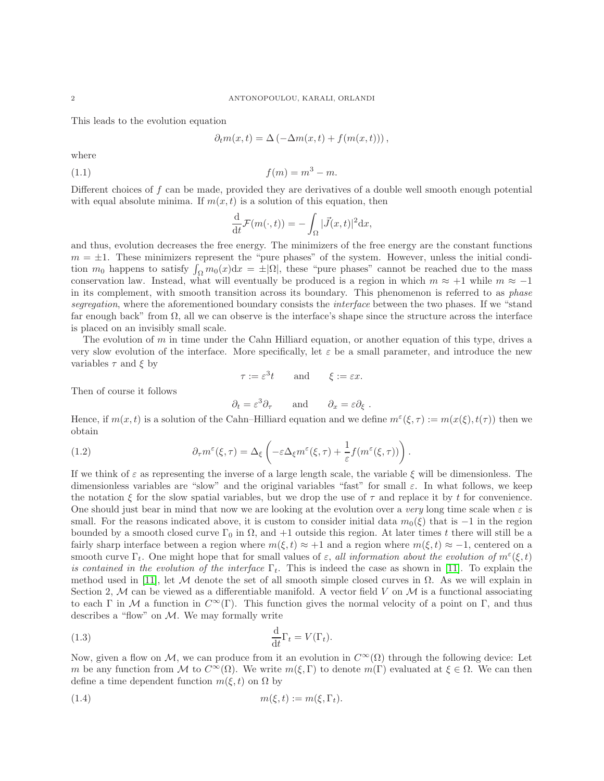This leads to the evolution equation

$$
\partial_t m(x,t) = \Delta \left( -\Delta m(x,t) + f(m(x,t)) \right),
$$

where

$$
(1.1) \t\t f(m) = m^3 - m.
$$

Different choices of f can be made, provided they are derivatives of a double well smooth enough potential with equal absolute minima. If  $m(x, t)$  is a solution of this equation, then

$$
\frac{\mathrm{d}}{\mathrm{d}t}\mathcal{F}(m(\cdot,t)) = -\int_{\Omega} |\vec{J}(x,t)|^2 \mathrm{d}x,
$$

and thus, evolution decreases the free energy. The minimizers of the free energy are the constant functions  $m = \pm 1$ . These minimizers represent the "pure phases" of the system. However, unless the initial condition  $m_0$  happens to satisfy  $\int_{\Omega} m_0(x) dx = \pm |\Omega|$ , these "pure phases" cannot be reached due to the mass conservation law. Instead, what will eventually be produced is a region in which  $m \approx +1$  while  $m \approx -1$ in its complement, with smooth transition across its boundary. This phenomenon is referred to as *phase* segregation, where the aforementioned boundary consists the *interface* between the two phases. If we "stand far enough back" from  $\Omega$ , all we can observe is the interface's shape since the structure across the interface is placed on an invisibly small scale.

The evolution of m in time under the Cahn Hilliard equation, or another equation of this type, drives a very slow evolution of the interface. More specifically, let  $\varepsilon$  be a small parameter, and introduce the new variables  $\tau$  and  $\xi$  by

$$
\tau := \varepsilon^3 t \qquad \text{and} \qquad \xi := \varepsilon x.
$$

Then of course it follows

<span id="page-1-1"></span>
$$
\partial_t = \varepsilon^3 \partial_\tau
$$
 and  $\partial_x = \varepsilon \partial_\xi$ .

Hence, if  $m(x,t)$  is a solution of the Cahn–Hilliard equation and we define  $m^{\epsilon}(\xi,\tau) := m(x(\xi), t(\tau))$  then we obtain

(1.2) 
$$
\partial_{\tau} m^{\varepsilon}(\xi,\tau) = \Delta_{\xi} \left( -\varepsilon \Delta_{\xi} m^{\varepsilon}(\xi,\tau) + \frac{1}{\varepsilon} f(m^{\varepsilon}(\xi,\tau)) \right).
$$

If we think of  $\varepsilon$  as representing the inverse of a large length scale, the variable  $\xi$  will be dimensionless. The dimensionless variables are "slow" and the original variables "fast" for small  $\varepsilon$ . In what follows, we keep the notation  $\xi$  for the slow spatial variables, but we drop the use of  $\tau$  and replace it by t for convenience. One should just bear in mind that now we are looking at the evolution over a very long time scale when  $\varepsilon$  is small. For the reasons indicated above, it is custom to consider initial data  $m_0(\xi)$  that is −1 in the region bounded by a smooth closed curve  $\Gamma_0$  in  $\Omega$ , and  $+1$  outside this region. At later times t there will still be a fairly sharp interface between a region where  $m(\xi, t) \approx +1$  and a region where  $m(\xi, t) \approx -1$ , centered on a smooth curve  $\Gamma_t$ . One might hope that for small values of  $\varepsilon$ , all information about the evolution of  $m^{\varepsilon}(\xi, t)$ is contained in the evolution of the interface  $\Gamma_t$ . This is indeed the case as shown in [\[11\]](#page-30-0). To explain the method used in [\[11\]](#page-30-0), let M denote the set of all smooth simple closed curves in  $\Omega$ . As we will explain in Section 2, M can be viewed as a differentiable manifold. A vector field V on  $\mathcal M$  is a functional associating to each Γ in M a function in  $C^{\infty}(\Gamma)$ . This function gives the normal velocity of a point on Γ, and thus describes a "flow" on  $M$ . We may formally write

<span id="page-1-2"></span>(1.3) 
$$
\frac{\mathrm{d}}{\mathrm{d}t}\Gamma_t = V(\Gamma_t).
$$

Now, given a flow on M, we can produce from it an evolution in  $C^{\infty}(\Omega)$  through the following device: Let m be any function from M to  $C^{\infty}(\Omega)$ . We write  $m(\xi, \Gamma)$  to denote  $m(\Gamma)$  evaluated at  $\xi \in \Omega$ . We can then define a time dependent function  $m(\xi, t)$  on  $\Omega$  by

<span id="page-1-0"></span>
$$
(1.4) \t\t\t m(\xi, t) := m(\xi, \Gamma_t).
$$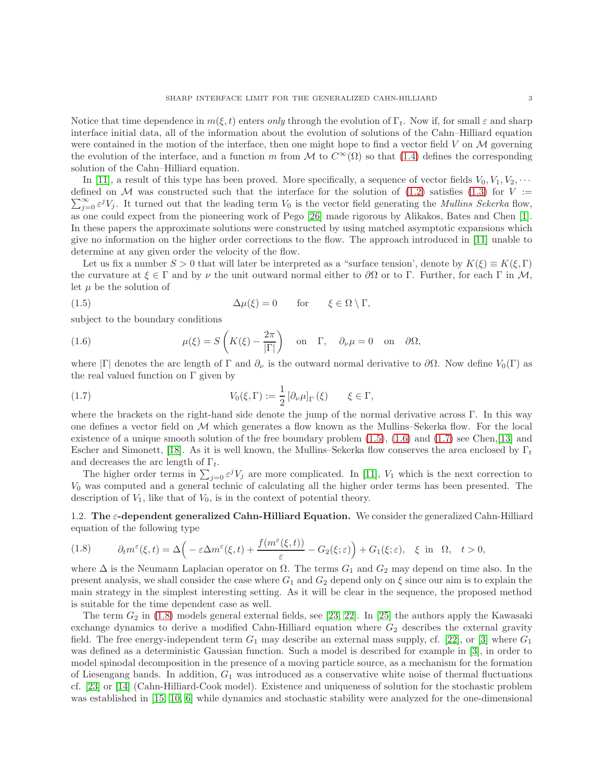Notice that time dependence in  $m(\xi, t)$  enters only through the evolution of  $\Gamma_t$ . Now if, for small  $\varepsilon$  and sharp interface initial data, all of the information about the evolution of solutions of the Cahn–Hilliard equation were contained in the motion of the interface, then one might hope to find a vector field  $V$  on  $\mathcal M$  governing the evolution of the interface, and a function m from M to  $C^{\infty}(\Omega)$  so that [\(1.4\)](#page-1-0) defines the corresponding solution of the Cahn–Hilliard equation.

In [\[11\]](#page-30-0), a result of this type has been proved. More specifically, a sequence of vector fields  $V_0, V_1, V_2, \cdots$ defined on M was constructed such that the interface for the solution of  $(1.2)$  satisfies  $(1.3)$  for  $V := \nabla \mathcal{L}$  $\sum_{j=0}^{\infty} \varepsilon^{j} V_j$ . It turned out that the leading term  $V_0$  is the vector field generating the *Mullins Sekerka* flow, as one could expect from the pioneering work of Pego [\[26\]](#page-31-0) made rigorous by Alikakos, Bates and Chen [\[1\]](#page-30-1). In these papers the approximate solutions were constructed by using matched asymptotic expansions which give no information on the higher order corrections to the flow. The approach introduced in [\[11\]](#page-30-0) unable to determine at any given order the velocity of the flow.

Let us fix a number  $S > 0$  that will later be interpreted as a "surface tension', denote by  $K(\xi) \equiv K(\xi, \Gamma)$ the curvature at  $\xi \in \Gamma$  and by  $\nu$  the unit outward normal either to  $\partial\Omega$  or to Γ. Further, for each Γ in M, let  $\mu$  be the solution of

<span id="page-2-0"></span>(1.5) 
$$
\Delta \mu(\xi) = 0 \quad \text{for} \quad \xi \in \Omega \setminus \Gamma,
$$

subject to the boundary conditions

<span id="page-2-1"></span>(1.6) 
$$
\mu(\xi) = S\left(K(\xi) - \frac{2\pi}{|\Gamma|}\right) \text{ on } \Gamma, \quad \partial_{\nu}\mu = 0 \text{ on } \partial\Omega,
$$

where |Γ| denotes the arc length of Γ and  $\partial_{\nu}$  is the outward normal derivative to  $\partial\Omega$ . Now define  $V_0(\Gamma)$  as the real valued function on  $\Gamma$  given by

<span id="page-2-2"></span>(1.7) 
$$
V_0(\xi,\Gamma) := \frac{1}{2} \left[ \partial_\nu \mu \right]_\Gamma(\xi) \qquad \xi \in \Gamma,
$$

where the brackets on the right-hand side denote the jump of the normal derivative across Γ. In this way one defines a vector field on  $\mathcal M$  which generates a flow known as the Mullins–Sekerka flow. For the local existence of a unique smooth solution of the free boundary problem [\(1.5\)](#page-2-0), [\(1.6\)](#page-2-1) and [\(1.7\)](#page-2-2) see Chen,[\[13\]](#page-30-2) and Escher and Simonett, [\[18\]](#page-30-3). As it is well known, the Mullins–Sekerka flow conserves the area enclosed by  $\Gamma_t$ and decreases the arc length of  $\Gamma_t$ .

The higher order terms in  $\sum_{j=0} \varepsilon^j V_j$  are more complicated. In [\[11\]](#page-30-0),  $V_1$  which is the next correction to V<sup>0</sup> was computed and a general technic of calculating all the higher order terms has been presented. The description of  $V_1$ , like that of  $V_0$ , is in the context of potential theory.

1.2. The  $\varepsilon$ -dependent generalized Cahn-Hilliard Equation. We consider the generalized Cahn-Hilliard equation of the following type

<span id="page-2-3"></span>(1.8) 
$$
\partial_t m^{\varepsilon}(\xi, t) = \Delta \Big( -\varepsilon \Delta m^{\varepsilon}(\xi, t) + \frac{f(m^{\varepsilon}(\xi, t))}{\varepsilon} - G_2(\xi; \varepsilon) \Big) + G_1(\xi; \varepsilon), \quad \xi \text{ in } \Omega, \quad t > 0,
$$

where  $\Delta$  is the Neumann Laplacian operator on  $\Omega$ . The terms  $G_1$  and  $G_2$  may depend on time also. In the present analysis, we shall consider the case where  $G_1$  and  $G_2$  depend only on  $\xi$  since our aim is to explain the main strategy in the simplest interesting setting. As it will be clear in the sequence, the proposed method is suitable for the time dependent case as well.

The term  $G_2$  in [\(1.8\)](#page-2-3) models general external fields, see [\[23,](#page-30-4) [22\]](#page-30-5). In [\[25\]](#page-31-1) the authors apply the Kawasaki exchange dynamics to derive a modified Cahn-Hilliard equation where  $G_2$  describes the external gravity field. The free energy-independent term  $G_1$  may describe an external mass supply, cf. [\[22\]](#page-30-5), or [\[3\]](#page-30-6) where  $G_1$ was defined as a deterministic Gaussian function. Such a model is described for example in [\[3\]](#page-30-6), in order to model spinodal decomposition in the presence of a moving particle source, as a mechanism for the formation of Liesengang bands. In addition,  $G_1$  was introduced as a conservative white noise of thermal fluctuations cf. [\[23\]](#page-30-4) or [\[14\]](#page-30-7) (Cahn-Hilliard-Cook model). Existence and uniqueness of solution for the stochastic problem was established in [\[15,](#page-30-8) [10,](#page-30-9) [6\]](#page-30-10) while dynamics and stochastic stability were analyzed for the one-dimensional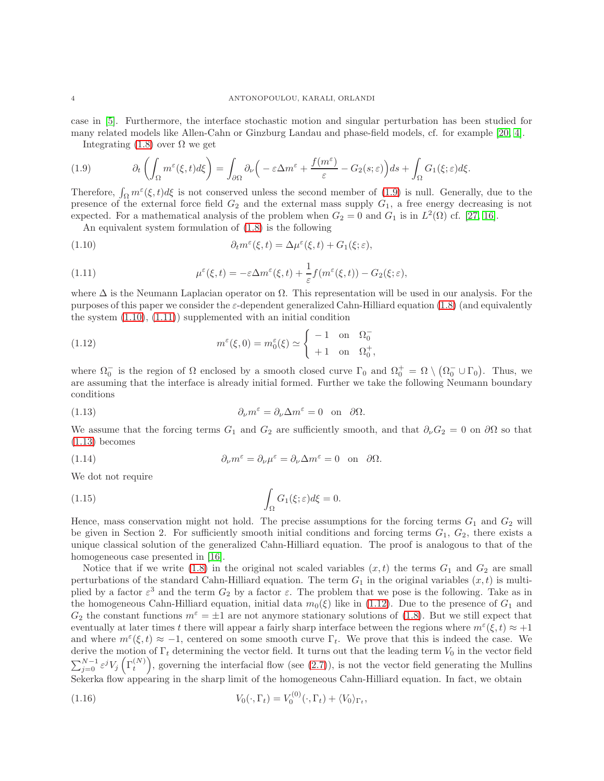case in [\[5\]](#page-30-11). Furthermore, the interface stochastic motion and singular perturbation has been studied for many related models like Allen-Cahn or Ginzburg Landau and phase-field models, cf. for example [\[20,](#page-30-12) [4\]](#page-30-13). Integrating [\(1.8\)](#page-2-3) over  $\Omega$  we get

<span id="page-3-0"></span>

(1.9) 
$$
\partial_t \left( \int_{\Omega} m^{\varepsilon}(\xi, t) d\xi \right) = \int_{\partial \Omega} \partial_{\nu} \left( -\varepsilon \Delta m^{\varepsilon} + \frac{f(m^{\varepsilon})}{\varepsilon} - G_2(s; \varepsilon) \right) ds + \int_{\Omega} G_1(\xi; \varepsilon) d\xi.
$$

Therefore,  $\int_{\Omega} m^{\varepsilon}(\xi, t) d\xi$  is not conserved unless the second member of [\(1.9\)](#page-3-0) is null. Generally, due to the presence of the external force field  $G_2$  and the external mass supply  $G_1$ , a free energy decreasing is not expected. For a mathematical analysis of the problem when  $G_2 = 0$  and  $G_1$  is in  $L^2(\Omega)$  cf. [\[27,](#page-31-2) [16\]](#page-30-14).

<span id="page-3-2"></span><span id="page-3-1"></span>An equivalent system formulation of [\(1.8\)](#page-2-3) is the following

(1.10) 
$$
\partial_t m^{\varepsilon}(\xi, t) = \Delta \mu^{\varepsilon}(\xi, t) + G_1(\xi; \varepsilon),
$$

(1.11) 
$$
\mu^{\varepsilon}(\xi,t) = -\varepsilon \Delta m^{\varepsilon}(\xi,t) + \frac{1}{\varepsilon} f(m^{\varepsilon}(\xi,t)) - G_2(\xi;\varepsilon),
$$

where  $\Delta$  is the Neumann Laplacian operator on  $\Omega$ . This representation will be used in our analysis. For the purposes of this paper we consider the  $\varepsilon$ -dependent generalized Cahn-Hilliard equation [\(1.8\)](#page-2-3) (and equivalently the system  $(1.10)$ ,  $(1.11)$  supplemented with an initial condition

<span id="page-3-4"></span>(1.12) 
$$
m^{\varepsilon}(\xi,0) = m_0^{\varepsilon}(\xi) \simeq \begin{cases} -1 & \text{on } \Omega_0^- \\ +1 & \text{on } \Omega_0^+, \end{cases}
$$

where  $\Omega_0^-$  is the region of  $\Omega$  enclosed by a smooth closed curve  $\Gamma_0$  and  $\Omega_0^+ = \Omega \setminus (\Omega_0^- \cup \Gamma_0)$ . Thus, we are assuming that the interface is already initial formed. Further we take the following Neumann boundary conditions

<span id="page-3-3"></span>(1.13) 
$$
\partial_{\nu} m^{\varepsilon} = \partial_{\nu} \Delta m^{\varepsilon} = 0 \text{ on } \partial \Omega.
$$

We assume that the forcing terms  $G_1$  and  $G_2$  are sufficiently smooth, and that  $\partial_{\nu}G_2 = 0$  on  $\partial\Omega$  so that [\(1.13\)](#page-3-3) becomes

<span id="page-3-6"></span>(1.14) 
$$
\partial_{\nu} m^{\varepsilon} = \partial_{\nu} \mu^{\varepsilon} = \partial_{\nu} \Delta m^{\varepsilon} = 0 \text{ on } \partial \Omega.
$$

We dot not require

(1.15) 
$$
\int_{\Omega} G_1(\xi;\varepsilon) d\xi = 0.
$$

Hence, mass conservation might not hold. The precise assumptions for the forcing terms  $G_1$  and  $G_2$  will be given in Section 2. For sufficiently smooth initial conditions and forcing terms  $G_1$ ,  $G_2$ , there exists a unique classical solution of the generalized Cahn-Hilliard equation. The proof is analogous to that of the homogeneous case presented in [\[16\]](#page-30-14).

Notice that if we write [\(1.8\)](#page-2-3) in the original not scaled variables  $(x, t)$  the terms  $G_1$  and  $G_2$  are small perturbations of the standard Cahn-Hilliard equation. The term  $G_1$  in the original variables  $(x, t)$  is multiplied by a factor  $\varepsilon^3$  and the term  $G_2$  by a factor  $\varepsilon$ . The problem that we pose is the following. Take as in the homogeneous Cahn-Hilliard equation, initial data  $m_0(\xi)$  like in [\(1.12\)](#page-3-4). Due to the presence of  $G_1$  and  $G_2$  the constant functions  $m^{\epsilon} = \pm 1$  are not anymore stationary solutions of [\(1.8\)](#page-2-3). But we still expect that eventually at later times t there will appear a fairly sharp interface between the regions where  $m^{\varepsilon}(\xi, t) \approx +1$ and where  $m^{\epsilon}(\xi, t) \approx -1$ , centered on some smooth curve  $\Gamma_t$ . We prove that this is indeed the case. We derive the motion of  $\Gamma_t$  determining the vector field. It turns out that the leading term  $V_0$  in the vector field  $\sum_{j=0}^{N-1} \varepsilon^j V_j \left( \Gamma_t^{(N)} \right)$ , governing the interfacial flow (see [\(2.7\)](#page-6-0)), is not the vector field generating the Mullins Sekerka flow appearing in the sharp limit of the homogeneous Cahn-Hilliard equation. In fact, we obtain

<span id="page-3-5"></span>(1.16) 
$$
V_0(\cdot, \Gamma_t) = V_0^{(0)}(\cdot, \Gamma_t) + \langle V_0 \rangle_{\Gamma_t},
$$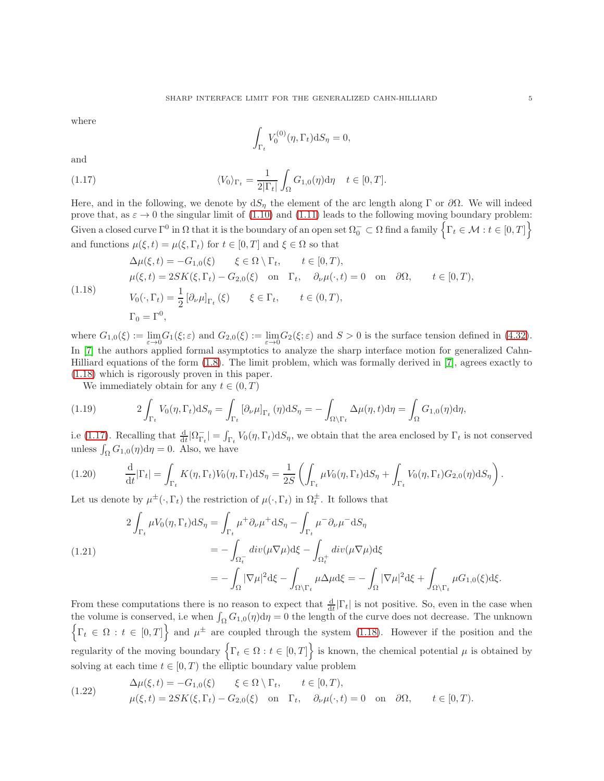where

<span id="page-4-1"></span>
$$
\int_{\Gamma_t} V_0^{(0)}(\eta, \Gamma_t) \mathrm{d}S_{\eta} = 0,
$$

and

(1.17) 
$$
\langle V_0 \rangle_{\Gamma_t} = \frac{1}{2|\Gamma_t|} \int_{\Omega} G_{1,0}(\eta) d\eta \quad t \in [0, T].
$$

Here, and in the following, we denote by  $dS_n$  the element of the arc length along Γ or  $\partial\Omega$ . We will indeed prove that, as  $\varepsilon \to 0$  the singular limit of [\(1.10\)](#page-3-1) and [\(1.11\)](#page-3-2) leads to the following moving boundary problem:  $\text{Given a closed curve } \Gamma^0 \text{ in } \Omega \text{ that it is the boundary of an open set } \Omega_0^- \subset \Omega \text{ find a family } \Big\{ \Gamma_t \in \mathcal{M} : t \in [0,T] \Big\}$ and functions  $\mu(\xi, t) = \mu(\xi, \Gamma_t)$  for  $t \in [0, T]$  and  $\xi \in \Omega$  so that

<span id="page-4-0"></span>
$$
\Delta\mu(\xi, t) = -G_{1,0}(\xi) \qquad \xi \in \Omega \setminus \Gamma_t, \qquad t \in [0, T),
$$
  
\n
$$
\mu(\xi, t) = 2SK(\xi, \Gamma_t) - G_{2,0}(\xi) \quad \text{on} \quad \Gamma_t, \quad \partial_\nu \mu(\cdot, t) = 0 \quad \text{on} \quad \partial\Omega, \qquad t \in [0, T),
$$
  
\n
$$
V_0(\cdot, \Gamma_t) = \frac{1}{2} \left[ \partial_\nu \mu \right]_{\Gamma_t}(\xi) \qquad \xi \in \Gamma_t, \qquad t \in (0, T),
$$
  
\n
$$
\Gamma_0 = \Gamma^0,
$$

where  $G_{1,0}(\xi) := \lim_{\varepsilon \to 0} G_1(\xi; \varepsilon)$  and  $G_{2,0}(\xi) := \lim_{\varepsilon \to 0} G_2(\xi; \varepsilon)$  and  $S > 0$  is the surface tension defined in [\(4.32\)](#page-19-0). In [\[7\]](#page-30-15) the authors applied formal asymptotics to analyze the sharp interface motion for generalized Cahn-Hilliard equations of the form [\(1.8\)](#page-2-3). The limit problem, which was formally derived in [\[7\]](#page-30-15), agrees exactly to [\(1.18\)](#page-4-0) which is rigorously proven in this paper.

We immediately obtain for any  $t \in (0, T)$ 

(1.19) 
$$
2\int_{\Gamma_t} V_0(\eta, \Gamma_t) dS_{\eta} = \int_{\Gamma_t} \left[\partial_{\nu} \mu\right]_{\Gamma_t} (\eta) dS_{\eta} = -\int_{\Omega \setminus \Gamma_t} \Delta \mu(\eta, t) d\eta = \int_{\Omega} G_{1,0}(\eta) d\eta,
$$

i.e [\(1.17\)](#page-4-1). Recalling that  $\frac{d}{dt}|\Omega_{\Gamma_t}^-| = \int_{\Gamma_t} V_0(\eta, \Gamma_t) dS_{\eta}$ , we obtain that the area enclosed by  $\Gamma_t$  is not conserved unless  $\int_{\Omega} G_{1,0}(\eta) d\eta = 0$ . Also, we have

$$
(1.20) \qquad \frac{\mathrm{d}}{\mathrm{d}t}|\Gamma_t| = \int_{\Gamma_t} K(\eta, \Gamma_t) V_0(\eta, \Gamma_t) \mathrm{d}S_\eta = \frac{1}{2S} \left( \int_{\Gamma_t} \mu V_0(\eta, \Gamma_t) \mathrm{d}S_\eta + \int_{\Gamma_t} V_0(\eta, \Gamma_t) G_{2,0}(\eta) \mathrm{d}S_\eta \right).
$$

Let us denote by  $\mu^{\pm}(\cdot,\Gamma_t)$  the restriction of  $\mu(\cdot,\Gamma_t)$  in  $\Omega_t^{\pm}$ . It follows that

(1.21)  
\n
$$
2\int_{\Gamma_t} \mu V_0(\eta, \Gamma_t) dS_{\eta} = \int_{\Gamma_t} \mu^+ \partial_{\nu} \mu^+ dS_{\eta} - \int_{\Gamma_t} \mu^- \partial_{\nu} \mu^- dS_{\eta}
$$
\n
$$
= -\int_{\Omega_t^-} div(\mu \nabla \mu) d\xi - \int_{\Omega_t^+} div(\mu \nabla \mu) d\xi
$$
\n
$$
= -\int_{\Omega} |\nabla \mu|^2 d\xi - \int_{\Omega \setminus \Gamma_t} \mu \Delta \mu d\xi = -\int_{\Omega} |\nabla \mu|^2 d\xi + \int_{\Omega \setminus \Gamma_t} \mu G_{1,0}(\xi) d\xi.
$$

From these computations there is no reason to expect that  $\frac{d}{dt}|\Gamma_t|$  is not positive. So, even in the case when the volume is conserved, i.e when  $\int_{\Omega} G_{1,0}(\eta) d\eta = 0$  the length of the curve does not decrease. The unknown  $\left\{\Gamma_t \in \Omega : t \in [0,T]\right\}$  and  $\mu^{\pm}$  are coupled through the system [\(1.18\)](#page-4-0). However if the position and the regularity of the moving boundary  $\left\{ \Gamma_t \in \Omega : t \in [0, T] \right\}$  is known, the chemical potential  $\mu$  is obtained by solving at each time  $t \in [0, T)$  the elliptic boundary value problem

(1.22) 
$$
\Delta \mu(\xi, t) = -G_{1,0}(\xi) \quad \xi \in \Omega \setminus \Gamma_t, \quad t \in [0, T), \n\mu(\xi, t) = 2SK(\xi, \Gamma_t) - G_{2,0}(\xi) \quad \text{on} \quad \Gamma_t, \quad \partial_\nu \mu(\cdot, t) = 0 \quad \text{on} \quad \partial \Omega, \quad t \in [0, T).
$$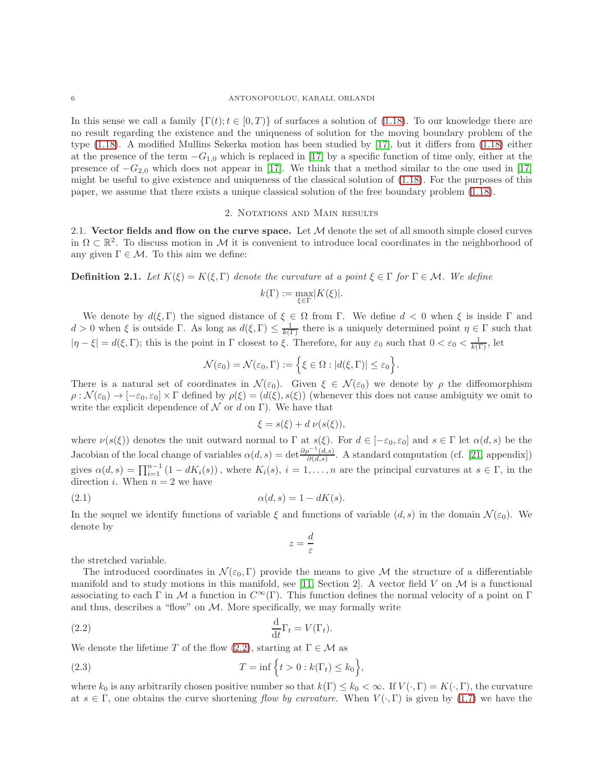In this sense we call a family  $\{\Gamma(t); t \in [0, T)\}\$  of surfaces a solution of [\(1.18\)](#page-4-0). To our knowledge there are no result regarding the existence and the uniqueness of solution for the moving boundary problem of the type [\(1.18\)](#page-4-0). A modified Mullins Sekerka motion has been studied by [\[17\]](#page-30-16), but it differs from [\(1.18\)](#page-4-0) either at the presence of the term  $-G_{1,0}$  which is replaced in [\[17\]](#page-30-16) by a specific function of time only, either at the presence of  $-G_{2,0}$  which does not appear in [\[17\]](#page-30-16). We think that a method similar to the one used in [17] might be useful to give existence and uniqueness of the classical solution of [\(1.18\)](#page-4-0). For the purposes of this paper, we assume that there exists a unique classical solution of the free boundary problem [\(1.18\)](#page-4-0).

### 2. Notations and Main results

2.1. Vector fields and flow on the curve space. Let  $M$  denote the set of all smooth simple closed curves in  $\Omega \subset \mathbb{R}^2$ . To discuss motion in M it is convenient to introduce local coordinates in the neighborhood of any given  $\Gamma \in \mathcal{M}$ . To this aim we define:

**Definition 2.1.** Let  $K(\xi) = K(\xi, \Gamma)$  denote the curvature at a point  $\xi \in \Gamma$  for  $\Gamma \in \mathcal{M}$ . We define

$$
k(\Gamma) := \max_{\xi \in \Gamma} |K(\xi)|.
$$

We denote by  $d(\xi, \Gamma)$  the signed distance of  $\xi \in \Omega$  from Γ. We define  $d < 0$  when  $\xi$  is inside Γ and  $d > 0$  when  $\xi$  is outside  $\Gamma$ . As long as  $d(\xi, \Gamma) \leq \frac{1}{k(\Gamma)}$  there is a uniquely determined point  $\eta \in \Gamma$  such that  $|\eta - \xi| = d(\xi, \Gamma)$ ; this is the point in  $\Gamma$  closest to  $\xi$ . Therefore, for any  $\varepsilon_0$  such that  $0 < \varepsilon_0 < \frac{1}{k(\Gamma)}$ , let

$$
\mathcal{N}(\varepsilon_0) = \mathcal{N}(\varepsilon_0, \Gamma) := \Big\{ \xi \in \Omega : |d(\xi, \Gamma)| \leq \varepsilon_0 \Big\}.
$$

There is a natural set of coordinates in  $\mathcal{N}(\varepsilon_0)$ . Given  $\xi \in \mathcal{N}(\varepsilon_0)$  we denote by  $\rho$  the diffeomorphism  $\rho : \mathcal{N}(\varepsilon_0) \to [-\varepsilon_0, \varepsilon_0] \times \Gamma$  defined by  $\rho(\xi) = (d(\xi), s(\xi))$  (whenever this does not cause ambiguity we omit to write the explicit dependence of  $\mathcal N$  or d on Γ). We have that

$$
\xi = s(\xi) + d \nu(s(\xi)),
$$

where  $\nu(s(\xi))$  denotes the unit outward normal to  $\Gamma$  at  $s(\xi)$ . For  $d \in [-\varepsilon_0, \varepsilon_0]$  and  $s \in \Gamma$  let  $\alpha(d, s)$  be the Jacobian of the local change of variables  $\alpha(d, s) = \det \frac{\partial \rho^{-1}(d, s)}{\partial (d, s)}$  $\frac{\partial^2 (a,s)}{\partial (d,s)}$ . A standard computation (cf. [\[21,](#page-30-17) appendix]) gives  $\alpha(d,s) = \prod_{i=1}^{n-1} (1 - dK_i(s))$ , where  $K_i(s)$ ,  $i = 1, \ldots, n$  are the principal curvatures at  $s \in \Gamma$ , in the direction *i*. When  $n = 2$  we have

$$
\alpha(d,s) = 1 - dK(s).
$$

In the sequel we identify functions of variable  $\xi$  and functions of variable  $(d, s)$  in the domain  $\mathcal{N}(\varepsilon_0)$ . We denote by

<span id="page-5-1"></span><span id="page-5-0"></span>
$$
z=\frac{d}{\varepsilon}
$$

the stretched variable.

The introduced coordinates in  $\mathcal{N}(\varepsilon_0, \Gamma)$  provide the means to give M the structure of a differentiable manifold and to study motions in this manifold, see [\[11,](#page-30-0) Section 2]. A vector field V on  $\mathcal M$  is a functional associating to each Γ in M a function in  $C^{\infty}(\Gamma)$ . This function defines the normal velocity of a point on Γ and thus, describes a "flow" on  $M$ . More specifically, we may formally write

(2.2) 
$$
\frac{\mathrm{d}}{\mathrm{d}t}\Gamma_t = V(\Gamma_t).
$$

We denote the lifetime T of the flow [\(2.2\)](#page-5-0), starting at  $\Gamma \in \mathcal{M}$  as

(2.3) 
$$
T = \inf \left\{ t > 0 : k(\Gamma_t) \le k_0 \right\},\
$$

where  $k_0$  is any arbitrarily chosen positive number so that  $k(\Gamma) \leq k_0 < \infty$ . If  $V(\cdot, \Gamma) = K(\cdot, \Gamma)$ , the curvature at  $s \in \Gamma$ , one obtains the curve shortening flow by curvature. When  $V(\cdot, \Gamma)$  is given by [\(1.7\)](#page-2-2) we have the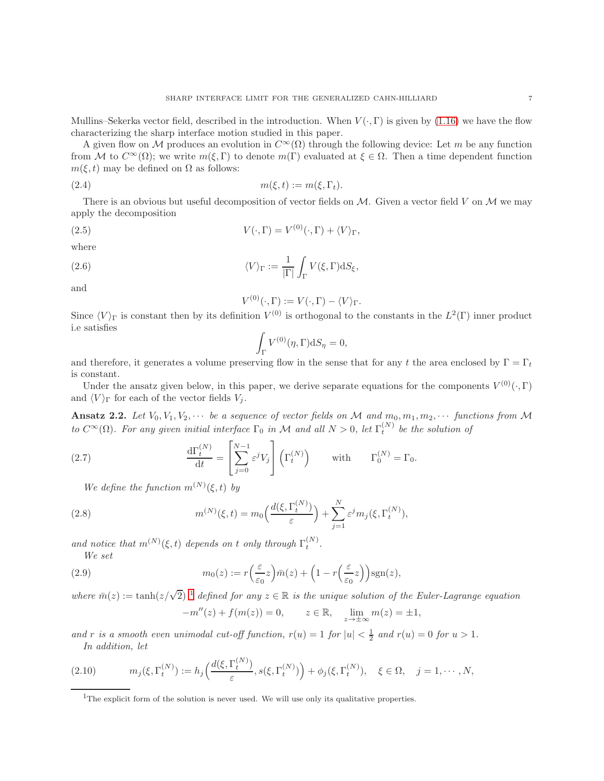Mullins–Sekerka vector field, described in the introduction. When  $V(\cdot, \Gamma)$  is given by [\(1.16\)](#page-3-5) we have the flow characterizing the sharp interface motion studied in this paper.

A given flow on M produces an evolution in  $C^{\infty}(\Omega)$  through the following device: Let m be any function from M to  $C^{\infty}(\Omega)$ ; we write  $m(\xi, \Gamma)$  to denote  $m(\Gamma)$  evaluated at  $\xi \in \Omega$ . Then a time dependent function  $m(\xi, t)$  may be defined on  $\Omega$  as follows:

$$
(2.4) \t\t\t m(\xi, t) := m(\xi, \Gamma_t).
$$

There is an obvious but useful decomposition of vector fields on  $M$ . Given a vector field V on  $M$  we may apply the decomposition

(2.5) 
$$
V(\cdot, \Gamma) = V^{(0)}(\cdot, \Gamma) + \langle V \rangle_{\Gamma},
$$

where

(2.6) 
$$
\langle V \rangle_{\Gamma} := \frac{1}{|\Gamma|} \int_{\Gamma} V(\xi, \Gamma) \mathrm{d}S_{\xi},
$$

and

<span id="page-6-4"></span>
$$
V^{(0)}(\cdot,\Gamma) := V(\cdot,\Gamma) - \langle V \rangle_{\Gamma}.
$$

Since  $\langle V \rangle_{\Gamma}$  is constant then by its definition  $V^{(0)}$  is orthogonal to the constants in the  $L^2(\Gamma)$  inner product i.e satisfies

$$
\int_{\Gamma} V^{(0)}(\eta, \Gamma) \mathrm{d}S_{\eta} = 0,
$$

and therefore, it generates a volume preserving flow in the sense that for any t the area enclosed by  $\Gamma = \Gamma_t$ is constant.

Under the ansatz given below, in this paper, we derive separate equations for the components  $V^{(0)}(\cdot,\Gamma)$ and  $\langle V \rangle_{\Gamma}$  for each of the vector fields  $V_j$ .

<span id="page-6-2"></span>Ansatz 2.2. Let  $V_0, V_1, V_2, \cdots$  be a sequence of vector fields on M and  $m_0, m_1, m_2, \cdots$  functions from M to  $C^{\infty}(\Omega)$ . For any given initial interface  $\Gamma_0$  in M and all  $N > 0$ , let  $\Gamma_t^{(N)}$  be the solution of

(2.7) 
$$
\frac{d\Gamma_t^{(N)}}{dt} = \left[\sum_{j=0}^{N-1} \varepsilon^j V_j\right] \left(\Gamma_t^{(N)}\right) \quad \text{with} \quad \Gamma_0^{(N)} = \Gamma_0.
$$

<span id="page-6-0"></span>We define the function  $m^{(N)}(\xi, t)$  by

(2.8) 
$$
m^{(N)}(\xi, t) = m_0 \Big( \frac{d(\xi, \Gamma_t^{(N)})}{\varepsilon} \Big) + \sum_{j=1}^N \varepsilon^j m_j(\xi, \Gamma_t^{(N)}),
$$

and notice that  $m^{(N)}(\xi, t)$  depends on t only through  $\Gamma_t^{(N)}$ . We set

(2.9) 
$$
m_0(z) := r\left(\frac{\varepsilon}{\varepsilon_0}z\right)\bar{m}(z) + \left(1 - r\left(\frac{\varepsilon}{\varepsilon_0}z\right)\right)\mathrm{sgn}(z),
$$

where  $\bar{m}(z) := \tanh(z/\sqrt{2})^{-1}$  $\bar{m}(z) := \tanh(z/\sqrt{2})^{-1}$  $\bar{m}(z) := \tanh(z/\sqrt{2})^{-1}$  defined for any  $z \in \mathbb{R}$  is the unique solution of the Euler-Lagrange equation  $m'(\lambda) + f(\mu(\lambda))$ 

<span id="page-6-6"></span><span id="page-6-3"></span>
$$
-m''(z) + f(m(z)) = 0, \qquad z \in \mathbb{R}, \quad \lim_{z \to \pm \infty} m(z) = \pm 1,
$$

and r is a smooth even unimodal cut-off function,  $r(u) = 1$  for  $|u| < \frac{1}{2}$  and  $r(u) = 0$  for  $u > 1$ . In addition, let

$$
(2.10) \t m_j(\xi, \Gamma_t^{(N)}) := h_j\left(\frac{d(\xi, \Gamma_t^{(N)})}{\varepsilon}, s(\xi, \Gamma_t^{(N)})\right) + \phi_j(\xi, \Gamma_t^{(N)}), \quad \xi \in \Omega, \quad j = 1, \cdots, N,
$$

<span id="page-6-5"></span><span id="page-6-1"></span><sup>&</sup>lt;sup>1</sup>The explicit form of the solution is never used. We will use only its qualitative properties.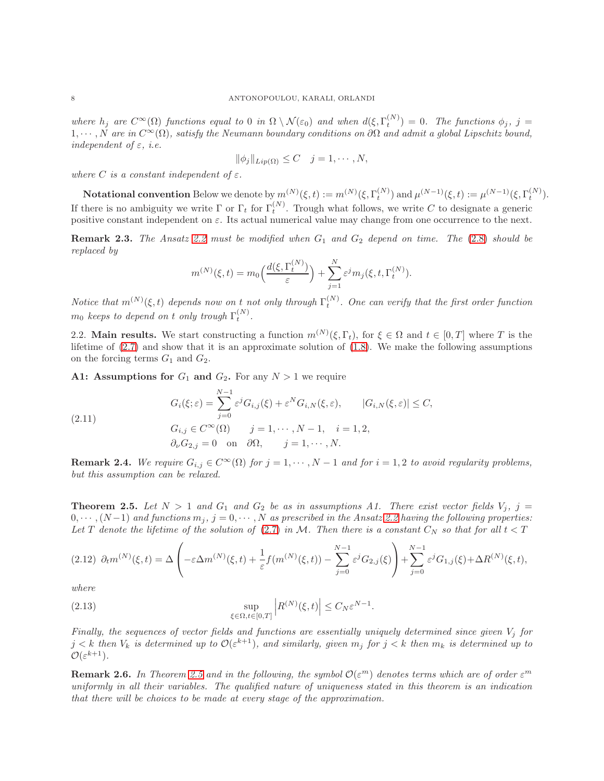where  $h_j$  are  $C^{\infty}(\Omega)$  functions equal to 0 in  $\Omega \setminus \mathcal{N}(\varepsilon_0)$  and when  $d(\xi, \Gamma_t^{(N)}) = 0$ . The functions  $\phi_j$ ,  $j =$  $1, \cdots, N$  are in  $C^{\infty}(\Omega)$ , satisfy the Neumann boundary conditions on  $\partial\Omega$  and admit a global Lipschitz bound, independent of  $\varepsilon$ , *i.e.* 

$$
\|\phi_j\|_{Lip(\Omega)} \leq C \quad j=1,\cdots,N,
$$

where C is a constant independent of  $\varepsilon$ .

Notational convention Below we denote by  $m^{(N)}(\xi, t) := m^{(N)}(\xi, \Gamma_t^{(N)})$  and  $\mu^{(N-1)}(\xi, t) := \mu^{(N-1)}(\xi, \Gamma_t^{(N)})$ . If there is no ambiguity we write  $\Gamma$  or  $\Gamma_t$  for  $\Gamma_t^{(N)}$ . Trough what follows, we write C to designate a generic positive constant independent on  $\varepsilon$ . Its actual numerical value may change from one occurrence to the next.

**Remark 2.3.** The Ansatz [2.2](#page-6-2) must be modified when  $G_1$  and  $G_2$  depend on time. The [\(2.8\)](#page-6-3) should be replaced by

$$
m^{(N)}(\xi,t) = m_0\Big(\frac{d(\xi,\Gamma_t^{(N)})}{\varepsilon}\Big) + \sum_{j=1}^N \varepsilon^j m_j(\xi,t,\Gamma_t^{(N)}).
$$

Notice that  $m^{(N)}(\xi, t)$  depends now on t not only through  $\Gamma_t^{(N)}$ . One can verify that the first order function  $m_0$  keeps to depend on t only trough  $\Gamma_t^{(N)}$ .

2.2. Main results. We start constructing a function  $m^{(N)}(\xi, \Gamma_t)$ , for  $\xi \in \Omega$  and  $t \in [0, T]$  where T is the lifetime of [\(2.7\)](#page-6-0) and show that it is an approximate solution of [\(1.8\)](#page-2-3). We make the following assumptions on the forcing terms  $G_1$  and  $G_2$ .

A1: Assumptions for  $G_1$  and  $G_2$ . For any  $N > 1$  we require

(2.11)  
\n
$$
G_i(\xi; \varepsilon) = \sum_{j=0}^{N-1} \varepsilon^j G_{i,j}(\xi) + \varepsilon^N G_{i,N}(\xi, \varepsilon), \qquad |G_{i,N}(\xi, \varepsilon)| \le C,
$$
\n
$$
G_{i,j} \in C^\infty(\Omega) \qquad j = 1, \cdots, N-1, \quad i = 1, 2,
$$
\n
$$
\partial_\nu G_{2,j} = 0 \quad \text{on} \quad \partial\Omega, \qquad j = 1, \cdots, N.
$$

**Remark 2.4.** We require  $G_{i,j} \in C^{\infty}(\Omega)$  for  $j = 1, \dots, N-1$  and for  $i = 1, 2$  to avoid regularity problems, but this assumption can be relaxed.

<span id="page-7-0"></span>**Theorem 2.5.** Let  $N > 1$  and  $G_1$  and  $G_2$  be as in assumptions A1. There exist vector fields  $V_j$ ,  $j =$  $0, \cdots, (N-1)$  and functions  $m_j$ ,  $j = 0, \cdots, N$  as prescribed in the Ansatz [2.2](#page-6-2) having the following properties: Let T denote the lifetime of the solution of [\(2.7\)](#page-6-0) in M. Then there is a constant  $C_N$  so that for all  $t < T$ 

<span id="page-7-1"></span>
$$
(2.12) \ \partial_t m^{(N)}(\xi, t) = \Delta \left( -\varepsilon \Delta m^{(N)}(\xi, t) + \frac{1}{\varepsilon} f(m^{(N)}(\xi, t)) - \sum_{j=0}^{N-1} \varepsilon^j G_{2,j}(\xi) \right) + \sum_{j=0}^{N-1} \varepsilon^j G_{1,j}(\xi) + \Delta R^{(N)}(\xi, t),
$$

where

(2.13) 
$$
\sup_{\xi \in \Omega, t \in [0,T]} \left| R^{(N)}(\xi, t) \right| \leq C_N \varepsilon^{N-1}.
$$

Finally, the sequences of vector fields and functions are essentially uniquely determined since given  $V_i$  for  $j < k$  then  $V_k$  is determined up to  $\mathcal{O}(\varepsilon^{k+1})$ , and similarly, given  $m_j$  for  $j < k$  then  $m_k$  is determined up to  $\mathcal{O}(\varepsilon^{k+1}).$ 

**Remark 2.6.** In Theorem [2.5](#page-7-0) and in the following, the symbol  $\mathcal{O}(\varepsilon^m)$  denotes terms which are of order  $\varepsilon^m$ uniformly in all their variables. The qualified nature of uniqueness stated in this theorem is an indication that there will be choices to be made at every stage of the approximation.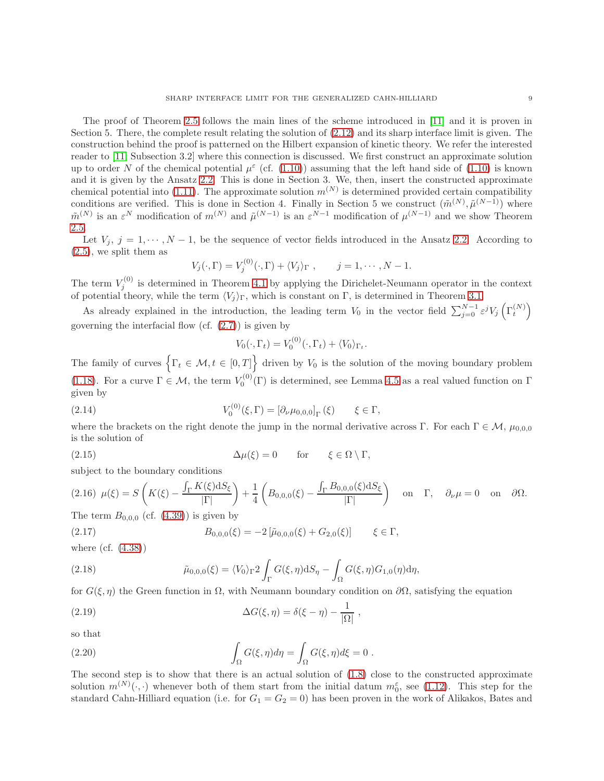The proof of Theorem [2.5](#page-7-0) follows the main lines of the scheme introduced in [\[11\]](#page-30-0) and it is proven in Section 5. There, the complete result relating the solution of [\(2.12\)](#page-7-1) and its sharp interface limit is given. The construction behind the proof is patterned on the Hilbert expansion of kinetic theory. We refer the interested reader to [\[11,](#page-30-0) Subsection 3.2] where this connection is discussed. We first construct an approximate solution up to order N of the chemical potential  $\mu^{\epsilon}$  (cf. [\(1.10\)](#page-3-1)) assuming that the left hand side of (1.10) is known and it is given by the Ansatz [2.2.](#page-6-2) This is done in Section 3. We, then, insert the constructed approximate chemical potential into [\(1.11\)](#page-3-2). The approximate solution  $m^{(N)}$  is determined provided certain compatibility conditions are verified. This is done in Section 4. Finally in Section 5 we construct  $(\tilde{m}^{(N)}, \tilde{\mu}^{(N-1)})$  where  $\tilde{m}^{(N)}$  is an  $\varepsilon^N$  modification of  $m^{(N)}$  and  $\tilde{\mu}^{(N-1)}$  is an  $\varepsilon^{N-1}$  modification of  $\mu^{(N-1)}$  and we show Theorem [2.5.](#page-7-0)

Let  $V_i$ ,  $j = 1, \dots, N-1$ , be the sequence of vector fields introduced in the Ansatz [2.2.](#page-6-2) According to [\(2.5\)](#page-6-4), we split them as

$$
V_j(\cdot, \Gamma) = V_j^{(0)}(\cdot, \Gamma) + \langle V_j \rangle_{\Gamma} , \qquad j = 1, \cdots, N-1.
$$

The term  $V_j^{(0)}$  is determined in Theorem [4.1](#page-15-0) by applying the Dirichelet-Neumann operator in the context of potential theory, while the term  $\langle V_j \rangle_{\Gamma}$ , which is constant on Γ, is determined in Theorem [3.1.](#page-9-0)

As already explained in the introduction, the leading term  $V_0$  in the vector field  $\sum_{j=0}^{N-1} \varepsilon^j V_j \left(\Gamma_t^{(N)}\right)$ governing the interfacial flow (cf.  $(2.7)$ ) is given by

$$
V_0(\cdot, \Gamma_t) = V_0^{(0)}(\cdot, \Gamma_t) + \langle V_0 \rangle_{\Gamma_t}.
$$

The family of curves  $\{ \Gamma_t \in \mathcal{M}, t \in [0, T] \}$  driven by  $V_0$  is the solution of the moving boundary problem [\(1.18\)](#page-4-0). For a curve  $\Gamma \in \mathcal{M}$ , the term  $V_0^{(0)}(\Gamma)$  is determined, see Lemma [4.5](#page-19-1) as a real valued function on  $\Gamma$ given by

(2.14) 
$$
V_0^{(0)}(\xi,\Gamma) = [\partial_\nu \mu_{0,0,0}]_\Gamma(\xi) \qquad \xi \in \Gamma,
$$

where the brackets on the right denote the jump in the normal derivative across Γ. For each  $\Gamma \in \mathcal{M}$ ,  $\mu_{0.0,0}$ is the solution of

(2.15) 
$$
\Delta \mu(\xi) = 0 \quad \text{for} \quad \xi \in \Omega \setminus \Gamma,
$$

subject to the boundary conditions

$$
(2.16)\ \mu(\xi) = S\left(K(\xi) - \frac{\int_{\Gamma} K(\xi) dS_{\xi}}{|\Gamma|}\right) + \frac{1}{4}\left(B_{0,0,0}(\xi) - \frac{\int_{\Gamma} B_{0,0,0}(\xi) dS_{\xi}}{|\Gamma|}\right) \quad \text{on} \quad \Gamma, \quad \partial_{\nu}\mu = 0 \quad \text{on} \quad \partial\Omega.
$$

The term  $B_{0,0,0}$  (cf.  $(4.39)$ ) is given by

(2.17) 
$$
B_{0,0,0}(\xi) = -2\left[\tilde{\mu}_{0,0,0}(\xi) + G_{2,0}(\xi)\right] \qquad \xi \in \Gamma,
$$

where (cf. [\(4.38\)](#page-20-1))

(2.18) 
$$
\tilde{\mu}_{0,0,0}(\xi) = \langle V_0 \rangle_{\Gamma} 2 \int_{\Gamma} G(\xi,\eta) \mathrm{d}S_{\eta} - \int_{\Omega} G(\xi,\eta) G_{1,0}(\eta) \mathrm{d}\eta,
$$

for  $G(\xi, \eta)$  the Green function in  $\Omega$ , with Neumann boundary condition on  $\partial\Omega$ , satisfying the equation

<span id="page-8-1"></span><span id="page-8-0"></span>,

(2.19) 
$$
\Delta G(\xi, \eta) = \delta(\xi - \eta) - \frac{1}{|\Omega|}
$$

so that

(2.20) 
$$
\int_{\Omega} G(\xi, \eta) d\eta = \int_{\Omega} G(\xi, \eta) d\xi = 0.
$$

The second step is to show that there is an actual solution of  $(1.8)$  close to the constructed approximate solution  $m^{(N)}(\cdot, \cdot)$  whenever both of them start from the initial datum  $m_0^{\varepsilon}$ , see [\(1.12\)](#page-3-4). This step for the standard Cahn-Hilliard equation (i.e. for  $G_1 = G_2 = 0$ ) has been proven in the work of Alikakos, Bates and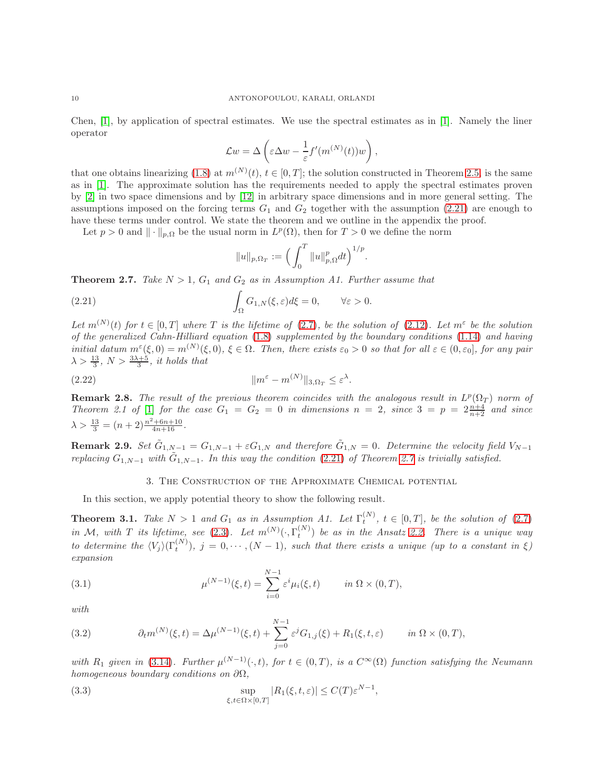Chen, [\[1\]](#page-30-1), by application of spectral estimates. We use the spectral estimates as in [\[1\]](#page-30-1). Namely the liner operator

$$
\mathcal{L}w = \Delta \left( \varepsilon \Delta w - \frac{1}{\varepsilon} f'(m^{(N)}(t))w \right),
$$

that one obtains linearizing [\(1.8\)](#page-2-3) at  $m^{(N)}(t)$ ,  $t \in [0, T]$ ; the solution constructed in Theorem [2.5,](#page-7-0) is the same as in [\[1\]](#page-30-1). The approximate solution has the requirements needed to apply the spectral estimates proven by [\[2\]](#page-30-18) in two space dimensions and by [\[12\]](#page-30-19) in arbitrary space dimensions and in more general setting. The assumptions imposed on the forcing terms  $G_1$  and  $G_2$  together with the assumption [\(2.21\)](#page-9-1) are enough to have these terms under control. We state the theorem and we outline in the appendix the proof.

Let  $p > 0$  and  $\| \cdot \|_{p,\Omega}$  be the usual norm in  $L^p(\Omega)$ , then for  $T > 0$  we define the norm

<span id="page-9-1"></span>
$$
||u||_{p,\Omega_T} := \Big(\int_0^T ||u||_{p,\Omega}^p dt\Big)^{1/p}
$$

.

<span id="page-9-2"></span>**Theorem 2.7.** Take  $N > 1$ ,  $G_1$  and  $G_2$  as in Assumption A1. Further assume that

(2.21) 
$$
\int_{\Omega} G_{1,N}(\xi,\varepsilon) d\xi = 0, \qquad \forall \varepsilon > 0.
$$

Let  $m^{(N)}(t)$  for  $t \in [0,T]$  where T is the lifetime of [\(2.7\)](#page-6-0), be the solution of [\(2.12\)](#page-7-1). Let  $m^{\varepsilon}$  be the solution of the generalized Cahn-Hilliard equation [\(1.8\)](#page-2-3) supplemented by the boundary conditions [\(1.14\)](#page-3-6) and having initial datum  $m^{\varepsilon}(\xi,0) = m^{(N)}(\xi,0)$ ,  $\xi \in \Omega$ . Then, there exists  $\varepsilon_0 > 0$  so that for all  $\varepsilon \in (0,\varepsilon_0]$ , for any pair  $\lambda > \frac{13}{3}$ ,  $N > \frac{3\lambda + 5}{3}$ , it holds that

(2.22) 
$$
\|m^{\varepsilon}-m^{(N)}\|_{3,\Omega_T}\leq \varepsilon^{\lambda}.
$$

**Remark 2.8.** The result of the previous theorem coincides with the analogous result in  $L^p(\Omega_T)$  norm of Theorem 2.1 of [\[1\]](#page-30-1) for the case  $G_1 = G_2 = 0$  in dimensions  $n = 2$ , since  $3 = p = 2\frac{n+4}{n+2}$  and since  $\lambda > \frac{13}{3} = (n+2) \frac{n^2 + 6n + 10}{4n + 16}.$ 

**Remark 2.9.** Set  $\tilde{G}_{1,N-1} = G_{1,N-1} + \varepsilon G_{1,N}$  and therefore  $\tilde{G}_{1,N} = 0$ . Determine the velocity field  $V_{N-1}$ replacing  $G_{1,N-1}$  with  $\tilde{G}_{1,N-1}$ . In this way the condition [\(2.21\)](#page-9-1) of Theorem [2.7](#page-9-2) is trivially satisfied.

### <span id="page-9-3"></span>3. The Construction of the Approximate Chemical potential

In this section, we apply potential theory to show the following result.

<span id="page-9-0"></span>**Theorem 3.1.** Take  $N > 1$  and  $G_1$  as in Assumption A1. Let  $\Gamma_t^{(N)}$ ,  $t \in [0, T]$ , be the solution of [\(2.7\)](#page-6-0) in M, with T its lifetime, see [\(2.3\)](#page-5-1). Let  $m^{(N)}(\cdot,\Gamma_t^{(N)})$  be as in the Ansatz [2.2.](#page-6-2) There is a unique way to determine the  $\langle V_j \rangle(\Gamma_t^{(N)})$ ,  $j = 0, \cdots, (N-1)$ , such that there exists a unique (up to a constant in ξ) expansion

(3.1) 
$$
\mu^{(N-1)}(\xi, t) = \sum_{i=0}^{N-1} \varepsilon^i \mu_i(\xi, t) \qquad in \ \Omega \times (0, T),
$$

with

<span id="page-9-4"></span>(3.2) 
$$
\partial_t m^{(N)}(\xi, t) = \Delta \mu^{(N-1)}(\xi, t) + \sum_{j=0}^{N-1} \varepsilon^j G_{1,j}(\xi) + R_1(\xi, t, \varepsilon) \qquad in \ \Omega \times (0, T),
$$

with  $R_1$  given in [\(3.14\)](#page-11-0). Further  $\mu^{(N-1)}(\cdot,t)$ , for  $t \in (0,T)$ , is a  $C^{\infty}(\Omega)$  function satisfying the Neumann homogeneous boundary conditions on  $\partial\Omega$ ,

<span id="page-9-5"></span>(3.3) 
$$
\sup_{\xi, t \in \Omega \times [0,T]} |R_1(\xi, t, \varepsilon)| \le C(T) \varepsilon^{N-1},
$$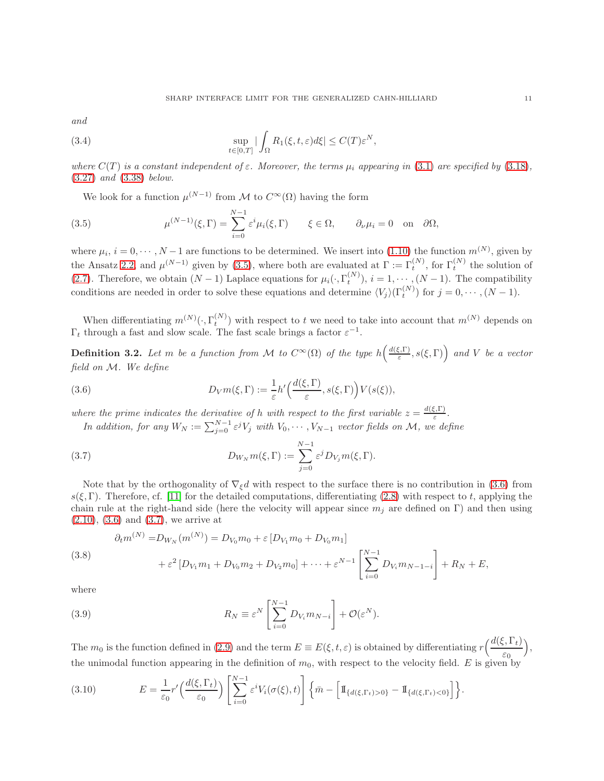<span id="page-10-6"></span>and

(3.4) 
$$
\sup_{t\in[0,T]}|\int_{\Omega} R_1(\xi,t,\varepsilon)d\xi| \leq C(T)\varepsilon^N,
$$

where  $C(T)$  is a constant independent of  $\varepsilon$ . Moreover, the terms  $\mu_i$  appearing in [\(3.1\)](#page-9-3) are specified by [\(3.18\)](#page-12-0), [\(3.27\)](#page-13-0) and [\(3.38\)](#page-14-0) below.

<span id="page-10-0"></span>We look for a function  $\mu^{(N-1)}$  from M to  $C^{\infty}(\Omega)$  having the form

(3.5) 
$$
\mu^{(N-1)}(\xi,\Gamma) = \sum_{i=0}^{N-1} \varepsilon^i \mu_i(\xi,\Gamma) \qquad \xi \in \Omega, \qquad \partial_\nu \mu_i = 0 \quad \text{on} \quad \partial \Omega,
$$

where  $\mu_i$ ,  $i = 0, \dots, N-1$  are functions to be determined. We insert into [\(1.10\)](#page-3-1) the function  $m^{(N)}$ , given by the Ansatz [2.2,](#page-6-2) and  $\mu^{(N-1)}$  given by [\(3.5\)](#page-10-0), where both are evaluated at  $\Gamma := \Gamma_t^{(N)}$ , for  $\Gamma_t^{(N)}$  the solution of [\(2.7\)](#page-6-0). Therefore, we obtain  $(N-1)$  Laplace equations for  $\mu_i(\cdot, \Gamma_t^{(N)})$ ,  $i = 1, \dots, (N-1)$ . The compatibility conditions are needed in order to solve these equations and determine  $\langle V_j \rangle(\Gamma_t^{(N)})$  for  $j = 0, \dots, (N-1)$ .

When differentiating  $m^{(N)}(\cdot, \Gamma_t^{(N)})$  with respect to t we need to take into account that  $m^{(N)}$  depends on  $\Gamma_t$  through a fast and slow scale. The fast scale brings a factor  $\varepsilon^{-1}$ .

**Definition 3.2.** Let m be a function from M to  $C^{\infty}(\Omega)$  of the type  $h\left(\frac{d(\xi,\Gamma)}{\varepsilon}\right)$  $\left(\frac{\varepsilon,\Gamma}{\varepsilon},s(\xi,\Gamma)\right)$  and V be a vector field on M. We define

(3.6) 
$$
D_V m(\xi, \Gamma) := \frac{1}{\varepsilon} h' \left( \frac{d(\xi, \Gamma)}{\varepsilon}, s(\xi, \Gamma) \right) V(s(\xi)),
$$

where the prime indicates the derivative of h with respect to the first variable  $z = \frac{d(\xi,\Gamma)}{\varepsilon}$  $\frac{\xi,1}{\varepsilon}$ .

<span id="page-10-2"></span><span id="page-10-1"></span>In addition, for any  $W_N := \sum_{j=0}^{N-1} \varepsilon^j V_j$  with  $V_0, \cdots, V_{N-1}$  vector fields on  $\mathcal{M}$ , we define

(3.7) 
$$
D_{W_N}m(\xi,\Gamma):=\sum_{j=0}^{N-1}\varepsilon^j D_{V_j}m(\xi,\Gamma).
$$

Note that by the orthogonality of  $\nabla_{\xi}d$  with respect to the surface there is no contribution in [\(3.6\)](#page-10-1) from  $s(\xi, \Gamma)$ . Therefore, cf. [\[11\]](#page-30-0) for the detailed computations, differentiating [\(2.8\)](#page-6-3) with respect to t, applying the chain rule at the right-hand side (here the velocity will appear since  $m_i$  are defined on Γ) and then using [\(2.10\)](#page-6-5), [\(3.6\)](#page-10-1) and [\(3.7\)](#page-10-2), we arrive at

<span id="page-10-3"></span>(3.8)  
\n
$$
\partial_t m^{(N)} = D_{W_N}(m^{(N)}) = D_{V_0} m_0 + \varepsilon [D_{V_1} m_0 + D_{V_0} m_1]
$$
\n
$$
+ \varepsilon^2 [D_{V_1} m_1 + D_{V_0} m_2 + D_{V_2} m_0] + \dots + \varepsilon^{N-1} \left[ \sum_{i=0}^{N-1} D_{V_i} m_{N-1-i} \right] + R_N + E,
$$

where

<span id="page-10-4"></span>(3.9) 
$$
R_N \equiv \varepsilon^N \left[ \sum_{i=0}^{N-1} D_{V_i} m_{N-i} \right] + \mathcal{O}(\varepsilon^N).
$$

The  $m_0$  is the function defined in [\(2.9\)](#page-6-6) and the term  $E \equiv E(\xi, t, \varepsilon)$  is obtained by differentiating  $r \left( \frac{d(\xi, \Gamma_t)}{\varepsilon_0} \right)$  $\varepsilon_0$  $\big),$ the unimodal function appearing in the definition of  $m_0$ , with respect to the velocity field. E is given by

<span id="page-10-5"></span>(3.10) 
$$
E = \frac{1}{\varepsilon_0} r' \left( \frac{d(\xi, \Gamma_t)}{\varepsilon_0} \right) \left[ \sum_{i=0}^{N-1} \varepsilon^i V_i(\sigma(\xi), t) \right] \left\{ \bar{m} - \left[ \mathbb{I}_{\{d(\xi, \Gamma_t) > 0\}} - \mathbb{I}_{\{d(\xi, \Gamma_t) < 0\}} \right] \right\}.
$$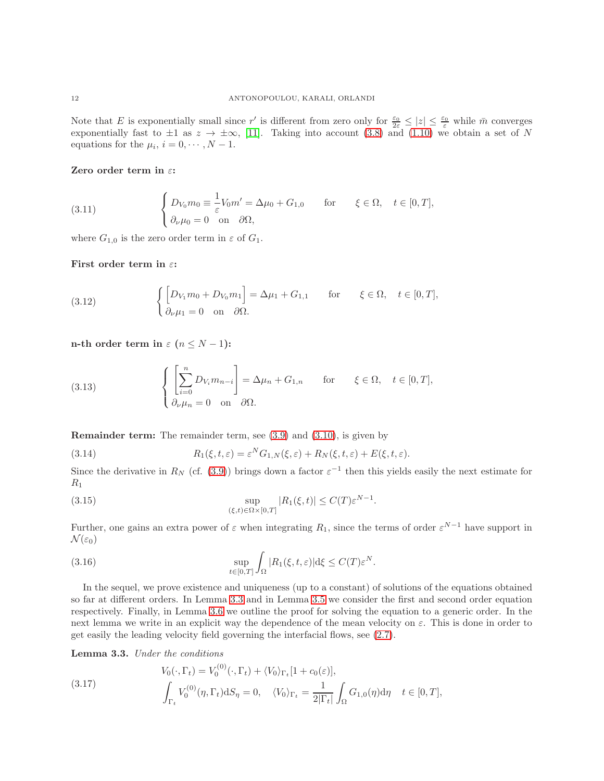Note that E is exponentially small since r' is different from zero only for  $\frac{\varepsilon_0}{2\varepsilon} \leq |z| \leq \frac{\varepsilon_0}{\varepsilon}$  while  $\bar{m}$  converges exponentially fast to  $\pm 1$  as  $z \to \pm \infty$ , [\[11\]](#page-30-0). Taking into account [\(3.8\)](#page-10-3) and [\(1.10\)](#page-3-1) we obtain a set of N equations for the  $\mu_i$ ,  $i = 0, \dots, N - 1$ .

### Zero order term in  $\varepsilon$ :

<span id="page-11-2"></span>(3.11) 
$$
\begin{cases} D_{V_0} m_0 \equiv \frac{1}{\varepsilon} V_0 m' = \Delta \mu_0 + G_{1,0} & \text{for } \xi \in \Omega, \quad t \in [0, T], \\ \partial_\nu \mu_0 = 0 & \text{on } \partial \Omega, \end{cases}
$$

where  $G_{1,0}$  is the zero order term in  $\varepsilon$  of  $G_1$ .

First order term in  $\varepsilon$ :

<span id="page-11-4"></span>(3.12) 
$$
\begin{cases} \left[D_{V_1}m_0 + D_{V_0}m_1\right] = \Delta \mu_1 + G_{1,1} & \text{for } \xi \in \Omega, \quad t \in [0,T], \\ \partial_{\nu} \mu_1 = 0 & \text{on } \partial \Omega. \end{cases}
$$

n-th order term in  $\varepsilon$   $(n \leq N-1)$ :

<span id="page-11-5"></span>(3.13) 
$$
\begin{cases} \left[\sum_{i=0}^{n} D_{V_i} m_{n-i}\right] = \Delta \mu_n + G_{1,n} & \text{for } \xi \in \Omega, \quad t \in [0,T], \\ \partial_{\nu} \mu_n = 0 & \text{on } \partial \Omega. \end{cases}
$$

Remainder term: The remainder term, see [\(3.9\)](#page-10-4) and [\(3.10\)](#page-10-5), is given by

<span id="page-11-0"></span>(3.14) 
$$
R_1(\xi, t, \varepsilon) = \varepsilon^N G_{1,N}(\xi, \varepsilon) + R_N(\xi, t, \varepsilon) + E(\xi, t, \varepsilon).
$$

Since the derivative in  $R_N$  (cf. [\(3.9\)](#page-10-4)) brings down a factor  $\varepsilon^{-1}$  then this yields easily the next estimate for  $R_1$ 

<span id="page-11-6"></span>(3.15) 
$$
\sup_{(\xi,t)\in\Omega\times[0,T]}|R_1(\xi,t)|\leq C(T)\varepsilon^{N-1}.
$$

Further, one gains an extra power of  $\varepsilon$  when integrating  $R_1$ , since the terms of order  $\varepsilon^{N-1}$  have support in  $\mathcal{N}(\varepsilon_0)$ 

<span id="page-11-7"></span>(3.16) 
$$
\sup_{t\in[0,T]}\int_{\Omega}|R_1(\xi,t,\varepsilon)|\mathrm{d}\xi\leq C(T)\varepsilon^N.
$$

In the sequel, we prove existence and uniqueness (up to a constant) of solutions of the equations obtained so far at different orders. In Lemma [3.3](#page-11-1) and in Lemma [3.5](#page-13-1) we consider the first and second order equation respectively. Finally, in Lemma [3.6](#page-14-1) we outline the proof for solving the equation to a generic order. In the next lemma we write in an explicit way the dependence of the mean velocity on  $\varepsilon$ . This is done in order to get easily the leading velocity field governing the interfacial flows, see [\(2.7\)](#page-6-0).

<span id="page-11-1"></span>Lemma 3.3. Under the conditions

<span id="page-11-3"></span>(3.17) 
$$
V_0(\cdot, \Gamma_t) = V_0^{(0)}(\cdot, \Gamma_t) + \langle V_0 \rangle_{\Gamma_t} [1 + c_0(\varepsilon)],
$$

$$
\int_{\Gamma_t} V_0^{(0)}(\eta, \Gamma_t) dS_{\eta} = 0, \quad \langle V_0 \rangle_{\Gamma_t} = \frac{1}{2|\Gamma_t|} \int_{\Omega} G_{1,0}(\eta) d\eta \quad t \in [0, T],
$$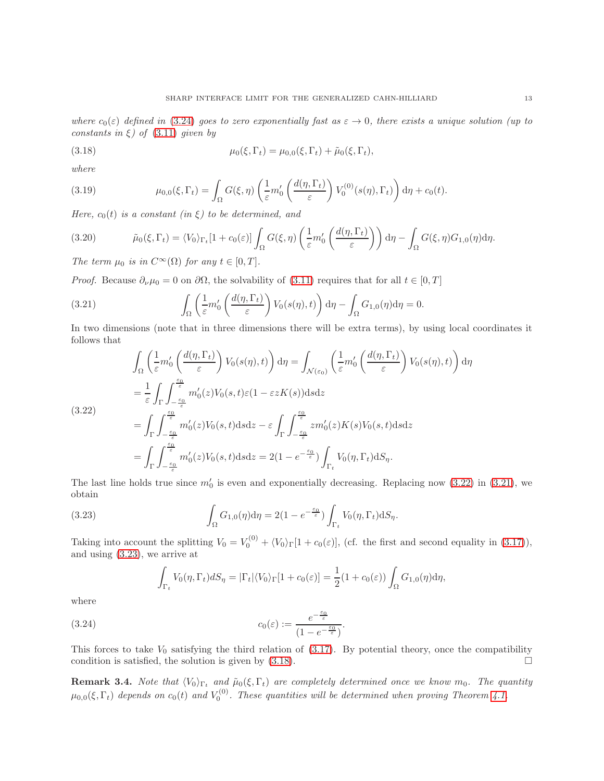<span id="page-12-0"></span>(3.18) 
$$
\mu_0(\xi, \Gamma_t) = \mu_{0,0}(\xi, \Gamma_t) + \tilde{\mu}_0(\xi, \Gamma_t),
$$

where

(3.19) 
$$
\mu_{0,0}(\xi,\Gamma_t) = \int_{\Omega} G(\xi,\eta) \left( \frac{1}{\varepsilon} m_0' \left( \frac{d(\eta,\Gamma_t)}{\varepsilon} \right) V_0^{(0)}(s(\eta),\Gamma_t) \right) d\eta + c_0(t).
$$

Here,  $c_0(t)$  is a constant (in  $\xi$ ) to be determined, and

(3.20) 
$$
\tilde{\mu}_0(\xi, \Gamma_t) = \langle V_0 \rangle_{\Gamma_t} [1 + c_0(\varepsilon)] \int_{\Omega} G(\xi, \eta) \left( \frac{1}{\varepsilon} m_0' \left( \frac{d(\eta, \Gamma_t)}{\varepsilon} \right) \right) d\eta - \int_{\Omega} G(\xi, \eta) G_{1,0}(\eta) d\eta.
$$

The term  $\mu_0$  is in  $C^{\infty}(\Omega)$  for any  $t \in [0, T]$ .

*Proof.* Because  $\partial_{\nu}\mu_0 = 0$  on  $\partial\Omega$ , the solvability of [\(3.11\)](#page-11-2) requires that for all  $t \in [0, T]$ 

<span id="page-12-3"></span>(3.21) 
$$
\int_{\Omega} \left( \frac{1}{\varepsilon} m_0' \left( \frac{d(\eta, \Gamma_t)}{\varepsilon} \right) V_0(s(\eta), t) \right) d\eta - \int_{\Omega} G_{1,0}(\eta) d\eta = 0.
$$

In two dimensions (note that in three dimensions there will be extra terms), by using local coordinates it follows that

<span id="page-12-2"></span>
$$
\int_{\Omega} \left( \frac{1}{\varepsilon} m_0' \left( \frac{d(\eta, \Gamma_t)}{\varepsilon} \right) V_0(s(\eta), t) \right) d\eta = \int_{\mathcal{N}(\varepsilon_0)} \left( \frac{1}{\varepsilon} m_0' \left( \frac{d(\eta, \Gamma_t)}{\varepsilon} \right) V_0(s(\eta), t) \right) d\eta
$$
\n
$$
= \frac{1}{\varepsilon} \int_{\Gamma} \int_{-\frac{\varepsilon_0}{\varepsilon}}^{\frac{\varepsilon_0}{\varepsilon}} m_0'(z) V_0(s, t) \varepsilon (1 - \varepsilon z K(s)) ds dz
$$
\n
$$
= \int_{\Gamma} \int_{-\frac{\varepsilon_0}{\varepsilon}}^{\frac{\varepsilon_0}{\varepsilon}} m_0'(z) V_0(s, t) ds dz - \varepsilon \int_{\Gamma} \int_{-\frac{\varepsilon_0}{\varepsilon}}^{\frac{\varepsilon_0}{\varepsilon}} z m_0'(z) K(s) V_0(s, t) ds dz
$$
\n
$$
= \int_{\Gamma} \int_{-\frac{\varepsilon_0}{\varepsilon}}^{\frac{\varepsilon_0}{\varepsilon}} m_0'(z) V_0(s, t) ds dz = 2(1 - e^{-\frac{\varepsilon_0}{\varepsilon}}) \int_{\Gamma_t} V_0(\eta, \Gamma_t) dS_\eta.
$$

The last line holds true since  $m'_0$  is even and exponentially decreasing. Replacing now  $(3.22)$  in  $(3.21)$ , we obtain

(3.23) 
$$
\int_{\Omega} G_{1,0}(\eta) d\eta = 2(1 - e^{-\frac{\epsilon_0}{\epsilon}}) \int_{\Gamma_t} V_0(\eta, \Gamma_t) dS_{\eta}.
$$

Taking into account the splitting  $V_0 = V_0^{(0)} + \langle V_0 \rangle_{\Gamma} [1 + c_0(\varepsilon)],$  (cf. the first and second equality in [\(3.17\)](#page-11-3)), and using [\(3.23\)](#page-12-4), we arrive at

<span id="page-12-4"></span>
$$
\int_{\Gamma_t} V_0(\eta, \Gamma_t) dS_{\eta} = |\Gamma_t| \langle V_0 \rangle_{\Gamma} [1 + c_0(\varepsilon)] = \frac{1}{2} (1 + c_0(\varepsilon)) \int_{\Omega} G_{1,0}(\eta) d\eta,
$$

where

(3.24) 
$$
c_0(\varepsilon) := \frac{e^{-\frac{\varepsilon_0}{\varepsilon}}}{(1 - e^{-\frac{\varepsilon_0}{\varepsilon}})}
$$

This forces to take  $V_0$  satisfying the third relation of [\(3.17\)](#page-11-3). By potential theory, once the compatibility condition is satisfied, the solution is given by  $(3.18)$ .

<span id="page-12-1"></span>.

**Remark 3.4.** Note that  $\langle V_0 \rangle_{\Gamma_t}$  and  $\tilde{\mu}_0(\xi, \Gamma_t)$  are completely determined once we know  $m_0$ . The quantity  $\mu_{0,0}(\xi,\Gamma_t)$  depends on  $c_0(t)$  and  $V_0^{(0)}$ . These quantities will be determined when proving Theorem [4.1.](#page-15-0)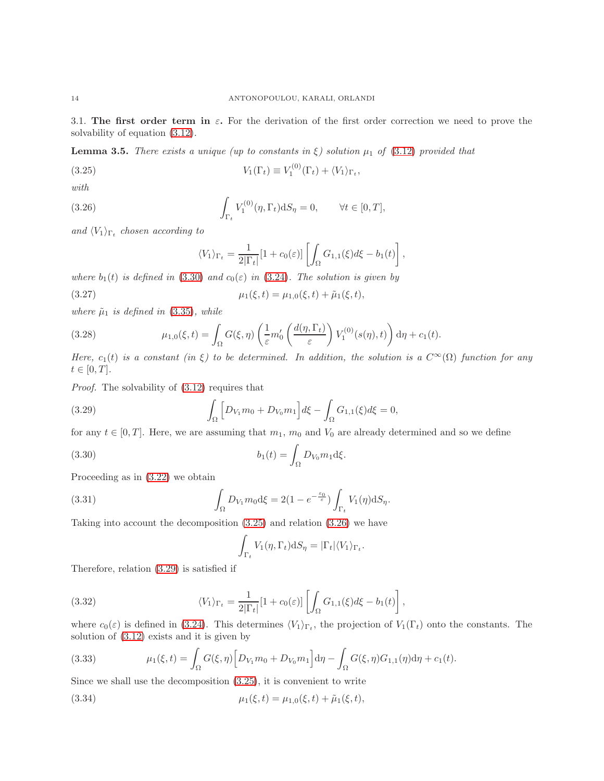3.1. The first order term in  $\varepsilon$ . For the derivation of the first order correction we need to prove the solvability of equation [\(3.12\)](#page-11-4).

<span id="page-13-1"></span>**Lemma 3.5.** There exists a unique (up to constants in  $\xi$ ) solution  $\mu_1$  of [\(3.12\)](#page-11-4) provided that

(3.25) 
$$
V_1(\Gamma_t) \equiv V_1^{(0)}(\Gamma_t) + \langle V_1 \rangle_{\Gamma_t},
$$

with

(3.26) 
$$
\int_{\Gamma_t} V_1^{(0)}(\eta, \Gamma_t) dS_{\eta} = 0, \qquad \forall t \in [0, T],
$$

and  $\langle V_1 \rangle_{\Gamma_t}$  chosen according to

<span id="page-13-4"></span><span id="page-13-3"></span><span id="page-13-0"></span>
$$
\langle V_1 \rangle_{\Gamma_t} = \frac{1}{2|\Gamma_t|} [1 + c_0(\varepsilon)] \left[ \int_{\Omega} G_{1,1}(\xi) d\xi - b_1(t) \right],
$$

where  $b_1(t)$  is defined in [\(3.30\)](#page-13-2) and  $c_0(\varepsilon)$  in [\(3.24\)](#page-12-1). The solution is given by

(3.27) 
$$
\mu_1(\xi, t) = \mu_{1,0}(\xi, t) + \tilde{\mu}_1(\xi, t),
$$

where  $\tilde{\mu}_1$  is defined in [\(3.35\)](#page-14-2), while

<span id="page-13-6"></span>(3.28) 
$$
\mu_{1,0}(\xi,t) = \int_{\Omega} G(\xi,\eta) \left( \frac{1}{\varepsilon} m_0' \left( \frac{d(\eta,\Gamma_t)}{\varepsilon} \right) V_1^{(0)}(s(\eta),t) \right) d\eta + c_1(t).
$$

Here,  $c_1(t)$  is a constant (in ξ) to be determined. In addition, the solution is a  $C^{\infty}(\Omega)$  function for any  $t \in [0, T]$ .

Proof. The solvability of [\(3.12\)](#page-11-4) requires that

<span id="page-13-5"></span>(3.29) 
$$
\int_{\Omega} \left[ D_{V_1} m_0 + D_{V_0} m_1 \right] d\xi - \int_{\Omega} G_{1,1}(\xi) d\xi = 0,
$$

for any  $t \in [0, T]$ . Here, we are assuming that  $m_1, m_0$  and  $V_0$  are already determined and so we define

(3.30) 
$$
b_1(t) = \int_{\Omega} D_{V_0} m_1 d\xi.
$$

Proceeding as in [\(3.22\)](#page-12-2) we obtain

(3.31) 
$$
\int_{\Omega} D_{V_1} m_0 d\xi = 2(1 - e^{-\frac{\varepsilon_0}{\varepsilon}}) \int_{\Gamma_t} V_1(\eta) dS_{\eta}.
$$

Taking into account the decomposition [\(3.25\)](#page-13-3) and relation [\(3.26\)](#page-13-4) we have

<span id="page-13-7"></span><span id="page-13-2"></span>
$$
\int_{\Gamma_t} V_1(\eta, \Gamma_t) \mathrm{d}S_{\eta} = |\Gamma_t| \langle V_1 \rangle_{\Gamma_t}
$$

.

Therefore, relation [\(3.29\)](#page-13-5) is satisfied if

(3.32) 
$$
\langle V_1 \rangle_{\Gamma_t} = \frac{1}{2|\Gamma_t|} [1 + c_0(\varepsilon)] \left[ \int_{\Omega} G_{1,1}(\xi) d\xi - b_1(t) \right],
$$

where  $c_0(\varepsilon)$  is defined in [\(3.24\)](#page-12-1). This determines  $\langle V_1 \rangle_{\Gamma_t}$ , the projection of  $V_1(\Gamma_t)$  onto the constants. The solution of [\(3.12\)](#page-11-4) exists and it is given by

(3.33) 
$$
\mu_1(\xi, t) = \int_{\Omega} G(\xi, \eta) \Big[ D_{V_1} m_0 + D_{V_0} m_1 \Big] d\eta - \int_{\Omega} G(\xi, \eta) G_{1,1}(\eta) d\eta + c_1(t).
$$

Since we shall use the decomposition [\(3.25\)](#page-13-3), it is convenient to write

(3.34) 
$$
\mu_1(\xi, t) = \mu_{1,0}(\xi, t) + \tilde{\mu}_1(\xi, t),
$$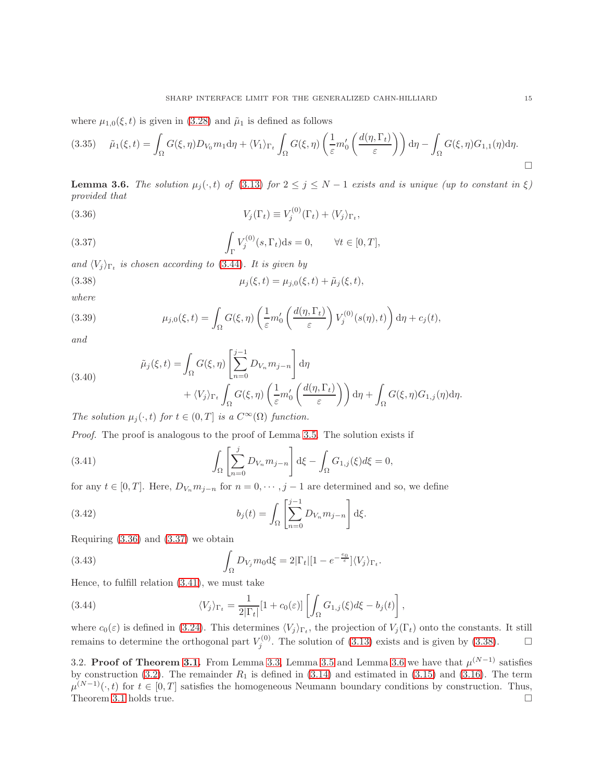where  $\mu_{1,0}(\xi, t)$  is given in [\(3.28\)](#page-13-6) and  $\tilde{\mu}_1$  is defined as follows

<span id="page-14-2"></span>
$$
(3.35) \quad \tilde{\mu}_1(\xi, t) = \int_{\Omega} G(\xi, \eta) D_{V_0} m_1 d\eta + \langle V_1 \rangle_{\Gamma_t} \int_{\Omega} G(\xi, \eta) \left( \frac{1}{\varepsilon} m_0' \left( \frac{d(\eta, \Gamma_t)}{\varepsilon} \right) \right) d\eta - \int_{\Omega} G(\xi, \eta) G_{1,1}(\eta) d\eta.
$$

<span id="page-14-1"></span>**Lemma 3.6.** The solution  $\mu_j(\cdot,t)$  of [\(3.13\)](#page-11-5) for  $2 \leq j \leq N-1$  exists and is unique (up to constant in  $\xi$ ) provided that

<span id="page-14-4"></span>(3.36) 
$$
V_j(\Gamma_t) \equiv V_j^{(0)}(\Gamma_t) + \langle V_j \rangle_{\Gamma_t},
$$

<span id="page-14-5"></span>(3.37) 
$$
\int_{\Gamma} V_j^{(0)}(s, \Gamma_t) ds = 0, \quad \forall t \in [0, T],
$$

and  $\langle V_j \rangle_{\Gamma_t}$  is chosen according to [\(3.44\)](#page-14-3). It is given by

<span id="page-14-0"></span>(3.38) 
$$
\mu_j(\xi, t) = \mu_{j,0}(\xi, t) + \tilde{\mu}_j(\xi, t),
$$

where

(3.39) 
$$
\mu_{j,0}(\xi,t) = \int_{\Omega} G(\xi,\eta) \left( \frac{1}{\varepsilon} m_0' \left( \frac{d(\eta,\Gamma_t)}{\varepsilon} \right) V_j^{(0)}(s(\eta),t) \right) d\eta + c_j(t),
$$

and

(3.40)  
\n
$$
\tilde{\mu}_j(\xi, t) = \int_{\Omega} G(\xi, \eta) \left[ \sum_{n=0}^{j-1} D_{V_n} m_{j-n} \right] d\eta + \langle V_j \rangle_{\Gamma_t} \int_{\Omega} G(\xi, \eta) \left( \frac{1}{\varepsilon} m_0' \left( \frac{d(\eta, \Gamma_t)}{\varepsilon} \right) \right) d\eta + \int_{\Omega} G(\xi, \eta) G_{1,j}(\eta) d\eta.
$$

The solution  $\mu_j(\cdot,t)$  for  $t \in (0,T]$  is a  $C^{\infty}(\Omega)$  function.

Proof. The proof is analogous to the proof of Lemma [3.5.](#page-13-1) The solution exists if

<span id="page-14-6"></span>(3.41) 
$$
\int_{\Omega} \left[ \sum_{n=0}^{j} D_{V_n} m_{j-n} \right] d\xi - \int_{\Omega} G_{1,j}(\xi) d\xi = 0,
$$

for any  $t \in [0, T]$ . Here,  $D_{V_n} m_{j-n}$  for  $n = 0, \dots, j-1$  are determined and so, we define

(3.42) 
$$
b_j(t) = \int_{\Omega} \left[ \sum_{n=0}^{j-1} D_{V_n} m_{j-n} \right] d\xi.
$$

Requiring [\(3.36\)](#page-14-4) and [\(3.37\)](#page-14-5) we obtain

(3.43) 
$$
\int_{\Omega} D_{V_j} m_0 d\xi = 2 |\Gamma_t| [1 - e^{-\frac{e_0}{\varepsilon}}] \langle V_j \rangle_{\Gamma_t}
$$

Hence, to fulfill relation [\(3.41\)](#page-14-6), we must take

<span id="page-14-3"></span>(3.44) 
$$
\langle V_j \rangle_{\Gamma_t} = \frac{1}{2|\Gamma_t|} [1 + c_0(\varepsilon)] \left[ \int_{\Omega} G_{1,j}(\xi) d\xi - b_j(t) \right],
$$

where  $c_0(\varepsilon)$  is defined in [\(3.24\)](#page-12-1). This determines  $\langle V_j \rangle_{\Gamma_t}$ , the projection of  $V_j(\Gamma_t)$  onto the constants. It still remains to determine the orthogonal part  $V_j^{(0)}$ . The solution of [\(3.13\)](#page-11-5) exists and is given by [\(3.38\)](#page-14-0).  $\Box$ 

.

3.2. Proof of Theorem [3.1.](#page-9-0) From Lemma [3.3,](#page-11-1) Lemma [3.5](#page-13-1) and Lemma [3.6](#page-14-1) we have that  $\mu^{(N-1)}$  satisfies by construction [\(3.2\)](#page-9-4). The remainder  $R_1$  is defined in [\(3.14\)](#page-11-0) and estimated in [\(3.15\)](#page-11-6) and [\(3.16\)](#page-11-7). The term  $\mu^{(N-1)}(\cdot, t)$  for  $t \in [0, T]$  satisfies the homogeneous Neumann boundary conditions by construction. Thus, Theorem [3.1](#page-9-0) holds true.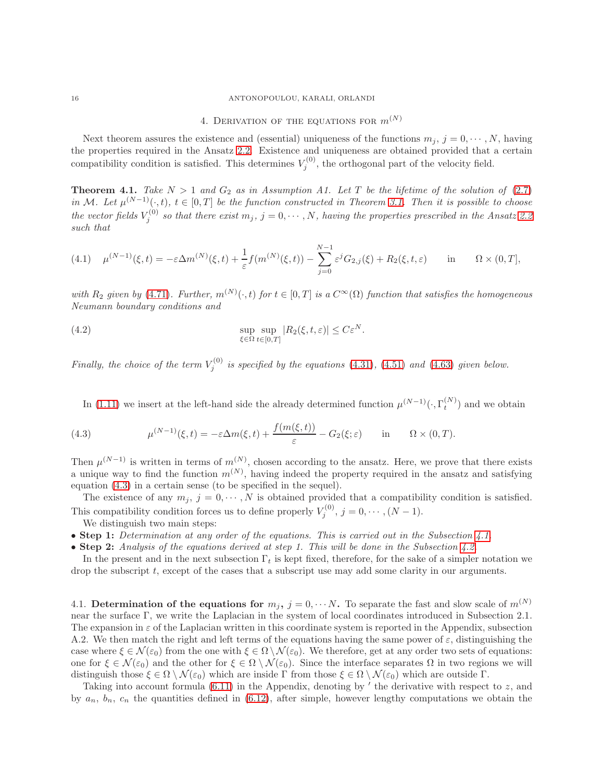#### 16 ANTONOPOULOU, KARALI, ORLANDI

# 4. DERIVATION OF THE EQUATIONS FOR  $m^{(N)}$

Next theorem assures the existence and (essential) uniqueness of the functions  $m_j$ ,  $j = 0, \dots, N$ , having the properties required in the Ansatz [2.2.](#page-6-2) Existence and uniqueness are obtained provided that a certain compatibility condition is satisfied. This determines  $V_j^{(0)}$ , the orthogonal part of the velocity field.

<span id="page-15-0"></span>**Theorem 4.1.** Take  $N > 1$  and  $G_2$  as in Assumption A1. Let T be the lifetime of the solution of [\(2.7\)](#page-6-0) in M. Let  $\mu^{(N-1)}(\cdot,t)$ ,  $t \in [0,T]$  be the function constructed in Theorem [3.1.](#page-9-0) Then it is possible to choose the vector fields  $V_j^{(0)}$  so that there exist  $m_j$ ,  $j = 0, \dots, N$ , having the properties prescribed in the Ansatz [2.2](#page-6-2) such that

(4.1) 
$$
\mu^{(N-1)}(\xi, t) = -\varepsilon \Delta m^{(N)}(\xi, t) + \frac{1}{\varepsilon} f(m^{(N)}(\xi, t)) - \sum_{j=0}^{N-1} \varepsilon^j G_{2,j}(\xi) + R_2(\xi, t, \varepsilon) \quad \text{in} \quad \Omega \times (0, T],
$$

with  $R_2$  given by [\(4.71\)](#page-24-0). Further,  $m^{(N)}(\cdot,t)$  for  $t \in [0,T]$  is a  $C^{\infty}(\Omega)$  function that satisfies the homogeneous Neumann boundary conditions and

(4.2) 
$$
\sup_{\xi \in \Omega} \sup_{t \in [0,T]} |R_2(\xi, t, \varepsilon)| \leq C \varepsilon^N.
$$

Finally, the choice of the term  $V_j^{(0)}$  is specified by the equations [\(4.31\)](#page-19-2), [\(4.51\)](#page-22-0) and [\(4.63\)](#page-23-0) given below.

<span id="page-15-1"></span>In [\(1.11\)](#page-3-2) we insert at the left-hand side the already determined function  $\mu^{(N-1)}(\cdot, \Gamma_t^{(N)})$  and we obtain

(4.3) 
$$
\mu^{(N-1)}(\xi,t) = -\varepsilon \Delta m(\xi,t) + \frac{f(m(\xi,t))}{\varepsilon} - G_2(\xi;\varepsilon) \quad \text{in} \quad \Omega \times (0,T).
$$

Then  $\mu^{(N-1)}$  is written in terms of  $m^{(N)}$ , chosen according to the ansatz. Here, we prove that there exists a unique way to find the function  $m^{(N)}$ , having indeed the property required in the ansatz and satisfying equation [\(4.3\)](#page-15-1) in a certain sense (to be specified in the sequel).

The existence of any  $m_j$ ,  $j = 0, \dots, N$  is obtained provided that a compatibility condition is satisfied. This compatibility condition forces us to define properly  $V_i^{(0)}$  $j_j^{(0)}, j=0,\cdots,(N-1).$ We distinguish two main steps:

- Step 1: Determination at any order of the equations. This is carried out in the Subsection [4.1.](#page-15-2)
- Step 2: Analysis of the equations derived at step 1. This will be done in the Subsection [4.2.](#page-18-0)

In the present and in the next subsection  $\Gamma_t$  is kept fixed, therefore, for the sake of a simpler notation we drop the subscript t, except of the cases that a subscript use may add some clarity in our arguments.

<span id="page-15-2"></span>4.1. Determination of the equations for  $m_j$ ,  $j = 0, \cdots N$ . To separate the fast and slow scale of  $m^{(N)}$ near the surface Γ, we write the Laplacian in the system of local coordinates introduced in Subsection 2.1. The expansion in  $\varepsilon$  of the Laplacian written in this coordinate system is reported in the Appendix, subsection A.2. We then match the right and left terms of the equations having the same power of  $\varepsilon$ , distinguishing the case where  $\xi \in \mathcal{N}(\varepsilon_0)$  from the one with  $\xi \in \Omega \setminus \mathcal{N}(\varepsilon_0)$ . We therefore, get at any order two sets of equations: one for  $\xi \in \mathcal{N}(\varepsilon_0)$  and the other for  $\xi \in \Omega \setminus \mathcal{N}(\varepsilon_0)$ . Since the interface separates  $\Omega$  in two regions we will distinguish those  $\xi \in \Omega \setminus \mathcal{N}(\varepsilon_0)$  which are inside Γ from those  $\xi \in \Omega \setminus \mathcal{N}(\varepsilon_0)$  which are outside Γ.

Taking into account formula  $(6.11)$  in the Appendix, denoting by  $'$  the derivative with respect to  $z$ , and by  $a_n$ ,  $b_n$ ,  $c_n$  the quantities defined in [\(6.12\)](#page-28-1), after simple, however lengthy computations we obtain the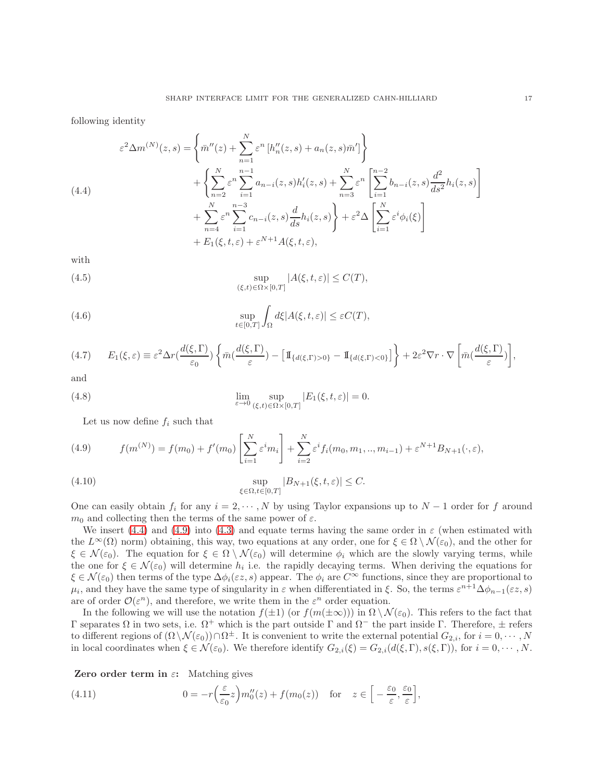following identity

<span id="page-16-0"></span>
$$
\varepsilon^{2} \Delta m^{(N)}(z,s) = \left\{ \bar{m}''(z) + \sum_{n=1}^{N} \varepsilon^{n} \left[ h_{n}''(z,s) + a_{n}(z,s) \bar{m}' \right] \right\} \n+ \left\{ \sum_{n=2}^{N} \varepsilon^{n} \sum_{i=1}^{n-1} a_{n-i}(z,s) h_{i}'(z,s) + \sum_{n=3}^{N} \varepsilon^{n} \left[ \sum_{i=1}^{n-2} b_{n-i}(z,s) \frac{d^{2}}{ds^{2}} h_{i}(z,s) \right] \right. \n+ \left. \sum_{n=4}^{N} \varepsilon^{n} \sum_{i=1}^{n-3} c_{n-i}(z,s) \frac{d}{ds} h_{i}(z,s) \right\} + \varepsilon^{2} \Delta \left[ \sum_{i=1}^{N} \varepsilon^{i} \phi_{i}(\xi) \right] \n+ E_{1}(\xi, t, \varepsilon) + \varepsilon^{N+1} A(\xi, t, \varepsilon),
$$

with

<span id="page-16-2"></span>(4.5) 
$$
\sup_{(\xi,t)\in\Omega\times[0,T]}|A(\xi,t,\varepsilon)|\leq C(T),
$$

(4.6) 
$$
\sup_{t\in[0,T]}\int_{\Omega}d\xi|A(\xi,t,\varepsilon)|\leq\varepsilon C(T),
$$

$$
(4.7) \qquad E_1(\xi,\varepsilon) \equiv \varepsilon^2 \Delta r\left(\frac{d(\xi,\Gamma)}{\varepsilon_0}\right) \left\{ \bar{m}\left(\frac{d(\xi,\Gamma)}{\varepsilon}\right) - \left[\mathbb{I}_{\{d(\xi,\Gamma)>0\}} - \mathbb{I}_{\{d(\xi,\Gamma)<0\}}\right] \right\} + 2\varepsilon^2 \nabla r \cdot \nabla \left[ \bar{m}\left(\frac{d(\xi,\Gamma)}{\varepsilon}\right) \right],
$$

and

(4.8) 
$$
\lim_{\varepsilon \to 0} \sup_{(\xi,t) \in \Omega \times [0,T]} |E_1(\xi,t,\varepsilon)| = 0.
$$

<span id="page-16-3"></span>Let us now define  $f_i$  such that

<span id="page-16-1"></span>(4.9) 
$$
f(m^{(N)}) = f(m_0) + f'(m_0) \left[ \sum_{i=1}^{N} \varepsilon^i m_i \right] + \sum_{i=2}^{N} \varepsilon^i f_i(m_0, m_1, ..., m_{i-1}) + \varepsilon^{N+1} B_{N+1}(\cdot, \varepsilon),
$$

<span id="page-16-4"></span>(4.10) 
$$
\sup_{\xi \in \Omega, t \in [0,T]} |B_{N+1}(\xi, t, \varepsilon)| \leq C.
$$

One can easily obtain  $f_i$  for any  $i = 2, \dots, N$  by using Taylor expansions up to  $N-1$  order for f around  $m_0$  and collecting then the terms of the same power of  $\varepsilon$ .

We insert [\(4.4\)](#page-16-0) and [\(4.9\)](#page-16-1) into [\(4.3\)](#page-15-1) and equate terms having the same order in  $\varepsilon$  (when estimated with the  $L^{\infty}(\Omega)$  norm) obtaining, this way, two equations at any order, one for  $\xi \in \Omega \setminus \mathcal{N}(\varepsilon_0)$ , and the other for  $\xi \in \mathcal{N}(\varepsilon_0)$ . The equation for  $\xi \in \Omega \setminus \mathcal{N}(\varepsilon_0)$  will determine  $\phi_i$  which are the slowly varying terms, while the one for  $\xi \in \mathcal{N}(\varepsilon_0)$  will determine  $h_i$  i.e. the rapidly decaying terms. When deriving the equations for  $\xi \in \mathcal{N}(\varepsilon_0)$  then terms of the type  $\Delta \phi_i(\varepsilon z, s)$  appear. The  $\phi_i$  are  $C^{\infty}$  functions, since they are proportional to  $\mu_i$ , and they have the same type of singularity in  $\varepsilon$  when differentiated in  $\xi$ . So, the terms  $\varepsilon^{n+1}\Delta\phi_{n-1}(\varepsilon z,s)$ are of order  $\mathcal{O}(\varepsilon^n)$ , and therefore, we write them in the  $\varepsilon^n$  order equation.

In the following we will use the notation  $f(\pm 1)$  (or  $f(m(\pm \infty))$ ) in  $\Omega \setminus \mathcal{N}(\varepsilon_0)$ . This refers to the fact that Γ separates Ω in two sets, i.e. Ω<sup>+</sup> which is the part outside Γ and Ω<sup>−</sup> the part inside Γ. Therefore, <sup>±</sup> refers to different regions of  $(\Omega \setminus \mathcal{N}(\varepsilon_0)) \cap \Omega^{\pm}$ . It is convenient to write the external potential  $G_{2,i}$ , for  $i = 0, \cdots, N$ in local coordinates when  $\xi \in \mathcal{N}(\varepsilon_0)$ . We therefore identify  $G_{2,i}(\xi) = G_{2,i}(d(\xi,\Gamma),s(\xi,\Gamma))$ , for  $i = 0, \cdots, N$ .

<span id="page-16-5"></span>**Zero order term in**  $\varepsilon$ **:** Matching gives

(4.11) 
$$
0 = -r\left(\frac{\varepsilon}{\varepsilon_0}z\right)m_0''(z) + f(m_0(z)) \text{ for } z \in \left[-\frac{\varepsilon_0}{\varepsilon}, \frac{\varepsilon_0}{\varepsilon}\right],
$$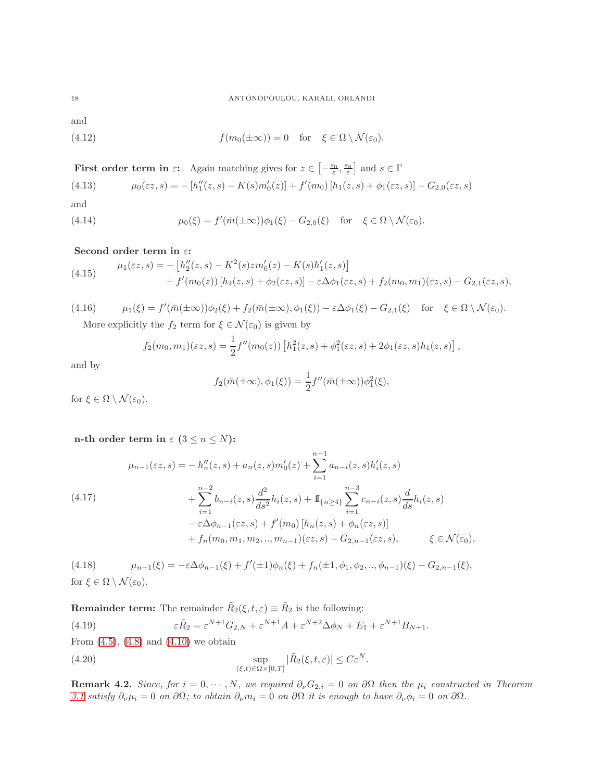and

<span id="page-17-0"></span>(4.12) 
$$
f(m_0(\pm \infty)) = 0 \text{ for } \xi \in \Omega \setminus \mathcal{N}(\varepsilon_0).
$$

**First order term in**  $\varepsilon$ : Again matching gives for  $z \in \left[-\frac{\varepsilon_0}{\varepsilon}, \frac{\varepsilon_0}{\varepsilon}\right]$  and  $s \in \Gamma$ 

<span id="page-17-1"></span>(4.13) 
$$
\mu_0(\varepsilon z, s) = -[h''_1(z, s) - K(s)m'_0(z)] + f'(m_0)[h_1(z, s) + \phi_1(\varepsilon z, s)] - G_{2,0}(\varepsilon z, s)
$$

and

<span id="page-17-2"></span>(4.14) 
$$
\mu_0(\xi) = f'(\bar{m}(\pm \infty))\phi_1(\xi) - G_{2,0}(\xi) \quad \text{for} \quad \xi \in \Omega \setminus \mathcal{N}(\varepsilon_0).
$$

# Second order term in  $\varepsilon$ :

<span id="page-17-4"></span>(4.15) 
$$
\mu_1(\varepsilon z, s) = -[h''_2(z, s) - K^2(s)zm'_0(z) - K(s)h'_1(z, s)] + f'(m_0(z)) [h_2(z, s) + \phi_2(\varepsilon z, s)] - \varepsilon \Delta \phi_1(\varepsilon z, s) + f_2(m_0, m_1)(\varepsilon z, s) - G_{2,1}(\varepsilon z, s),
$$

(4.16) 
$$
\mu_1(\xi) = f'(\bar{m}(\pm \infty))\phi_2(\xi) + f_2(\bar{m}(\pm \infty), \phi_1(\xi)) - \varepsilon \Delta \phi_1(\xi) - G_{2,1}(\xi) \text{ for } \xi \in \Omega \setminus \mathcal{N}(\varepsilon_0).
$$
  
More explicitly the  $f_2$  term for  $\xi \in \mathcal{N}(\varepsilon_0)$  is given by

More explicitly the  $f_2$  term for  $\xi \in \mathcal{N}(\varepsilon_0)$  is given by

<span id="page-17-3"></span>
$$
f_2(m_0, m_1)(\varepsilon z, s) = \frac{1}{2} f''(m_0(z)) \left[ h_1^2(z, s) + \phi_1^2(\varepsilon z, s) + 2\phi_1(\varepsilon z, s) h_1(z, s) \right],
$$

and by

$$
f_2(\bar{m}(\pm\infty), \phi_1(\xi)) = \frac{1}{2}f''(\bar{m}(\pm\infty))\phi_1^2(\xi),
$$

for  $\xi \in \Omega \setminus \mathcal{N}(\varepsilon_0)$ .

n-th order term in  $\varepsilon$  (3  $\leq$  n  $\leq$  N):

<span id="page-17-6"></span>
$$
\mu_{n-1}(\varepsilon z, s) = -h''_n(z, s) + a_n(z, s)m'_0(z) + \sum_{i=1}^{n-1} a_{n-i}(z, s)h'_i(z, s)
$$
  

$$
+ \sum_{i=1}^{n-2} b_{n-i}(z, s) \frac{d^2}{ds^2} h_i(z, s) + \mathbb{I}_{\{n \ge 4\}} \sum_{i=1}^{n-3} c_{n-i}(z, s) \frac{d}{ds} h_i(z, s)
$$
  

$$
- \varepsilon \Delta \phi_{n-1}(\varepsilon z, s) + f'(m_0) [h_n(z, s) + \phi_n(\varepsilon z, s)]
$$
  

$$
+ f_n(m_0, m_1, m_2, ..., m_{n-1})(\varepsilon z, s) - G_{2,n-1}(\varepsilon z, s), \qquad \xi \in \mathcal{N}(\varepsilon_0),
$$

<span id="page-17-5"></span>(4.18)  $\mu_{n-1}(\xi) = -\varepsilon \Delta \phi_{n-1}(\xi) + f'(\pm 1)\phi_n(\xi) + f_n(\pm 1, \phi_1, \phi_2, ..., \phi_{n-1})(\xi) - G_{2,n-1}(\xi),$ for  $\xi \in \Omega \setminus \mathcal{N}(\varepsilon_0)$ .

**Remainder term:** The remainder  $\tilde{R}_2(\xi, t, \varepsilon) \equiv \tilde{R}_2$  is the following:

<span id="page-17-7"></span>(4.19) 
$$
\varepsilon \tilde{R}_2 = \varepsilon^{N+1} G_{2,N} + \varepsilon^{N+1} A + \varepsilon^{N+2} \Delta \phi_N + E_1 + \varepsilon^{N+1} B_{N+1}.
$$

From  $(4.5)$ ,  $(4.8)$  and  $(4.10)$  we obtain

<span id="page-17-8"></span>(4.20) 
$$
\sup_{(\xi,t)\in\Omega\times[0,T]}|\tilde{R}_2(\xi,t,\varepsilon)|\leq C\varepsilon^N.
$$

**Remark 4.2.** Since, for  $i = 0, \dots, N$ , we required  $\partial_{\nu}G_{2,i} = 0$  on  $\partial\Omega$  then the  $\mu_i$  constructed in Theorem [3.1](#page-9-0) satisfy  $\partial_{\nu}\mu_i = 0$  on  $\partial\Omega$ ; to obtain  $\partial_{\nu}m_i = 0$  on  $\partial\Omega$  it is enough to have  $\partial_{\nu}\phi_i = 0$  on  $\partial\Omega$ .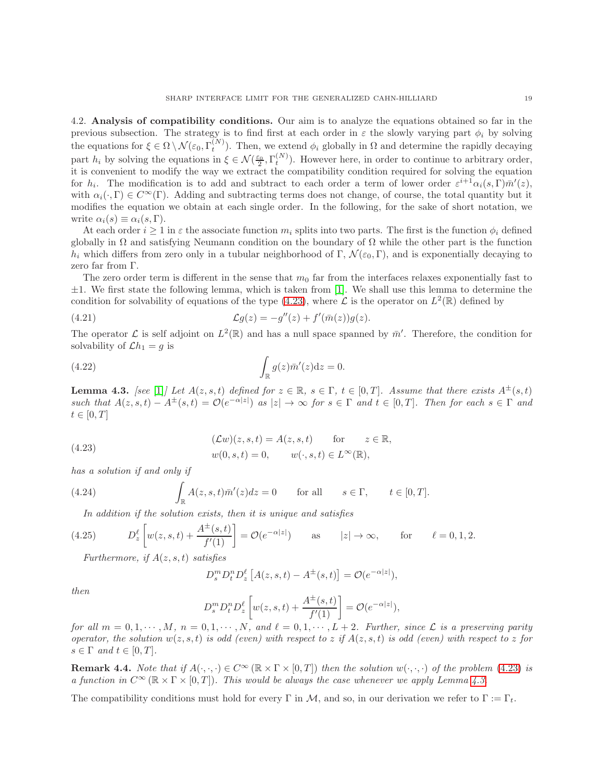<span id="page-18-0"></span>4.2. Analysis of compatibility conditions. Our aim is to analyze the equations obtained so far in the previous subsection. The strategy is to find first at each order in  $\varepsilon$  the slowly varying part  $\phi_i$  by solving the equations for  $\xi \in \Omega \setminus \mathcal{N}(\varepsilon_0, \Gamma_t^{(N)})$ . Then, we extend  $\phi_i$  globally in  $\Omega$  and determine the rapidly decaying part  $h_i$  by solving the equations in  $\xi \in \mathcal{N}(\frac{\varepsilon_0}{2}, \Gamma_t^{(N)})$ . However here, in order to continue to arbitrary order, it is convenient to modify the way we extract the compatibility condition required for solving the equation for  $h_i$ . The modification is to add and subtract to each order a term of lower order  $\varepsilon^{i+1}\alpha_i(s,\Gamma)\bar{m}'(z)$ , with  $\alpha_i(\cdot, \Gamma) \in C^{\infty}(\Gamma)$ . Adding and subtracting terms does not change, of course, the total quantity but it modifies the equation we obtain at each single order. In the following, for the sake of short notation, we write  $\alpha_i(s) \equiv \alpha_i(s, \Gamma)$ .

At each order  $i \geq 1$  in  $\varepsilon$  the associate function  $m_i$  splits into two parts. The first is the function  $\phi_i$  defined globally in  $\Omega$  and satisfying Neumann condition on the boundary of  $\Omega$  while the other part is the function  $h_i$  which differs from zero only in a tubular neighborhood of Γ,  $\mathcal{N}(\varepsilon_0, \Gamma)$ , and is exponentially decaying to zero far from Γ.

The zero order term is different in the sense that  $m_0$  far from the interfaces relaxes exponentially fast to  $\pm 1$ . We first state the following lemma, which is taken from [\[1\]](#page-30-1). We shall use this lemma to determine the condition for solvability of equations of the type [\(4.23\)](#page-18-1), where  $\mathcal L$  is the operator on  $L^2(\mathbb R)$  defined by

<span id="page-18-3"></span>(4.21) 
$$
\mathcal{L}g(z) = -g''(z) + f'(\bar{m}(z))g(z).
$$

The operator  $\mathcal L$  is self adjoint on  $L^2(\mathbb R)$  and has a null space spanned by  $\bar m'$ . Therefore, the condition for solvability of  $\mathcal{L}h_1 = g$  is

(4.22) 
$$
\int_{\mathbb{R}} g(z)\bar{m}'(z)dz = 0.
$$

<span id="page-18-2"></span>**Lemma 4.3.** [see [\[1\]](#page-30-1)] Let  $A(z, s, t)$  defined for  $z \in \mathbb{R}$ ,  $s \in \Gamma$ ,  $t \in [0, T]$ . Assume that there exists  $A^{\pm}(s, t)$ such that  $A(z, s, t) - A^{\pm}(s, t) = \mathcal{O}(e^{-\alpha|z|})$  as  $|z| \to \infty$  for  $s \in \Gamma$  and  $t \in [0, T]$ . Then for each  $s \in \Gamma$  and  $t\in[0,T]$ 

<span id="page-18-1"></span>(4.23) 
$$
(\mathcal{L}w)(z,s,t) = A(z,s,t) \quad \text{for} \quad z \in \mathbb{R},
$$

$$
w(0,s,t) = 0, \quad w(\cdot,s,t) \in L^{\infty}(\mathbb{R}),
$$

has a solution if and only if

(4.24) 
$$
\int_{\mathbb{R}} A(z,s,t)\bar{m}'(z)dz = 0 \quad \text{for all} \quad s \in \Gamma, \quad t \in [0,T].
$$

In addition if the solution exists, then it is unique and satisfies

(4.25) 
$$
D_z^{\ell} \left[ w(z,s,t) + \frac{A^{\pm}(s,t)}{f'(1)} \right] = \mathcal{O}(e^{-\alpha|z|}) \quad \text{as} \quad |z| \to \infty, \quad \text{for} \quad \ell = 0, 1, 2.
$$

Furthermore, if  $A(z, s, t)$  satisfies

<span id="page-18-4"></span>
$$
D_s^m D_t^n D_z^{\ell} [A(z, s, t) - A^{\pm}(s, t)] = \mathcal{O}(e^{-\alpha|z|}),
$$

then

$$
D_s^m D_t^n D_z^\ell \left[ w(z,s,t) + \frac{A^\pm(s,t)}{f'(1)} \right] = \mathcal{O}(e^{-\alpha |z|}),
$$

for all  $m = 0, 1, \dots, M$ ,  $n = 0, 1, \dots, N$ , and  $\ell = 0, 1, \dots, L + 2$ . Further, since  $\mathcal L$  is a preserving parity operator, the solution  $w(z, s, t)$  is odd (even) with respect to z if  $A(z, s, t)$  is odd (even) with respect to z for  $s \in \Gamma$  and  $t \in [0, T]$ .

**Remark 4.4.** Note that if  $A(\cdot,\cdot,\cdot) \in C^{\infty}(\mathbb{R} \times \Gamma \times [0,T])$  then the solution  $w(\cdot,\cdot,\cdot)$  of the problem [\(4.23\)](#page-18-1) is a function in  $C^{\infty}(\mathbb{R} \times \Gamma \times [0,T])$ . This would be always the case whenever we apply Lemma [4.3.](#page-18-2)

The compatibility conditions must hold for every Γ in M, and so, in our derivation we refer to  $\Gamma := \Gamma_t$ .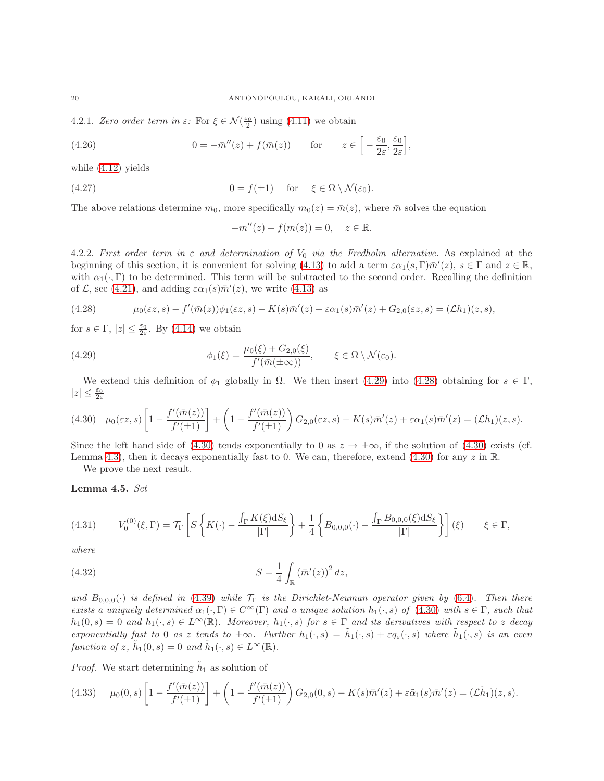4.2.1. Zero order term in  $\varepsilon$ : For  $\xi \in \mathcal{N}(\frac{\varepsilon_0}{2})$  using [\(4.11\)](#page-16-5) we obtain

(4.26) 
$$
0 = -\bar{m}''(z) + f(\bar{m}(z)) \quad \text{for} \quad z \in \left[ -\frac{\varepsilon_0}{2\varepsilon}, \frac{\varepsilon_0}{2\varepsilon} \right],
$$

while [\(4.12\)](#page-17-0) yields

(4.27) 
$$
0 = f(\pm 1) \quad \text{for} \quad \xi \in \Omega \setminus \mathcal{N}(\varepsilon_0).
$$

The above relations determine  $m_0$ , more specifically  $m_0(z) = \bar{m}(z)$ , where  $\bar{m}$  solves the equation

<span id="page-19-3"></span>
$$
-m''(z) + f(m(z)) = 0, \quad z \in \mathbb{R}.
$$

4.2.2. First order term in  $\varepsilon$  and determination of  $V_0$  via the Fredholm alternative. As explained at the beginning of this section, it is convenient for solving [\(4.13\)](#page-17-1) to add a term  $\varepsilon \alpha_1(s, \Gamma) \bar{m}'(z)$ ,  $s \in \Gamma$  and  $z \in \mathbb{R}$ , with  $\alpha_1(\cdot, \Gamma)$  to be determined. This term will be subtracted to the second order. Recalling the definition of  $\mathcal{L}$ , see [\(4.21\)](#page-18-3), and adding  $\varepsilon \alpha_1(s) \bar{m}'(z)$ , we write [\(4.13\)](#page-17-1) as

<span id="page-19-4"></span>(4.28) 
$$
\mu_0(\varepsilon z,s) - f'(\bar{m}(z))\phi_1(\varepsilon z,s) - K(s)\bar{m}'(z) + \varepsilon \alpha_1(s)\bar{m}'(z) + G_{2,0}(\varepsilon z,s) = (\mathcal{L}h_1)(z,s),
$$

for  $s \in \Gamma$ ,  $|z| \leq \frac{\varepsilon_0}{2\varepsilon}$ . By [\(4.14\)](#page-17-2) we obtain

(4.29) 
$$
\phi_1(\xi) = \frac{\mu_0(\xi) + G_{2,0}(\xi)}{f'(\bar{m}(\pm \infty))}, \quad \xi \in \Omega \setminus \mathcal{N}(\varepsilon_0).
$$

We extend this definition of  $\phi_1$  globally in  $\Omega$ . We then insert [\(4.29\)](#page-19-3) into [\(4.28\)](#page-19-4) obtaining for  $s \in \Gamma$ ,  $|z|\leq \frac{\varepsilon_0}{2\varepsilon}$ 

<span id="page-19-5"></span>
$$
(4.30) \quad \mu_0(\varepsilon z, s) \left[ 1 - \frac{f'(\bar{m}(z))}{f'(z+1)} \right] + \left( 1 - \frac{f'(\bar{m}(z))}{f'(z+1)} \right) G_{2,0}(\varepsilon z, s) - K(s) \bar{m}'(z) + \varepsilon \alpha_1(s) \bar{m}'(z) = (\mathcal{L}h_1)(z, s).
$$

Since the left hand side of [\(4.30\)](#page-19-5) tends exponentially to 0 as  $z \to \pm \infty$ , if the solution of (4.30) exists (cf. Lemma [4.3\)](#page-18-2), then it decays exponentially fast to 0. We can, therefore, extend  $(4.30)$  for any z in R.

We prove the next result.

## <span id="page-19-1"></span>Lemma 4.5. Set

<span id="page-19-2"></span>
$$
(4.31) \tV_0^{(0)}(\xi,\Gamma) = \mathcal{T}_{\Gamma}\left[S\left\{K(\cdot) - \frac{\int_{\Gamma} K(\xi)\mathrm{d}S_{\xi}}{|\Gamma|}\right\} + \frac{1}{4}\left\{B_{0,0,0}(\cdot) - \frac{\int_{\Gamma} B_{0,0,0}(\xi)\mathrm{d}S_{\xi}}{|\Gamma|}\right\}\right](\xi) \t\xi \in \Gamma,
$$

where

<span id="page-19-0"></span>(4.32) 
$$
S = \frac{1}{4} \int_{\mathbb{R}} \left( \bar{m}'(z) \right)^2 dz,
$$

and  $B_{0,0,0}(\cdot)$  is defined in [\(4.39\)](#page-20-0) while  $\mathcal{T}_{\Gamma}$  is the Dirichlet-Neuman operator given by [\(6.4\)](#page-27-0). Then there exists a uniquely determined  $\alpha_1(\cdot, \Gamma) \in C^{\infty}(\Gamma)$  and a unique solution  $h_1(\cdot, s)$  of  $(4.30)$  with  $s \in \Gamma$ , such that  $h_1(0,s) = 0$  and  $h_1(\cdot,s) \in L^{\infty}(\mathbb{R})$ . Moreover,  $h_1(\cdot,s)$  for  $s \in \Gamma$  and its derivatives with respect to z decay exponentially fast to 0 as z tends to  $\pm \infty$ . Further  $h_1(\cdot, s) = \tilde{h}_1(\cdot, s) + \varepsilon q_{\varepsilon}(\cdot, s)$  where  $\tilde{h}_1(\cdot, s)$  is an even function of z,  $\tilde{h}_1(0, s) = 0$  and  $\tilde{h}_1(\cdot, s) \in L^{\infty}(\mathbb{R})$ .

*Proof.* We start determining  $\tilde{h}_1$  as solution of

<span id="page-19-6"></span>
$$
(4.33) \qquad \mu_0(0,s) \left[ 1 - \frac{f'(\bar{m}(z))}{f'(z_1)} \right] + \left( 1 - \frac{f'(\bar{m}(z))}{f'(z_1)} \right) G_{2,0}(0,s) - K(s) \bar{m}'(z) + \varepsilon \tilde{\alpha}_1(s) \bar{m}'(z) = (\mathcal{L}\tilde{h}_1)(z,s).
$$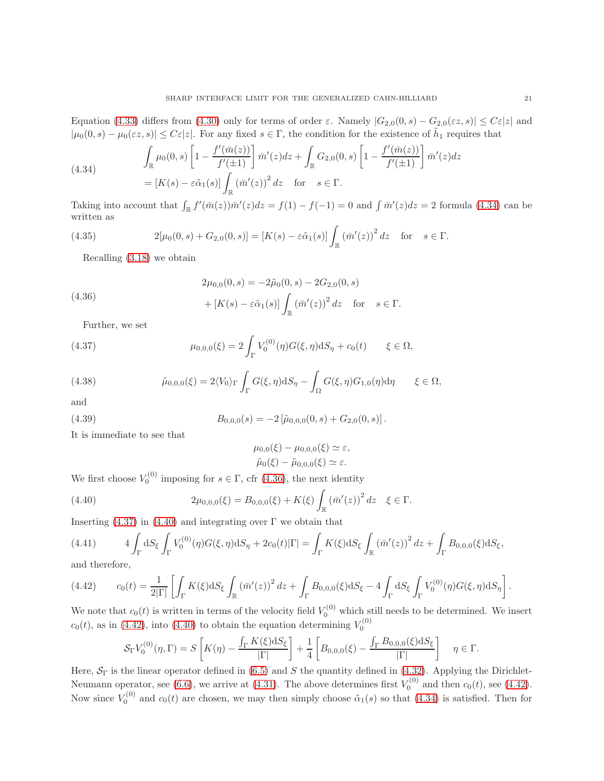Equation [\(4.33\)](#page-19-6) differs from [\(4.30\)](#page-19-5) only for terms of order  $\varepsilon$ . Namely  $|G_{2,0}(0, s) - G_{2,0}(\varepsilon z, s)| \leq C\varepsilon |z|$  and  $|\mu_0(0,s) - \mu_0(\varepsilon z, s)| \leq C\varepsilon |z|$ . For any fixed  $s \in \Gamma$ , the condition for the existence of  $\tilde{h}_1$  requires that

<span id="page-20-2"></span>(4.34)  
\n
$$
\int_{\mathbb{R}} \mu_0(0, s) \left[ 1 - \frac{f'(\bar{m}(z))}{f'(z+1)} \right] \bar{m}'(z) dz + \int_{\mathbb{R}} G_{2,0}(0, s) \left[ 1 - \frac{f'(\bar{m}(z))}{f'(z+1)} \right] \bar{m}'(z) dz
$$
\n
$$
= \left[ K(s) - \varepsilon \tilde{\alpha}_1(s) \right] \int_{\mathbb{R}} \left( \bar{m}'(z) \right)^2 dz \quad \text{for} \quad s \in \Gamma.
$$

Taking into account that  $\int_{\mathbb{R}} f'(\bar{m}(z)) \bar{m}'(z) dz = f(1) - f(-1) = 0$  and  $\int \bar{m}'(z) dz = 2$  formula [\(4.34\)](#page-20-2) can be written as

(4.35) 
$$
2[\mu_0(0,s) + G_{2,0}(0,s)] = [K(s) - \varepsilon \tilde{\alpha}_1(s)] \int_{\mathbb{R}} (\bar{m}'(z))^2 dz \text{ for } s \in \Gamma.
$$

Recalling [\(3.18\)](#page-12-0) we obtain

<span id="page-20-3"></span>(4.36) 
$$
2\mu_{0,0}(0,s) = -2\tilde{\mu}_0(0,s) - 2G_{2,0}(0,s) + [K(s) - \varepsilon \tilde{\alpha}_1(s)] \int_{\mathbb{R}} (\bar{m}'(z))^2 dz \text{ for } s \in \Gamma.
$$

<span id="page-20-4"></span>Further, we set

(4.37) 
$$
\mu_{0,0,0}(\xi) = 2 \int_{\Gamma} V_0^{(0)}(\eta) G(\xi, \eta) \mathrm{d}S_{\eta} + c_0(t) \qquad \xi \in \Omega,
$$

<span id="page-20-1"></span>(4.38) 
$$
\tilde{\mu}_{0,0,0}(\xi) = 2\langle V_0 \rangle_{\Gamma} \int_{\Gamma} G(\xi,\eta) \mathrm{d}S_{\eta} - \int_{\Omega} G(\xi,\eta) G_{1,0}(\eta) \mathrm{d}\eta \qquad \xi \in \Omega,
$$

and

(4.39) 
$$
B_{0,0,0}(s) = -2\left[\tilde{\mu}_{0,0,0}(0,s) + G_{2,0}(0,s)\right].
$$

It is immediate to see that

<span id="page-20-5"></span><span id="page-20-0"></span>
$$
\mu_{0,0}(\xi) - \mu_{0,0,0}(\xi) \simeq \varepsilon,
$$
  

$$
\tilde{\mu}_0(\xi) - \tilde{\mu}_{0,0,0}(\xi) \simeq \varepsilon.
$$

We first choose  $V_0^{(0)}$  imposing for  $s \in \Gamma$ , cfr [\(4.36\)](#page-20-3), the next identity

(4.40) 
$$
2\mu_{0,0,0}(\xi) = B_{0,0,0}(\xi) + K(\xi) \int_{\mathbb{R}} (\bar{m}'(z))^2 dz \quad \xi \in \Gamma.
$$

Inserting  $(4.37)$  in  $(4.40)$  and integrating over  $\Gamma$  we obtain that

$$
(4.41) \qquad \qquad 4\int_{\Gamma} dS_{\xi} \int_{\Gamma} V_0^{(0)}(\eta)G(\xi,\eta) dS_{\eta} + 2c_0(t)|\Gamma| = \int_{\Gamma} K(\xi) dS_{\xi} \int_{\mathbb{R}} \left(\bar{m}'(z)\right)^2 dz + \int_{\Gamma} B_{0,0,0}(\xi) dS_{\xi},
$$
 and therefore

and therefore,

<span id="page-20-6"></span>
$$
(4.42) \t\t c_0(t) = \frac{1}{2|\Gamma|} \left[ \int_{\Gamma} K(\xi) dS_{\xi} \int_{\mathbb{R}} (\bar{m}'(z))^2 dz + \int_{\Gamma} B_{0,0,0}(\xi) dS_{\xi} - 4 \int_{\Gamma} dS_{\xi} \int_{\Gamma} V_0^{(0)}(\eta) G(\xi, \eta) dS_{\eta} \right].
$$

We note that  $c_0(t)$  is written in terms of the velocity field  $V_0^{(0)}$  which still needs to be determined. We insert  $c_0(t)$ , as in [\(4.42\)](#page-20-6), into [\(4.40\)](#page-20-5) to obtain the equation determining  $V_0^{(0)}$ 

$$
\mathcal{S}_{\Gamma}V_0^{(0)}(\eta,\Gamma) = S\left[K(\eta) - \frac{\int_{\Gamma} K(\xi) dS_{\xi}}{|\Gamma|}\right] + \frac{1}{4}\left[B_{0,0,0}(\xi) - \frac{\int_{\Gamma} B_{0,0,0}(\xi) dS_{\xi}}{|\Gamma|}\right] \quad \eta \in \Gamma.
$$

Here,  $S_{\Gamma}$  is the linear operator defined in [\(6.5\)](#page-27-1) and S the quantity defined in [\(4.32\)](#page-19-0). Applying the Dirichlet-Neumann operator, see [\(6.6\)](#page-27-2), we arrive at [\(4.31\)](#page-19-2). The above determines first  $V_0^{(0)}$  and then  $c_0(t)$ , see [\(4.42\)](#page-20-6). Now since  $V_0^{(0)}$  and  $c_0(t)$  are chosen, we may then simply choose  $\tilde{\alpha}_1(s)$  so that  $(4.34)$  is satisfied. Then for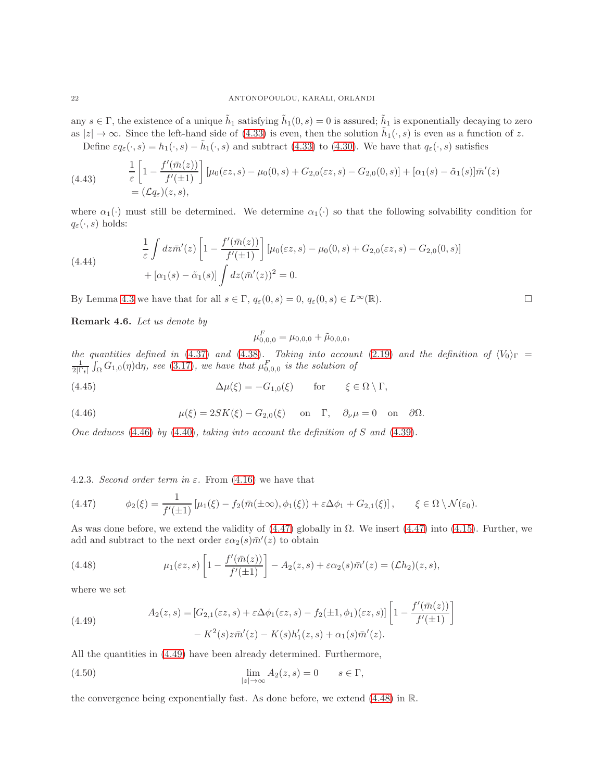any  $s \in \Gamma$ , the existence of a unique  $\tilde{h}_1$  satisfying  $\tilde{h}_1(0, s) = 0$  is assured;  $\tilde{h}_1$  is exponentially decaying to zero as  $|z| \to \infty$ . Since the left-hand side of [\(4.33\)](#page-19-6) is even, then the solution  $\tilde{h}_1(\cdot, s)$  is even as a function of z. Define  $\varepsilon q_{\varepsilon}(\cdot, s) = h_1(\cdot, s) - \tilde{h}_1(\cdot, s)$  and subtract [\(4.33\)](#page-19-6) to [\(4.30\)](#page-19-5). We have that  $q_{\varepsilon}(\cdot, s)$  satisfies

(4.43) 
$$
\frac{1}{\varepsilon} \left[ 1 - \frac{f'(\bar{m}(z))}{f'(\pm 1)} \right] \left[ \mu_0(\varepsilon z, s) - \mu_0(0, s) + G_{2,0}(\varepsilon z, s) - G_{2,0}(0, s) \right] + [\alpha_1(s) - \tilde{\alpha}_1(s)] \bar{m}'(z) = (\mathcal{L}q_{\varepsilon})(z, s),
$$

where  $\alpha_1(\cdot)$  must still be determined. We determine  $\alpha_1(\cdot)$  so that the following solvability condition for  $q_{\varepsilon}(\cdot, s)$  holds:

(4.44) 
$$
\frac{1}{\varepsilon} \int dz \bar{m}'(z) \left[ 1 - \frac{f'(\bar{m}(z))}{f'(z)} \right] \left[ \mu_0(\varepsilon z, s) - \mu_0(0, s) + G_{2,0}(\varepsilon z, s) - G_{2,0}(0, s) \right] + [\alpha_1(s) - \tilde{\alpha}_1(s)] \int dz (\bar{m}'(z))^2 = 0.
$$

By Lemma [4.3](#page-18-2) we have that for all  $s \in \Gamma$ ,  $q_{\varepsilon}(0, s) = 0$ ,  $q_{\varepsilon}(0, s) \in L^{\infty}(\mathbb{R})$ .

<span id="page-21-4"></span>Remark 4.6. Let us denote by

$$
\mu_{0,0,0}^F = \mu_{0,0,0} + \tilde{\mu}_{0,0,0},
$$

the quantities defined in [\(4.37\)](#page-20-4) and [\(4.38\)](#page-20-1). Taking into account [\(2.19\)](#page-8-0) and the definition of  $\langle V_0 \rangle_{\Gamma}$  =  $\frac{1}{2|\Gamma_t|} \int_{\Omega} G_{1,0}(\eta) d\eta$ , see [\(3.17\)](#page-11-3), we have that  $\mu_{0,0,0}^F$  is the solution of

(4.45) 
$$
\Delta \mu(\xi) = -G_{1,0}(\xi) \quad \text{for} \quad \xi \in \Omega \setminus \Gamma,
$$

<span id="page-21-0"></span>(4.46) 
$$
\mu(\xi) = 2SK(\xi) - G_{2,0}(\xi) \quad \text{on} \quad \Gamma, \quad \partial_{\nu}\mu = 0 \quad \text{on} \quad \partial\Omega.
$$

One deduces  $(4.46)$  by  $(4.40)$ , taking into account the definition of S and  $(4.39)$ .

4.2.3. Second order term in  $\varepsilon$ . From [\(4.16\)](#page-17-3) we have that

<span id="page-21-1"></span>
$$
(4.47) \qquad \phi_2(\xi) = \frac{1}{f'(\pm 1)} \left[ \mu_1(\xi) - f_2(\bar{m}(\pm \infty), \phi_1(\xi)) + \varepsilon \Delta \phi_1 + G_{2,1}(\xi) \right], \qquad \xi \in \Omega \setminus \mathcal{N}(\varepsilon_0).
$$

As was done before, we extend the validity of  $(4.47)$  globally in  $\Omega$ . We insert  $(4.47)$  into  $(4.15)$ . Further, we add and subtract to the next order  $\varepsilon \alpha_2(s) \bar{m}'(z)$  to obtain

<span id="page-21-3"></span>(4.48) 
$$
\mu_1(\varepsilon z,s) \left[1 - \frac{f'(\bar{m}(z))}{f'(z+1)}\right] - A_2(z,s) + \varepsilon \alpha_2(s) \bar{m}'(z) = (\mathcal{L}h_2)(z,s),
$$

where we set

<span id="page-21-2"></span>(4.49) 
$$
A_2(z,s) = [G_{2,1}(\varepsilon z, s) + \varepsilon \Delta \phi_1(\varepsilon z, s) - f_2(\pm 1, \phi_1)(\varepsilon z, s)] \left[1 - \frac{f'(\bar{m}(z))}{f'(\pm 1)}\right] - K^2(s)z\bar{m}'(z) - K(s)h'_1(z,s) + \alpha_1(s)\bar{m}'(z).
$$

All the quantities in [\(4.49\)](#page-21-2) have been already determined. Furthermore,

(4.50) 
$$
\lim_{|z| \to \infty} A_2(z, s) = 0 \qquad s \in \Gamma,
$$

the convergence being exponentially fast. As done before, we extend [\(4.48\)](#page-21-3) in R.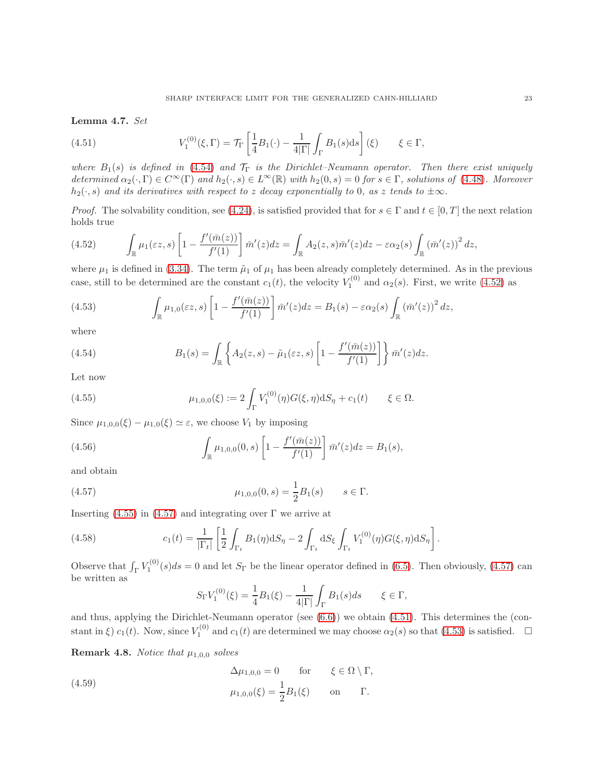Lemma 4.7. Set

<span id="page-22-0"></span>(4.51) 
$$
V_1^{(0)}(\xi,\Gamma) = \mathcal{T}_{\Gamma}\left[\frac{1}{4}B_1(\cdot) - \frac{1}{4|\Gamma|}\int_{\Gamma} B_1(s)\mathrm{d}s\right](\xi) \qquad \xi \in \Gamma,
$$

where  $B_1(s)$  is defined in [\(4.54\)](#page-22-1) and  $\mathcal{T}_{\Gamma}$  is the Dirichlet–Neumann operator. Then there exist uniquely determined  $\alpha_2(\cdot, \Gamma) \in C^{\infty}(\Gamma)$  and  $h_2(\cdot, s) \in L^{\infty}(\mathbb{R})$  with  $h_2(0, s) = 0$  for  $s \in \Gamma$ , solutions of [\(4.48\)](#page-21-3). Moreover  $h_2(\cdot, s)$  and its derivatives with respect to z decay exponentially to 0, as z tends to  $\pm \infty$ .

*Proof.* The solvability condition, see [\(4.24\)](#page-18-4), is satisfied provided that for  $s \in \Gamma$  and  $t \in [0, T]$  the next relation holds true

<span id="page-22-2"></span>(4.52) 
$$
\int_{\mathbb{R}} \mu_1(\varepsilon z,s) \left[1 - \frac{f'(\bar{m}(z))}{f'(1)}\right] \bar{m}'(z) dz = \int_{\mathbb{R}} A_2(z,s) \bar{m}'(z) dz - \varepsilon \alpha_2(s) \int_{\mathbb{R}} \left(\bar{m}'(z)\right)^2 dz,
$$

where  $\mu_1$  is defined in [\(3.34\)](#page-13-7). The term  $\tilde{\mu}_1$  of  $\mu_1$  has been already completely determined. As in the previous case, still to be determined are the constant  $c_1(t)$ , the velocity  $V_1^{(0)}$  and  $\alpha_2(s)$ . First, we write [\(4.52\)](#page-22-2) as

<span id="page-22-5"></span>(4.53) 
$$
\int_{\mathbb{R}} \mu_{1,0}(\varepsilon z,s) \left[1 - \frac{f'(\bar{m}(z))}{f'(1)}\right] \bar{m}'(z) dz = B_1(s) - \varepsilon \alpha_2(s) \int_{\mathbb{R}} \left(\bar{m}'(z)\right)^2 dz,
$$

where

<span id="page-22-1"></span>(4.54) 
$$
B_1(s) = \int_{\mathbb{R}} \left\{ A_2(z,s) - \tilde{\mu}_1(\varepsilon z,s) \left[ 1 - \frac{f'(\bar{m}(z))}{f'(1)} \right] \right\} \bar{m}'(z) dz.
$$

Let now

<span id="page-22-3"></span>(4.55) 
$$
\mu_{1,0,0}(\xi) := 2 \int_{\Gamma} V_1^{(0)}(\eta) G(\xi, \eta) \mathrm{d}S_{\eta} + c_1(t) \qquad \xi \in \Omega.
$$

Since  $\mu_{1,0,0}(\xi) - \mu_{1,0}(\xi) \simeq \varepsilon$ , we choose  $V_1$  by imposing

(4.56) 
$$
\int_{\mathbb{R}} \mu_{1,0,0}(0,s) \left[1 - \frac{f'(\bar{m}(z))}{f'(1)}\right] \bar{m}'(z) dz = B_1(s),
$$

and obtain

(4.57) 
$$
\mu_{1,0,0}(0,s) = \frac{1}{2}B_1(s) \qquad s \in \Gamma.
$$

Inserting  $(4.55)$  in  $(4.57)$  and integrating over  $\Gamma$  we arrive at

(4.58) 
$$
c_1(t) = \frac{1}{|\Gamma_t|} \left[ \frac{1}{2} \int_{\Gamma_t} B_1(\eta) dS_{\eta} - 2 \int_{\Gamma_t} dS_{\xi} \int_{\Gamma_t} V_1^{(0)}(\eta) G(\xi, \eta) dS_{\eta} \right].
$$

Observe that  $\int_{\Gamma} V_1^{(0)}(s)ds = 0$  and let  $S_{\Gamma}$  be the linear operator defined in [\(6.5\)](#page-27-1). Then obviously, [\(4.57\)](#page-22-4) can be written as

<span id="page-22-4"></span>
$$
S_{\Gamma}V_1^{(0)}(\xi) = \frac{1}{4}B_1(\xi) - \frac{1}{4|\Gamma|} \int_{\Gamma} B_1(s)ds \qquad \xi \in \Gamma,
$$

and thus, applying the Dirichlet-Neumann operator (see [\(6.6\)](#page-27-2)) we obtain [\(4.51\)](#page-22-0). This determines the (constant in  $\xi$ )  $c_1(t)$ . Now, since  $V_1^{(0)}$  and  $c_1(t)$  are determined we may choose  $\alpha_2(s)$  so that  $(4.53)$  is satisfied.  $\Box$ 

**Remark 4.8.** Notice that  $\mu_{1,0,0}$  solves

(4.59) 
$$
\Delta \mu_{1,0,0} = 0 \quad \text{for} \quad \xi \in \Omega \setminus \Gamma,
$$

$$
\mu_{1,0,0}(\xi) = \frac{1}{2} B_1(\xi) \quad \text{on} \quad \Gamma.
$$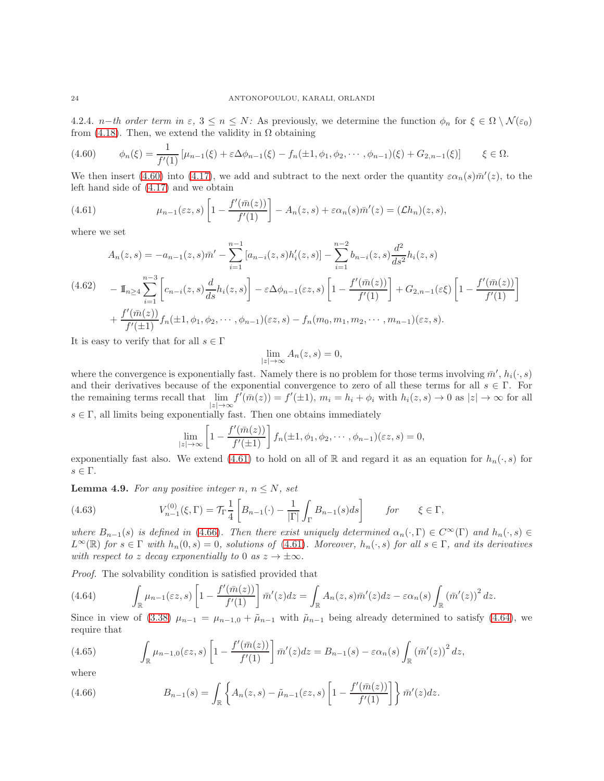4.2.4. *n*−th order term in  $\varepsilon$ ,  $3 \le n \le N$ : As previously, we determine the function  $\phi_n$  for  $\xi \in \Omega \setminus \mathcal{N}(\varepsilon_0)$ from [\(4.18\)](#page-17-5). Then, we extend the validity in  $\Omega$  obtaining

<span id="page-23-1"></span>
$$
(4.60) \qquad \phi_n(\xi) = \frac{1}{f'(1)} \left[ \mu_{n-1}(\xi) + \varepsilon \Delta \phi_{n-1}(\xi) - f_n(\pm 1, \phi_1, \phi_2, \cdots, \phi_{n-1})(\xi) + G_{2,n-1}(\xi) \right] \qquad \xi \in \Omega.
$$

We then insert [\(4.60\)](#page-23-1) into [\(4.17\)](#page-17-6), we add and subtract to the next order the quantity  $\varepsilon \alpha_n(s) \bar{m}'(z)$ , to the left hand side of [\(4.17\)](#page-17-6) and we obtain

<span id="page-23-2"></span>(4.61) 
$$
\mu_{n-1}(\varepsilon z,s) \left[1 - \frac{f'(\bar{m}(z))}{f'(1)}\right] - A_n(z,s) + \varepsilon \alpha_n(s) \bar{m}'(z) = (\mathcal{L}h_n)(z,s),
$$

where we set

$$
A_n(z,s) = -a_{n-1}(z,s)\bar{m}' - \sum_{i=1}^{n-1} [a_{n-i}(z,s)h'_i(z,s)] - \sum_{i=1}^{n-2} b_{n-i}(z,s) \frac{d^2}{ds^2} h_i(z,s)
$$
  
(4.62) 
$$
- \mathbb{I}_{n \ge 4} \sum_{i=1}^{n-3} \left[ c_{n-i}(z,s) \frac{d}{ds} h_i(z,s) \right] - \varepsilon \Delta \phi_{n-1}(\varepsilon z,s) \left[ 1 - \frac{f'(\bar{m}(z))}{f'(1)} \right] + G_{2,n-1}(\varepsilon \xi) \left[ 1 - \frac{f'(\bar{m}(z))}{f'(1)} \right]
$$

$$
+ \frac{f'(\bar{m}(z))}{f'(1)} f_n(\pm 1, \phi_1, \phi_2, \dots, \phi_{n-1})(\varepsilon z,s) - f_n(m_0, m_1, m_2, \dots, m_{n-1})(\varepsilon z,s).
$$

It is easy to verify that for all  $s \in \Gamma$ 

$$
\lim_{|z| \to \infty} A_n(z, s) = 0,
$$

where the convergence is exponentially fast. Namely there is no problem for those terms involving  $\bar{m}'$ ,  $h_i(\cdot, s)$ and their derivatives because of the exponential convergence to zero of all these terms for all  $s \in \Gamma$ . For the remaining terms recall that  $\lim_{|z|\to\infty} f'(\bar{m}(z)) = f'(\pm 1)$ ,  $m_i = h_i + \phi_i$  with  $h_i(z, s) \to 0$  as  $|z| \to \infty$  for all  $s \in \Gamma$ , all limits being exponentially fast. Then one obtains immediately

<span id="page-23-0"></span>
$$
\lim_{|z|\to\infty}\left[1-\frac{f'(\bar{m}(z))}{f'(\pm 1)}\right]f_n(\pm 1,\phi_1,\phi_2,\cdots,\phi_{n-1})(\varepsilon z,s)=0,
$$

exponentially fast also. We extend [\(4.61\)](#page-23-2) to hold on all of R and regard it as an equation for  $h_n(\cdot, s)$  for  $s \in \Gamma$ .

**Lemma 4.9.** For any positive integer n,  $n \leq N$ , set

(4.63) 
$$
V_{n-1}^{(0)}(\xi,\Gamma) = \mathcal{T}_{\Gamma}\frac{1}{4}\left[B_{n-1}(\cdot) - \frac{1}{|\Gamma|}\int_{\Gamma}B_{n-1}(s)ds\right] \quad \text{for} \quad \xi \in \Gamma,
$$

where  $B_{n-1}(s)$  is defined in [\(4.66\)](#page-23-3). Then there exist uniquely determined  $\alpha_n(\cdot, \Gamma) \in C^{\infty}(\Gamma)$  and  $h_n(\cdot, s) \in$  $L^{\infty}(\mathbb{R})$  for  $s \in \Gamma$  with  $h_n(0, s) = 0$ , solutions of [\(4.61\)](#page-23-2). Moreover,  $h_n(\cdot, s)$  for all  $s \in \Gamma$ , and its derivatives with respect to z decay exponentially to 0 as  $z \to \pm \infty$ .

Proof. The solvability condition is satisfied provided that

<span id="page-23-4"></span>(4.64) 
$$
\int_{\mathbb{R}} \mu_{n-1}(\varepsilon z,s) \left[1 - \frac{f'(\bar{m}(z))}{f'(1)}\right] \bar{m}'(z) dz = \int_{\mathbb{R}} A_n(z,s) \bar{m}'(z) dz - \varepsilon \alpha_n(s) \int_{\mathbb{R}} \left(\bar{m}'(z)\right)^2 dz.
$$

Since in view of [\(3.38\)](#page-14-0)  $\mu_{n-1} = \mu_{n-1,0} + \tilde{\mu}_{n-1}$  with  $\tilde{\mu}_{n-1}$  being already determined to satisfy [\(4.64\)](#page-23-4), we require that

<span id="page-23-5"></span>(4.65) 
$$
\int_{\mathbb{R}} \mu_{n-1,0}(\varepsilon z,s) \left[1 - \frac{f'(\bar{m}(z))}{f'(1)}\right] \bar{m}'(z) dz = B_{n-1}(s) - \varepsilon \alpha_n(s) \int_{\mathbb{R}} \left(\bar{m}'(z)\right)^2 dz,
$$

where

<span id="page-23-3"></span>(4.66) 
$$
B_{n-1}(s) = \int_{\mathbb{R}} \left\{ A_n(z,s) - \tilde{\mu}_{n-1}(\varepsilon z,s) \left[ 1 - \frac{f'(\bar{m}(z))}{f'(1)} \right] \right\} \bar{m}'(z) dz.
$$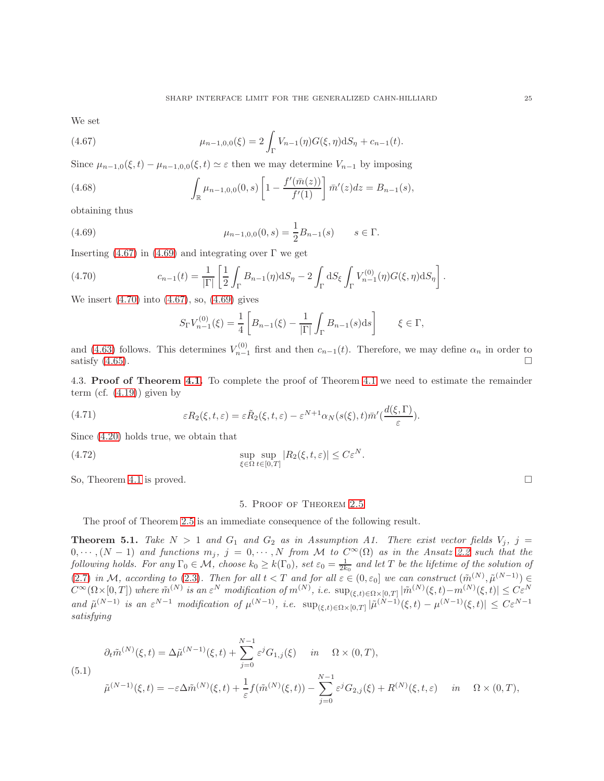We set

<span id="page-24-1"></span>(4.67) 
$$
\mu_{n-1,0,0}(\xi) = 2 \int_{\Gamma} V_{n-1}(\eta) G(\xi, \eta) dS_{\eta} + c_{n-1}(t).
$$

Since  $\mu_{n-1,0}(\xi,t) - \mu_{n-1,0,0}(\xi,t) \simeq \varepsilon$  then we may determine  $V_{n-1}$  by imposing

(4.68) 
$$
\int_{\mathbb{R}} \mu_{n-1,0,0}(0,s) \left[1 - \frac{f'(\bar{m}(z))}{f'(1)}\right] \bar{m}'(z) dz = B_{n-1}(s),
$$

obtaining thus

(4.69) 
$$
\mu_{n-1,0,0}(0,s) = \frac{1}{2}B_{n-1}(s) \qquad s \in \Gamma.
$$

Inserting [\(4.67\)](#page-24-1) in [\(4.69\)](#page-24-2) and integrating over  $\Gamma$  we get

(4.70) 
$$
c_{n-1}(t) = \frac{1}{|\Gamma|} \left[ \frac{1}{2} \int_{\Gamma} B_{n-1}(\eta) dS_{\eta} - 2 \int_{\Gamma} dS_{\xi} \int_{\Gamma} V_{n-1}^{(0)}(\eta) G(\xi, \eta) dS_{\eta} \right].
$$

We insert [\(4.70\)](#page-24-3) into [\(4.67\)](#page-24-1), so, [\(4.69\)](#page-24-2) gives

<span id="page-24-3"></span><span id="page-24-2"></span>
$$
S_{\Gamma}V_{n-1}^{(0)}(\xi) = \frac{1}{4} \left[ B_{n-1}(\xi) - \frac{1}{|\Gamma|} \int_{\Gamma} B_{n-1}(s) \mathrm{d}s \right] \qquad \xi \in \Gamma,
$$

and [\(4.63\)](#page-23-0) follows. This determines  $V_{n-1}^{(0)}$  first and then  $c_{n-1}(t)$ . Therefore, we may define  $\alpha_n$  in order to satisfy  $(4.65)$ .

4.3. Proof of Theorem [4.1.](#page-15-0) To complete the proof of Theorem [4.1](#page-15-0) we need to estimate the remainder term (cf.  $(4.19)$ ) given by

<span id="page-24-0"></span>(4.71) 
$$
\varepsilon R_2(\xi, t, \varepsilon) = \varepsilon \tilde{R}_2(\xi, t, \varepsilon) - \varepsilon^{N+1} \alpha_N(s(\xi), t) \bar{m}'(\frac{d(\xi, \Gamma)}{\varepsilon}).
$$

Since [\(4.20\)](#page-17-8) holds true, we obtain that

(4.72) 
$$
\sup_{\xi \in \Omega} \sup_{t \in [0,T]} |R_2(\xi, t, \varepsilon)| \leq C \varepsilon^N.
$$

So, Theorem [4.1](#page-15-0) is proved.  $\square$ 

### 5. Proof of Theorem [2.5](#page-7-0)

The proof of Theorem [2.5](#page-7-0) is an immediate consequence of the following result.

<span id="page-24-5"></span>**Theorem 5.1.** Take  $N > 1$  and  $G_1$  and  $G_2$  as in Assumption A1. There exist vector fields  $V_j$ ,  $j =$  $0, \cdots, (N-1)$  and functions  $m_j$ ,  $j = 0, \cdots, N$  from M to  $C^{\infty}(\Omega)$  as in the Ansatz [2.2](#page-6-2) such that the following holds. For any  $\Gamma_0 \in \mathcal{M}$ , choose  $k_0 \geq k(\Gamma_0)$ , set  $\varepsilon_0 = \frac{1}{2k_0}$  and let T be the lifetime of the solution of [\(2.7\)](#page-6-0) in M, according to [\(2.3\)](#page-5-1). Then for all  $t < T$  and for all  $\varepsilon \in (0, \varepsilon_0]$  we can construct  $(\tilde{m}^{(N)}, \tilde{\mu}^{(N-1)}) \in$  $C^{\infty}(\Omega\times[0,T])$  where  $\tilde{m}^{(N)}$  is an  $\varepsilon^N$  modification of  $m^{(N)}$ , i.e.  $\sup_{(\xi,t)\in\Omega\times[0,T]}|\tilde{m}^{(N)}(\xi,t)-m^{(N)}(\xi,t)|\leq C\varepsilon^N$ and  $\tilde{\mu}^{(N-1)}$  is an  $\varepsilon^{N-1}$  modification of  $\mu^{(N-1)}$ , i.e.  $\sup_{(\xi,t)\in\Omega\times[0,T]}|\tilde{\mu}^{(N-1)}(\xi,t)-\mu^{(N-1)}(\xi,t)|\leq C\varepsilon^{N-1}$ satisfying

<span id="page-24-4"></span>
$$
\partial_t \tilde{m}^{(N)}(\xi, t) = \Delta \tilde{\mu}^{(N-1)}(\xi, t) + \sum_{j=0}^{N-1} \varepsilon^j G_{1,j}(\xi) \quad in \quad \Omega \times (0, T),
$$
\n
$$
\tilde{\mu}^{(N-1)}(\xi, t) = -\varepsilon \Delta \tilde{m}^{(N)}(\xi, t) + \frac{1}{\varepsilon} f(\tilde{m}^{(N)}(\xi, t)) - \sum_{j=0}^{N-1} \varepsilon^j G_{2,j}(\xi) + R^{(N)}(\xi, t, \varepsilon) \quad in \quad \Omega \times (0, T),
$$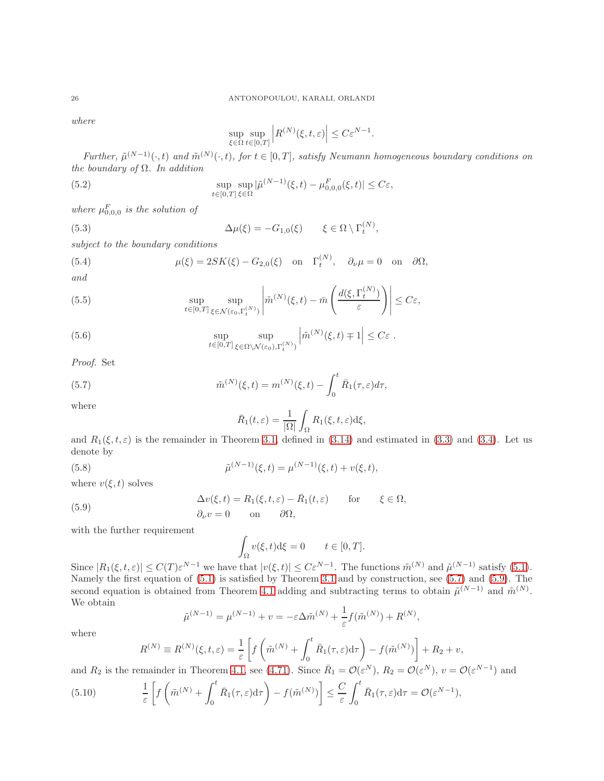where

<span id="page-25-4"></span><span id="page-25-2"></span>
$$
\sup_{\xi\in\Omega}\sup_{t\in[0,T]}\Big|R^{(N)}(\xi,t,\varepsilon)\Big|\leq C\varepsilon^{N-1}.
$$

Further,  $\tilde{\mu}^{(N-1)}(\cdot,t)$  and  $\tilde{m}^{(N)}(\cdot,t)$ , for  $t \in [0,T]$ , satisfy Neumann homogeneous boundary conditions on the boundary of  $\Omega$ . In addition

(5.2) 
$$
\sup_{t\in[0,T]}\sup_{\xi\in\Omega}|\tilde{\mu}^{(N-1)}(\xi,t)-\mu^F_{0,0,0}(\xi,t)|\leq C\varepsilon,
$$

where  $\mu_{0,0,0}^F$  is the solution of

(5.3) 
$$
\Delta \mu(\xi) = -G_{1,0}(\xi) \qquad \xi \in \Omega \setminus \Gamma_t^{(N)},
$$

subject to the boundary conditions

<span id="page-25-3"></span>(5.4) 
$$
\mu(\xi) = 2SK(\xi) - G_{2,0}(\xi) \quad \text{on} \quad \Gamma_t^{(N)}, \quad \partial_\nu \mu = 0 \quad \text{on} \quad \partial \Omega,
$$

and

<span id="page-25-5"></span>(5.5) 
$$
\sup_{t\in[0,T]}\sup_{\xi\in\mathcal{N}(\varepsilon_0,\Gamma_t^{(N)})}\left|\widetilde{m}^{(N)}(\xi,t)-\bar{m}\left(\frac{d(\xi,\Gamma_t^{(N)})}{\varepsilon}\right)\right|\leq C\varepsilon,
$$

(5.6) 
$$
\sup_{t \in [0,T]} \sup_{\xi \in \Omega \setminus \mathcal{N}(\varepsilon_0),\Gamma_t^{(N)} \atop(0,1)} \left| \tilde{m}^{(N)}(\xi,t) \mp 1 \right| \leq C\varepsilon.
$$

Proof. Set

(5.7) 
$$
\tilde{m}^{(N)}(\xi, t) = m^{(N)}(\xi, t) - \int_0^t \bar{R}_1(\tau, \varepsilon) d\tau,
$$

where

<span id="page-25-1"></span>(5.9)

<span id="page-25-6"></span><span id="page-25-0"></span>
$$
\bar{R}_1(t,\varepsilon) = \frac{1}{|\Omega|} \int_{\Omega} R_1(\xi, t, \varepsilon) \mathrm{d}\xi,
$$

and  $R_1(\xi, t, \varepsilon)$  is the remainder in Theorem [3.1,](#page-9-0) defined in [\(3.14\)](#page-11-0) and estimated in [\(3.3\)](#page-9-5) and [\(3.4\)](#page-10-6). Let us denote by

(5.8) 
$$
\tilde{\mu}^{(N-1)}(\xi, t) = \mu^{(N-1)}(\xi, t) + v(\xi, t),
$$

where  $v(\xi, t)$  solves

$$
\Delta v(\xi, t) = R_1(\xi, t, \varepsilon) - \bar{R}_1(t, \varepsilon) \quad \text{for} \quad \xi \in \Omega,
$$
  

$$
\partial_\nu v = 0 \quad \text{on} \quad \partial\Omega,
$$

with the further requirement

$$
\int_{\Omega} v(\xi, t) d\xi = 0 \qquad t \in [0, T].
$$

Since  $|R_1(\xi, t, \varepsilon)| \leq C(T) \varepsilon^{N-1}$  we have that  $|v(\xi, t)| \leq C \varepsilon^{N-1}$ . The functions  $\tilde{m}^{(N)}$  and  $\tilde{\mu}^{(N-1)}$  satisfy [\(5.1\)](#page-24-4). Namely the first equation of [\(5.1\)](#page-24-4) is satisfied by Theorem [3.1](#page-9-0) and by construction, see [\(5.7\)](#page-25-0) and [\(5.9\)](#page-25-1). The second equation is obtained from Theorem [4.1](#page-15-0) adding and subtracting terms to obtain  $\tilde{\mu}^{(N-1)}$  and  $\tilde{m}^{(N)}$ . We obtain

$$
\tilde{\mu}^{(N-1)} = \mu^{(N-1)} + v = -\varepsilon \Delta \tilde{m}^{(N)} + \frac{1}{\varepsilon} f(\tilde{m}^{(N)}) + R^{(N)},
$$

where

$$
R^{(N)} \equiv R^{(N)}(\xi, t, \varepsilon) = \frac{1}{\varepsilon} \left[ f\left(\tilde{m}^{(N)} + \int_0^t \bar{R}_1(\tau, \varepsilon) d\tau \right) - f(\tilde{m}^{(N)}) \right] + R_2 + v,
$$

and  $R_2$  is the remainder in Theorem [4.1,](#page-15-0) see [\(4.71\)](#page-24-0). Since  $\overline{R}_1 = \mathcal{O}(\varepsilon^N)$ ,  $R_2 = \mathcal{O}(\varepsilon^N)$ ,  $v = \mathcal{O}(\varepsilon^{N-1})$  and

(5.10) 
$$
\frac{1}{\varepsilon} \left[ f \left( \tilde{m}^{(N)} + \int_0^t \bar{R}_1(\tau, \varepsilon) d\tau \right) - f(\tilde{m}^{(N)}) \right] \leq \frac{C}{\varepsilon} \int_0^t \bar{R}_1(\tau, \varepsilon) d\tau = \mathcal{O}(\varepsilon^{N-1}),
$$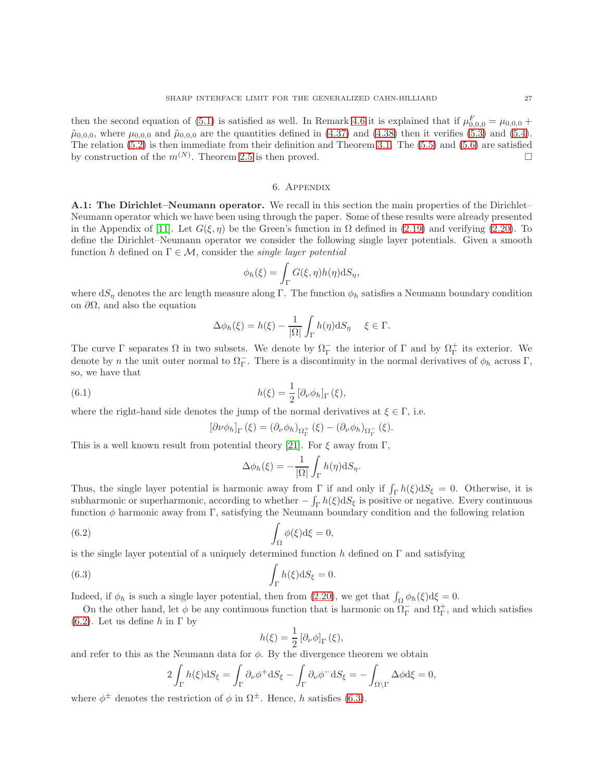then the second equation of [\(5.1\)](#page-24-4) is satisfied as well. In Remark [4.6](#page-21-4) it is explained that if  $\mu_{0,0,0}^F = \mu_{0,0,0} +$  $\tilde{\mu}_{0,0,0}$ , where  $\mu_{0,0,0}$  and  $\tilde{\mu}_{0,0,0}$  are the quantities defined in [\(4.37\)](#page-20-4) and [\(4.38\)](#page-20-1) then it verifies [\(5.3\)](#page-25-2) and [\(5.4\)](#page-25-3). The relation [\(5.2\)](#page-25-4) is then immediate from their definition and Theorem [3.1.](#page-9-0) The [\(5.5\)](#page-25-5) and [\(5.6\)](#page-25-6) are satisfied by construction of the  $m^{(N)}$ . Theorem [2.5](#page-7-0) is then proved.

### 6. Appendix

A.1: The Dirichlet–Neumann operator. We recall in this section the main properties of the Dirichlet– Neumann operator which we have been using through the paper. Some of these results were already presented in the Appendix of [\[11\]](#page-30-0). Let  $G(\xi, \eta)$  be the Green's function in  $\Omega$  defined in [\(2.19\)](#page-8-0) and verifying [\(2.20\)](#page-8-1). To define the Dirichlet–Neumann operator we consider the following single layer potentials. Given a smooth function h defined on  $\Gamma \in \mathcal{M}$ , consider the *single layer potential* 

$$
\phi_h(\xi) = \int_{\Gamma} G(\xi, \eta) h(\eta) \mathrm{d}S_{\eta},
$$

where  $dS_n$  denotes the arc length measure along Γ. The function  $\phi_h$  satisfies a Neumann boundary condition on  $\partial\Omega$ , and also the equation

$$
\Delta \phi_h(\xi) = h(\xi) - \frac{1}{|\Omega|} \int_{\Gamma} h(\eta) \mathrm{d}S_{\eta} \quad \xi \in \Gamma.
$$

The curve  $\Gamma$  separates  $\Omega$  in two subsets. We denote by  $\Omega_{\Gamma}^-$  the interior of  $\Gamma$  and by  $\Omega_{\Gamma}^+$  its exterior. We denote by n the unit outer normal to  $\Omega_{\Gamma}^-$ . There is a discontinuity in the normal derivatives of  $\phi_h$  across  $\Gamma$ , so, we have that

(6.1) 
$$
h(\xi) = \frac{1}{2} \left[ \partial_{\nu} \phi_h \right]_{\Gamma} (\xi),
$$

where the right-hand side denotes the jump of the normal derivatives at  $\xi \in \Gamma$ , i.e.

$$
\left[\partial \nu \phi_h\right]_{\Gamma} (\xi) = \left(\partial_{\nu} \phi_h\right)_{\Omega_{\Gamma}^+} (\xi) - \left(\partial_{\nu} \phi_h\right)_{\Omega_{\Gamma}^-} (\xi).
$$

This is a well known result from potential theory [\[21\]](#page-30-17). For  $\xi$  away from  $\Gamma$ ,

<span id="page-26-0"></span>
$$
\Delta \phi_h(\xi) = -\frac{1}{|\Omega|} \int_{\Gamma} h(\eta) \mathrm{d}S_{\eta}.
$$

Thus, the single layer potential is harmonic away from  $\Gamma$  if and only if  $\int_{\Gamma} h(\xi) dS_{\xi} = 0$ . Otherwise, it is subharmonic or superharmonic, according to whether  $-\int_{\Gamma} h(\xi) dS_{\xi}$  is positive or negative. Every continuous function φ harmonic away from Γ, satisfying the Neumann boundary condition and the following relation

(6.2) 
$$
\int_{\Omega} \phi(\xi) d\xi = 0,
$$

is the single layer potential of a uniquely determined function h defined on  $\Gamma$  and satisfying

(6.3) 
$$
\int_{\Gamma} h(\xi) \mathrm{d}S_{\xi} = 0.
$$

Indeed, if  $\phi_h$  is such a single layer potential, then from [\(2.20\)](#page-8-1), we get that  $\int_{\Omega} \phi_h(\xi) d\xi = 0$ .

On the other hand, let  $\phi$  be any continuous function that is harmonic on  $\Omega_{\Gamma}^-$  and  $\Omega_{\Gamma}^+$ , and which satisfies [\(6.2\)](#page-26-0). Let us define h in  $\Gamma$  by

<span id="page-26-1"></span>
$$
h(\xi) = \frac{1}{2} \left[ \partial_{\nu} \phi \right]_{\Gamma} (\xi),
$$

and refer to this as the Neumann data for  $\phi$ . By the divergence theorem we obtain

$$
2\int_{\Gamma} h(\xi) \mathrm{d}S_{\xi} = \int_{\Gamma} \partial_{\nu} \phi^{+} \mathrm{d}S_{\xi} - \int_{\Gamma} \partial_{\nu} \phi^{-} \mathrm{d}S_{\xi} = -\int_{\Omega \setminus \Gamma} \Delta \phi \mathrm{d}\xi = 0,
$$

where  $\phi^{\pm}$  denotes the restriction of  $\phi$  in  $\Omega^{\pm}$ . Hence, h satisfies [\(6.3\)](#page-26-1).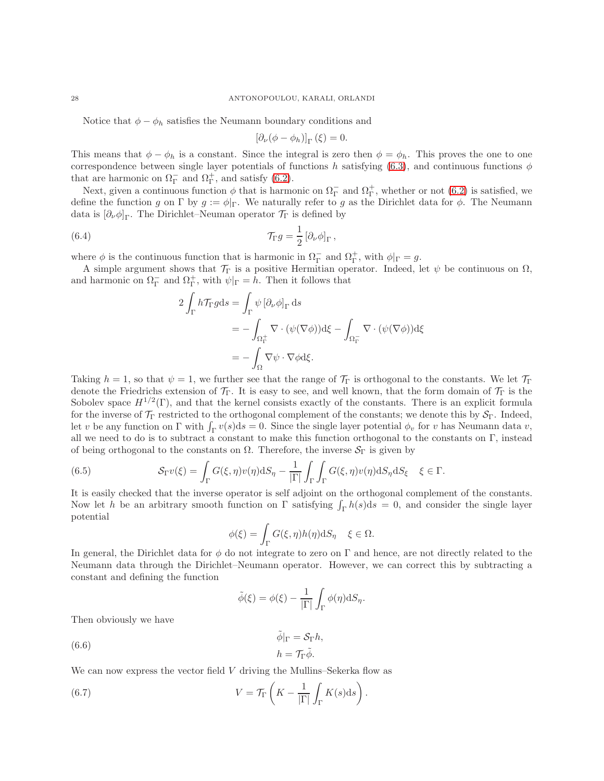Notice that  $\phi - \phi_h$  satisfies the Neumann boundary conditions and

<span id="page-27-0"></span>
$$
\left[\partial_{\nu}(\phi-\phi_h)\right]_{\Gamma}(\xi)=0.
$$

This means that  $\phi - \phi_h$  is a constant. Since the integral is zero then  $\phi = \phi_h$ . This proves the one to one correspondence between single layer potentials of functions h satisfying [\(6.3\)](#page-26-1), and continuous functions  $\phi$ that are harmonic on  $\Omega_{\Gamma}^-$  and  $\Omega_{\Gamma}^+$ , and satisfy [\(6.2\)](#page-26-0).

Next, given a continuous function  $\phi$  that is harmonic on  $\Omega_{\Gamma}^-$  and  $\Omega_{\Gamma}^+$ , whether or not  $(6.2)$  is satisfied, we define the function g on Γ by  $g := \phi |_{\Gamma}$ . We naturally refer to g as the Dirichlet data for  $\phi$ . The Neumann data is  $[\partial_{\nu}\phi]_{\Gamma}$ . The Dirichlet–Neuman operator  $\mathcal{T}_{\Gamma}$  is defined by

(6.4) 
$$
\mathcal{T}_{\Gamma}g = \frac{1}{2} \left[ \partial_{\nu} \phi \right]_{\Gamma},
$$

where  $\phi$  is the continuous function that is harmonic in  $\Omega_{\Gamma}^-$  and  $\Omega_{\Gamma}^+$ , with  $\phi|_{\Gamma} = g$ .

A simple argument shows that  $\mathcal{T}_{\Gamma}$  is a positive Hermitian operator. Indeed, let  $\psi$  be continuous on  $\Omega$ , and harmonic on  $\Omega_{\Gamma}^-$  and  $\Omega_{\Gamma}^+$ , with  $\psi|_{\Gamma} = h$ . Then it follows that

$$
2\int_{\Gamma} h \mathcal{T}_{\Gamma} g ds = \int_{\Gamma} \psi \left[ \partial_{\nu} \phi \right]_{\Gamma} ds
$$
  
= 
$$
- \int_{\Omega_{\Gamma}^{\perp}} \nabla \cdot (\psi(\nabla \phi)) d\xi - \int_{\Omega_{\Gamma}^-} \nabla \cdot (\psi(\nabla \phi)) d\xi
$$
  
= 
$$
- \int_{\Omega} \nabla \psi \cdot \nabla \phi d\xi.
$$

Taking  $h = 1$ , so that  $\psi = 1$ , we further see that the range of  $\mathcal{T}_{\Gamma}$  is orthogonal to the constants. We let  $\mathcal{T}_{\Gamma}$ denote the Friedrichs extension of  $\mathcal{T}_{\Gamma}$ . It is easy to see, and well known, that the form domain of  $\mathcal{T}_{\Gamma}$  is the Sobolev space  $H^{1/2}(\Gamma)$ , and that the kernel consists exactly of the constants. There is an explicit formula for the inverse of  $\mathcal{T}_{\Gamma}$  restricted to the orthogonal complement of the constants; we denote this by  $\mathcal{S}_{\Gamma}$ . Indeed, let v be any function on  $\Gamma$  with  $\int_{\Gamma} v(s) ds = 0$ . Since the single layer potential  $\phi_v$  for v has Neumann data v, all we need to do is to subtract a constant to make this function orthogonal to the constants on Γ, instead of being orthogonal to the constants on  $\Omega$ . Therefore, the inverse  $S_{\Gamma}$  is given by

<span id="page-27-1"></span>(6.5) 
$$
\mathcal{S}_{\Gamma}v(\xi) = \int_{\Gamma} G(\xi, \eta)v(\eta) \mathrm{d}S_{\eta} - \frac{1}{|\Gamma|} \int_{\Gamma} \int_{\Gamma} G(\xi, \eta)v(\eta) \mathrm{d}S_{\eta} \mathrm{d}S_{\xi} \quad \xi \in \Gamma.
$$

It is easily checked that the inverse operator is self adjoint on the orthogonal complement of the constants. Now let h be an arbitrary smooth function on  $\Gamma$  satisfying  $\int_{\Gamma} h(s) ds = 0$ , and consider the single layer potential

$$
\phi(\xi) = \int_{\Gamma} G(\xi, \eta) h(\eta) \mathrm{d}S_{\eta} \quad \xi \in \Omega.
$$

In general, the Dirichlet data for  $\phi$  do not integrate to zero on Γ and hence, are not directly related to the Neumann data through the Dirichlet–Neumann operator. However, we can correct this by subtracting a constant and defining the function

$$
\tilde{\phi}(\xi) = \phi(\xi) - \frac{1}{|\Gamma|} \int_{\Gamma} \phi(\eta) \mathrm{d}S_{\eta}.
$$

Then obviously we have

<span id="page-27-2"></span>(6.6) 
$$
\tilde{\phi}|_{\Gamma} = \mathcal{S}_{\Gamma} h,
$$

$$
h = \mathcal{T}_{\Gamma} \tilde{\phi}.
$$

We can now express the vector field  $V$  driving the Mullins–Sekerka flow as

(6.7) 
$$
V = \mathcal{T}_{\Gamma}\left(K - \frac{1}{|\Gamma|} \int_{\Gamma} K(s) \mathrm{d}s\right).
$$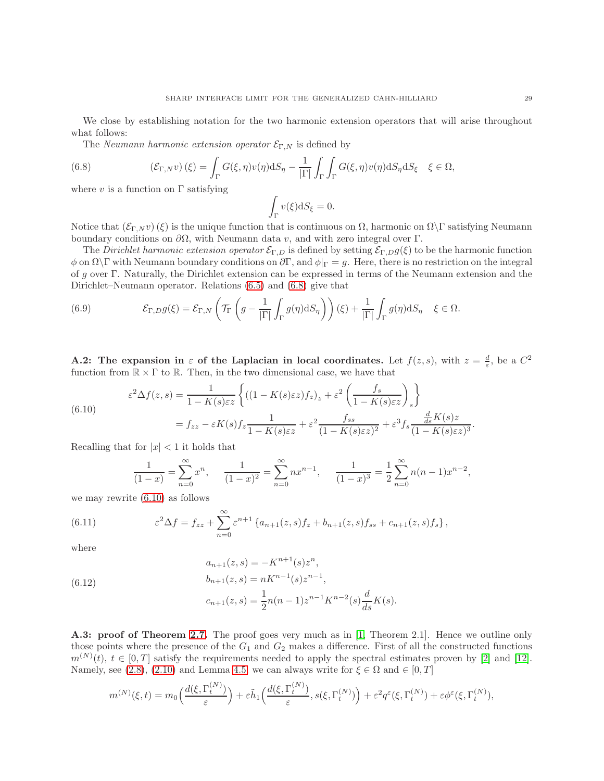We close by establishing notation for the two harmonic extension operators that will arise throughout what follows:

<span id="page-28-2"></span>The Neumann harmonic extension operator  $\mathcal{E}_{\Gamma,N}$  is defined by

(6.8) 
$$
(\mathcal{E}_{\Gamma,N}v)(\xi) = \int_{\Gamma} G(\xi,\eta)v(\eta) \mathrm{d}S_{\eta} - \frac{1}{|\Gamma|} \int_{\Gamma} \int_{\Gamma} G(\xi,\eta)v(\eta) \mathrm{d}S_{\eta} \mathrm{d}S_{\xi} \quad \xi \in \Omega,
$$

where  $v$  is a function on  $\Gamma$  satisfying

$$
\int_{\Gamma} v(\xi) \mathrm{d}S_{\xi} = 0.
$$

Notice that  $(\mathcal{E}_{\Gamma,N} v)(\xi)$  is the unique function that is continuous on Ω, harmonic on  $\Omega\setminus\Gamma$  satisfying Neumann boundary conditions on  $\partial\Omega$ , with Neumann data v, and with zero integral over Γ.

The Dirichlet harmonic extension operator  $\mathcal{E}_{\Gamma,D}$  is defined by setting  $\mathcal{E}_{\Gamma,D} g(\xi)$  to be the harmonic function  $\phi$  on  $\Omega\backslash\Gamma$  with Neumann boundary conditions on  $\partial\Gamma$ , and  $\phi|_{\Gamma}=g$ . Here, there is no restriction on the integral of g over Γ. Naturally, the Dirichlet extension can be expressed in terms of the Neumann extension and the Dirichlet–Neumann operator. Relations [\(6.5\)](#page-27-1) and [\(6.8\)](#page-28-2) give that

(6.9) 
$$
\mathcal{E}_{\Gamma,D} g(\xi) = \mathcal{E}_{\Gamma,N} \left( \mathcal{T}_{\Gamma} \left( g - \frac{1}{|\Gamma|} \int_{\Gamma} g(\eta) dS_{\eta} \right) \right) (\xi) + \frac{1}{|\Gamma|} \int_{\Gamma} g(\eta) dS_{\eta} \quad \xi \in \Omega.
$$

**A.2:** The expansion in  $\varepsilon$  of the Laplacian in local coordinates. Let  $f(z, s)$ , with  $z = \frac{d}{\varepsilon}$ , be a  $C^2$ function from  $\mathbb{R} \times \Gamma$  to  $\mathbb{R}$ . Then, in the two dimensional case, we have that

<span id="page-28-3"></span>(6.10)  

$$
\varepsilon^{2} \Delta f(z, s) = \frac{1}{1 - K(s)\varepsilon z} \left\{ \left( (1 - K(s)\varepsilon z) f_{z} \right)_{z} + \varepsilon^{2} \left( \frac{f_{s}}{1 - K(s)\varepsilon z} \right)_{s} \right\}
$$

$$
= f_{zz} - \varepsilon K(s) f_{z} \frac{1}{1 - K(s)\varepsilon z} + \varepsilon^{2} \frac{f_{ss}}{(1 - K(s)\varepsilon z)^{2}} + \varepsilon^{3} f_{s} \frac{\frac{d}{ds} K(s) z}{(1 - K(s)\varepsilon z)^{3}}
$$

Recalling that for  $|x| < 1$  it holds that

<span id="page-28-0"></span>
$$
\frac{1}{(1-x)} = \sum_{n=0}^{\infty} x^n, \quad \frac{1}{(1-x)^2} = \sum_{n=0}^{\infty} nx^{n-1}, \quad \frac{1}{(1-x)^3} = \frac{1}{2} \sum_{n=0}^{\infty} n(n-1)x^{n-2},
$$

we may rewrite [\(6.10\)](#page-28-3) as follows

(6.11) 
$$
\varepsilon^2 \Delta f = f_{zz} + \sum_{n=0}^{\infty} \varepsilon^{n+1} \left\{ a_{n+1}(z,s) f_z + b_{n+1}(z,s) f_{ss} + c_{n+1}(z,s) f_s \right\},
$$

where

<span id="page-28-1"></span>(6.12) 
$$
a_{n+1}(z,s) = -K^{n+1}(s)z^n,
$$

$$
b_{n+1}(z,s) = nK^{n-1}(s)z^{n-1},
$$

$$
c_{n+1}(z,s) = \frac{1}{2}n(n-1)z^{n-1}K^{n-2}(s)\frac{d}{ds}K(s).
$$

A.3: proof of Theorem [2.7.](#page-9-2) The proof goes very much as in [\[1,](#page-30-1) Theorem 2.1]. Hence we outline only those points where the presence of the  $G_1$  and  $G_2$  makes a difference. First of all the constructed functions  $m^{(N)}(t), t \in [0,T]$  satisfy the requirements needed to apply the spectral estimates proven by [\[2\]](#page-30-18) and [\[12\]](#page-30-19). Namely, see [\(2.8\)](#page-6-3), [\(2.10\)](#page-6-5) and Lemma [4.5,](#page-19-1) we can always write for  $\xi \in \Omega$  and  $\in [0, T]$ 

$$
m^{(N)}(\xi,t) = m_0\Big(\frac{d(\xi,\Gamma_t^{(N)})}{\varepsilon}\Big) + \varepsilon \tilde{h}_1\Big(\frac{d(\xi,\Gamma_t^{(N)})}{\varepsilon},s(\xi,\Gamma_t^{(N)})\Big) + \varepsilon^2 q^{\varepsilon}(\xi,\Gamma_t^{(N)}) + \varepsilon \phi^{\varepsilon}(\xi,\Gamma_t^{(N)}),
$$

.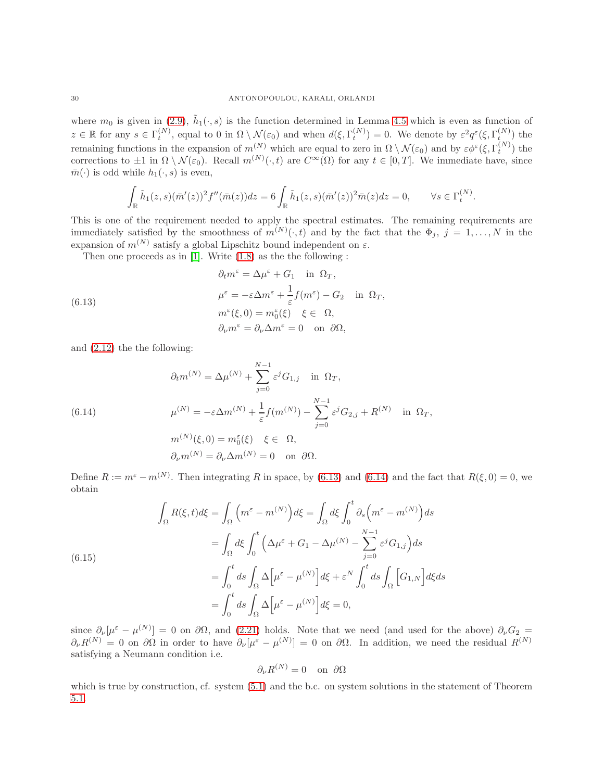where  $m_0$  is given in [\(2.9\)](#page-6-6),  $\tilde{h}_1(\cdot, s)$  is the function determined in Lemma [4.5](#page-19-1) which is even as function of  $z \in \mathbb{R}$  for any  $s \in \Gamma_t^{(N)}$ , equal to 0 in  $\Omega \setminus \mathcal{N}(\varepsilon_0)$  and when  $d(\xi, \Gamma_t^{(N)}) = 0$ . We denote by  $\varepsilon^2 q^{\varepsilon} (\xi, \Gamma_{t_{\xi(N)}}^{(N)})$  the remaining functions in the expansion of  $m^{(N)}$  which are equal to zero in  $\Omega \setminus \mathcal{N}(\varepsilon_0)$  and by  $\varepsilon \phi^{\varepsilon}(\xi, \Gamma_t^{(N)})$  the corrections to  $\pm 1$  in  $\Omega \setminus \mathcal{N}(\varepsilon_0)$ . Recall  $m^{(N)}(\cdot, t)$  are  $C^{\infty}(\Omega)$  for any  $t \in [0, T]$ . We immediate have, since  $\bar{m}(\cdot)$  is odd while  $h_1(\cdot, s)$  is even,

$$
\int_{\mathbb{R}} \tilde{h}_1(z,s)(\bar{m}'(z))^2 f''(\bar{m}(z))dz = 6 \int_{\mathbb{R}} \tilde{h}_1(z,s)(\bar{m}'(z))^2 \bar{m}(z)dz = 0, \qquad \forall s \in \Gamma_t^{(N)}.
$$

This is one of the requirement needed to apply the spectral estimates. The remaining requirements are immediately satisfied by the smoothness of  $m^{(N)}(\cdot, t)$  and by the fact that the  $\Phi_j$ ,  $j = 1, \ldots, N$  in the expansion of  $m^{(N)}$  satisfy a global Lipschitz bound independent on  $\varepsilon$ .

Then one proceeds as in [\[1\]](#page-30-1). Write [\(1.8\)](#page-2-3) as the the following :

<span id="page-29-0"></span>(6.13)  
\n
$$
\partial_t m^{\varepsilon} = \Delta \mu^{\varepsilon} + G_1 \quad \text{in } \Omega_T,
$$
\n
$$
\mu^{\varepsilon} = -\varepsilon \Delta m^{\varepsilon} + \frac{1}{\varepsilon} f(m^{\varepsilon}) - G_2 \quad \text{in } \Omega_T,
$$
\n
$$
m^{\varepsilon}(\xi, 0) = m_0^{\varepsilon}(\xi) \quad \xi \in \Omega,
$$
\n
$$
\partial_{\nu} m^{\varepsilon} = \partial_{\nu} \Delta m^{\varepsilon} = 0 \quad \text{on } \partial \Omega,
$$

and [\(2.12\)](#page-7-1) the the following:

<span id="page-29-1"></span>(6.14)  
\n
$$
\partial_t m^{(N)} = \Delta \mu^{(N)} + \sum_{j=0}^{N-1} \varepsilon^j G_{1,j} \quad \text{in } \Omega_T,
$$
\n
$$
\mu^{(N)} = -\varepsilon \Delta m^{(N)} + \frac{1}{\varepsilon} f(m^{(N)}) - \sum_{j=0}^{N-1} \varepsilon^j G_{2,j} + R^{(N)} \quad \text{in } \Omega_T,
$$
\n
$$
m^{(N)}(\xi, 0) = m_0^{\varepsilon}(\xi) \quad \xi \in \Omega,
$$
\n
$$
\partial_{\nu} m^{(N)} = \partial_{\nu} \Delta m^{(N)} = 0 \quad \text{on } \partial \Omega.
$$

Define  $R := m^{\varepsilon} - m^{(N)}$ . Then integrating R in space, by [\(6.13\)](#page-29-0) and [\(6.14\)](#page-29-1) and the fact that  $R(\xi, 0) = 0$ , we obtain

<span id="page-29-2"></span>
$$
\int_{\Omega} R(\xi, t) d\xi = \int_{\Omega} \left( m^{\varepsilon} - m^{(N)} \right) d\xi = \int_{\Omega} d\xi \int_{0}^{t} \partial_{s} \left( m^{\varepsilon} - m^{(N)} \right) ds
$$

$$
= \int_{\Omega} d\xi \int_{0}^{t} \left( \Delta \mu^{\varepsilon} + G_{1} - \Delta \mu^{(N)} - \sum_{j=0}^{N-1} \varepsilon^{j} G_{1,j} \right) ds
$$

$$
= \int_{0}^{t} ds \int_{\Omega} \Delta \left[ \mu^{\varepsilon} - \mu^{(N)} \right] d\xi + \varepsilon^{N} \int_{0}^{t} ds \int_{\Omega} \left[ G_{1,N} \right] d\xi ds
$$

$$
= \int_{0}^{t} ds \int_{\Omega} \Delta \left[ \mu^{\varepsilon} - \mu^{(N)} \right] d\xi = 0,
$$

since  $\partial_{\nu}[\mu^{\varepsilon} - \mu^{(N)}] = 0$  on  $\partial\Omega$ , and [\(2.21\)](#page-9-1) holds. Note that we need (and used for the above)  $\partial_{\nu}G_2 =$  $\partial_{\nu}R^{(N)}=0$  on  $\partial\Omega$  in order to have  $\partial_{\nu}[\mu^{\varepsilon}-\mu^{(N)}]=0$  on  $\partial\Omega$ . In addition, we need the residual  $R^{(N)}$ satisfying a Neumann condition i.e.

$$
\partial_{\nu}R^{(N)} = 0 \quad \text{on } \partial\Omega
$$

which is true by construction, cf. system  $(5.1)$  and the b.c. on system solutions in the statement of Theorem [5.1.](#page-24-5)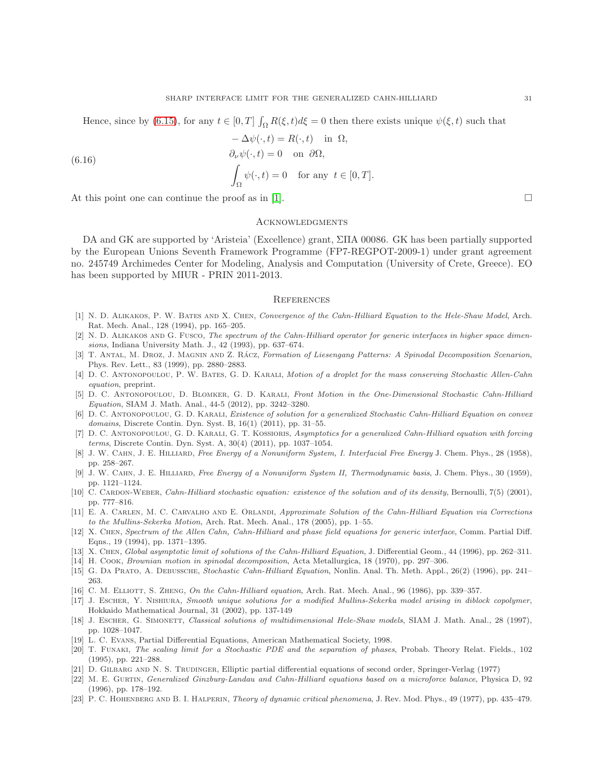Hence, since by [\(6.15\)](#page-29-2), for any  $t \in [0, T] \int_{\Omega} R(\xi, t) d\xi = 0$  then there exists unique  $\psi(\xi, t)$  such that

$$
-\Delta \psi(\cdot, t) = R(\cdot, t) \quad \text{in } \Omega,
$$
  
\n
$$
\partial_{\nu} \psi(\cdot, t) = 0 \quad \text{on } \partial \Omega,
$$
  
\n
$$
\int_{\Omega} \psi(\cdot, t) = 0 \quad \text{for any } t \in [0, T].
$$

(6.16)

At this point one can continue the proof as in [\[1\]](#page-30-1).  $\Box$ 

### Acknowledgments

DA and GK are supported by 'Aristeia' (Excellence) grant, ΣΠA 00086. GK has been partially supported by the European Unions Seventh Framework Programme (FP7-REGPOT-2009-1) under grant agreement no. 245749 Archimedes Center for Modeling, Analysis and Computation (University of Crete, Greece). EO has been supported by MIUR - PRIN 2011-2013.

### **REFERENCES**

- <span id="page-30-1"></span>[1] N. D. Alikakos, P. W. Bates and X. Chen, *Convergence of the Cahn-Hilliard Equation to the Hele-Shaw Model*, Arch. Rat. Mech. Anal., 128 (1994), pp. 165–205.
- <span id="page-30-18"></span>[2] N. D. Alikakos and G. Fusco, *The spectrum of the Cahn-Hilliard operator for generic interfaces in higher space dimensions*, Indiana University Math. J., 42 (1993), pp. 637–674.
- <span id="page-30-6"></span>[3] T. ANTAL, M. DROZ, J. MAGNIN AND Z. RÁCZ, *Formation of Liesengang Patterns: A Spinodal Decomposition Scenarion*, Phys. Rev. Lett., 83 (1999), pp. 2880–2883.
- <span id="page-30-13"></span>[4] D. C. Antonopoulou, P. W. Bates, G. D. Karali, *Motion of a droplet for the mass conserving Stochastic Allen-Cahn equation*, preprint.
- <span id="page-30-11"></span>[5] D. C. Antonopoulou, D. Blomker, G. D. Karali, *Front Motion in the One-Dimensional Stochastic Cahn-Hilliard Equation*, SIAM J. Math. Anal., 44-5 (2012), pp. 3242–3280.
- <span id="page-30-10"></span>[6] D. C. Antonopoulou, G. D. Karali, *Existence of solution for a generalized Stochastic Cahn-Hilliard Equation on convex domains*, Discrete Contin. Dyn. Syst. B, 16(1) (2011), pp. 31–55.
- <span id="page-30-15"></span>[7] D. C. Antonopoulou, G. D. Karali, G. T. Kossioris, *Asymptotics for a generalized Cahn-Hilliard equation with forcing terms*, Discrete Contin. Dyn. Syst. A, 30(4) (2011), pp. 1037–1054.
- [8] J. W. Cahn, J. E. Hilliard, *Free Energy of a Nonuniform System, I. Interfacial Free Energy* J. Chem. Phys., 28 (1958), pp. 258–267.
- [9] J. W. Cahn, J. E. Hilliard, *Free Energy of a Nonuniform System II, Thermodynamic basis*, J. Chem. Phys., 30 (1959), pp. 1121–1124.
- <span id="page-30-9"></span>[10] C. CARDON-WEBER, *Cahn-Hilliard stochastic equation: existence of the solution and of its density*, Bernoulli, 7(5) (2001), pp. 777–816.
- <span id="page-30-0"></span>[11] E. A. Carlen, M. C. Carvalho and E. Orlandi, *Approximate Solution of the Cahn-Hilliard Equation via Corrections to the Mullins-Sekerka Motion*, Arch. Rat. Mech. Anal., 178 (2005), pp. 1–55.
- <span id="page-30-19"></span>[12] X. Chen, *Spectrum of the Allen Cahn, Cahn-Hilliard and phase field equations for generic interface*, Comm. Partial Diff. Eqns., 19 (1994), pp. 1371–1395.
- <span id="page-30-7"></span><span id="page-30-2"></span>[13] X. Chen, *Global asymptotic limit of solutions of the Cahn-Hilliard Equation*, J. Differential Geom., 44 (1996), pp. 262–311.
- <span id="page-30-8"></span>[14] H. Cook, *Brownian motion in spinodal decomposition*, Acta Metallurgica, 18 (1970), pp. 297–306.
- [15] G. Da Prato, A. Debussche, *Stochastic Cahn-Hilliard Equation*, Nonlin. Anal. Th. Meth. Appl., 26(2) (1996), pp. 241– 263.
- <span id="page-30-16"></span><span id="page-30-14"></span>[16] C. M. Elliott, S. Zheng, *On the Cahn-Hilliard equation*, Arch. Rat. Mech. Anal., 96 (1986), pp. 339–357.
- [17] J. Escher, Y. Nishiura, *Smooth unique solutions for a modified Mullins-Sekerka model arising in diblock copolymer*, Hokkaido Mathematical Journal, 31 (2002), pp. 137-149
- <span id="page-30-3"></span>[18] J. Escher, G. Simonett, *Classical solutions of multidimensional Hele-Shaw models*, SIAM J. Math. Anal., 28 (1997), pp. 1028–1047.
- <span id="page-30-12"></span>[19] L. C. Evans, Partial Differential Equations, American Mathematical Society, 1998.
- [20] T. Funaki, *The scaling limit for a Stochastic PDE and the separation of phases*, Probab. Theory Relat. Fields., 102 (1995), pp. 221–288.
- <span id="page-30-17"></span><span id="page-30-5"></span>[21] D. Gilbarg and N. S. Trudinger, Elliptic partial differential equations of second order, Springer-Verlag (1977)
- [22] M. E. Gurtin, *Generalized Ginzburg-Landau and Cahn-Hilliard equations based on a microforce balance*, Physica D, 92 (1996), pp. 178–192.
- <span id="page-30-4"></span>[23] P. C. Hohenberg and B. I. Halperin, *Theory of dynamic critical phenomena*, J. Rev. Mod. Phys., 49 (1977), pp. 435–479.